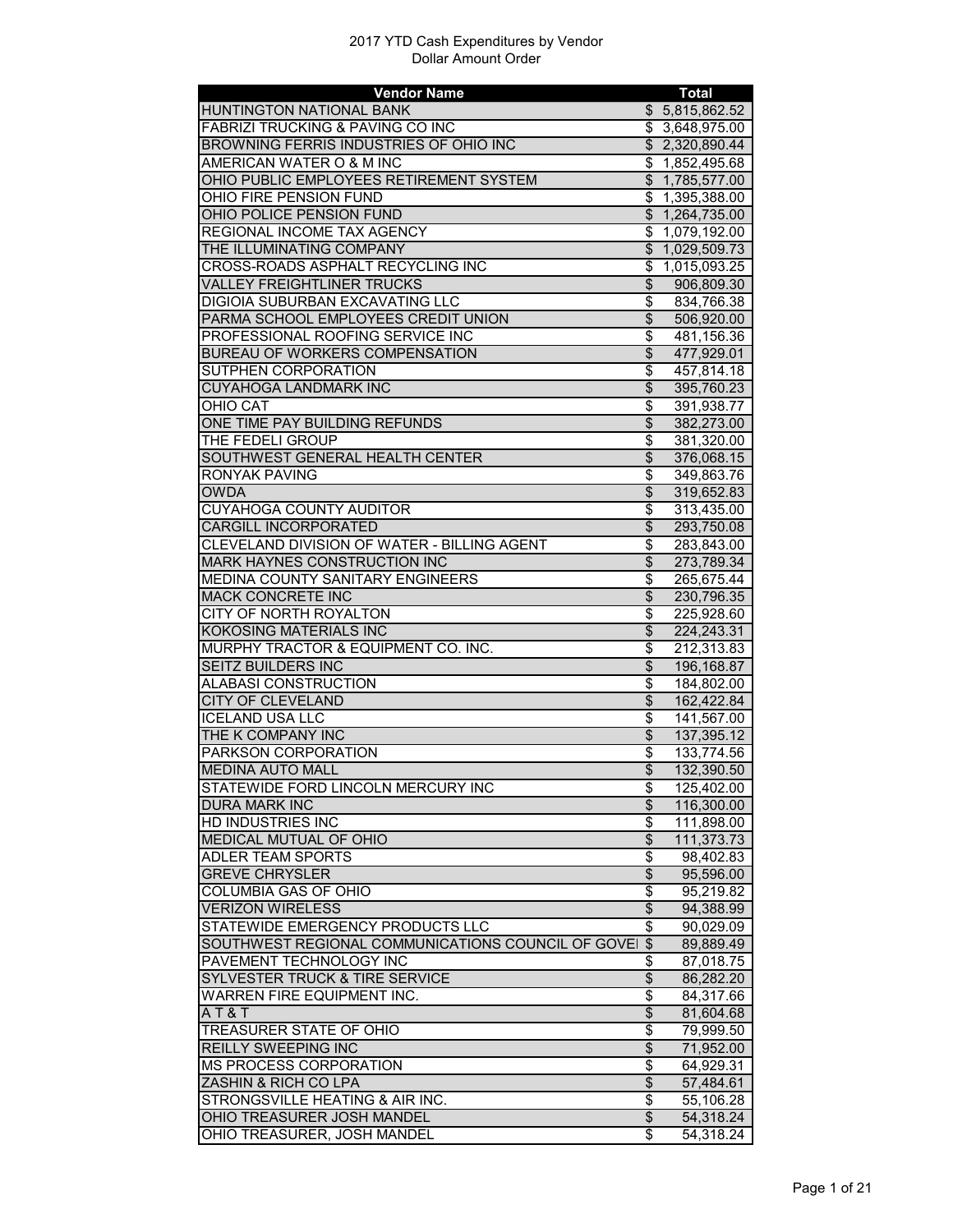| <b>Vendor Name</b>                                    |                                    | <b>Total</b>           |
|-------------------------------------------------------|------------------------------------|------------------------|
| <b>HUNTINGTON NATIONAL BANK</b>                       |                                    | \$5,815,862.52         |
| <b>FABRIZI TRUCKING &amp; PAVING CO INC</b>           |                                    | \$3,648,975.00         |
| BROWNING FERRIS INDUSTRIES OF OHIO INC                |                                    | \$2,320,890.44         |
| AMERICAN WATER O & M INC                              |                                    | \$1,852,495.68         |
| OHIO PUBLIC EMPLOYEES RETIREMENT SYSTEM               |                                    | \$1,785,577.00         |
| OHIO FIRE PENSION FUND                                | \$                                 | 1,395,388.00           |
| OHIO POLICE PENSION FUND                              |                                    | \$1,264,735.00         |
| REGIONAL INCOME TAX AGENCY                            | \$                                 | 1,079,192.00           |
| THE ILLUMINATING COMPANY                              |                                    | \$1,029,509.73         |
|                                                       |                                    |                        |
| CROSS-ROADS ASPHALT RECYCLING INC                     | \$                                 | 1,015,093.25           |
| <b>VALLEY FREIGHTLINER TRUCKS</b>                     | \$                                 | 906,809.30             |
| DIGIOIA SUBURBAN EXCAVATING LLC                       | \$                                 | 834,766.38             |
| PARMA SCHOOL EMPLOYEES CREDIT UNION                   | $\overline{\$}$                    | 506,920.00             |
| PROFESSIONAL ROOFING SERVICE INC                      | $\overline{\$}$                    | 481,156.36             |
| BUREAU OF WORKERS COMPENSATION                        | $\overline{\$}$                    | 477,929.01             |
| SUTPHEN CORPORATION                                   | \$                                 | 457,814.18             |
| <b>CUYAHOGA LANDMARK INC</b>                          | $\overline{\$}$                    | 395,760.23             |
| <b>OHIO CAT</b>                                       | $\overline{\$}$                    | 391,938.77             |
| ONE TIME PAY BUILDING REFUNDS                         | $\overline{\$}$                    | 382,273.00             |
| THE FEDELI GROUP                                      | \$                                 | 381,320.00             |
| SOUTHWEST GENERAL HEALTH CENTER                       | $\overline{\$}$                    | 376,068.15             |
| <b>RONYAK PAVING</b>                                  | $\overline{\$}$                    | 349,863.76             |
| <b>OWDA</b>                                           | $\overline{\$}$                    | 319,652.83             |
| <b>CUYAHOGA COUNTY AUDITOR</b>                        | \$                                 | 313,435.00             |
|                                                       |                                    |                        |
| <b>CARGILL INCORPORATED</b>                           | $\overline{\$}$                    | 293,750.08             |
| CLEVELAND DIVISION OF WATER - BILLING AGENT           | \$                                 | 283,843.00             |
| <b>MARK HAYNES CONSTRUCTION INC</b>                   | $\overline{\$}$                    | 273,789.34             |
| MEDINA COUNTY SANITARY ENGINEERS                      | \$                                 | 265,675.44             |
| <b>MACK CONCRETE INC</b>                              | $\overline{\$}$                    | 230,796.35             |
| CITY OF NORTH ROYALTON                                | \$                                 | 225,928.60             |
| <b>KOKOSING MATERIALS INC</b>                         | $\overline{\$}$                    | 224,243.31             |
| MURPHY TRACTOR & EQUIPMENT CO. INC.                   | \$                                 | 212,313.83             |
| SEITZ BUILDERS INC                                    | $\overline{\mathcal{S}}$           | 196,168.87             |
| ALABASI CONSTRUCTION                                  | \$                                 | 184,802.00             |
| <b>CITY OF CLEVELAND</b>                              | $\overline{\$}$                    | 162,422.84             |
| <b>ICELAND USA LLC</b>                                | $\overline{\mathcal{S}}$           | 141,567.00             |
| THE K COMPANY INC                                     | $\overline{\$}$                    | 137,395.12             |
| PARKSON CORPORATION                                   | \$                                 | 133,774.56             |
| <b>MEDINA AUTO MALL</b>                               | $\overline{\$}$                    | 132,390.50             |
| STATEWIDE FORD LINCOLN MERCURY INC                    | \$                                 | 125,402.00             |
| <b>DURA MARK INC</b>                                  | $\overline{\theta}$                | 116,300.00             |
| HD INDUSTRIES INC                                     | \$                                 | 111,898.00             |
| MEDICAL MUTUAL OF OHIO                                | $\overline{\$}$                    | 111,373.73             |
|                                                       |                                    |                        |
| <b>ADLER TEAM SPORTS</b>                              | \$                                 | 98,402.83              |
| <b>GREVE CHRYSLER</b>                                 | $\overline{\mathcal{S}}$           | 95,596.00              |
| <b>COLUMBIA GAS OF OHIO</b>                           | \$                                 | 95,219.82              |
| <b>VERIZON WIRELESS</b>                               | $\overline{\mathcal{S}}$           | 94,388.99              |
| STATEWIDE EMERGENCY PRODUCTS LLC                      | \$                                 | 90,029.09              |
| SOUTHWEST REGIONAL COMMUNICATIONS COUNCIL OF GOVEI \$ |                                    | 89,889.49              |
| PAVEMENT TECHNOLOGY INC                               | \$                                 | 87,018.75              |
| <b>SYLVESTER TRUCK &amp; TIRE SERVICE</b>             | $\overline{\$}$                    | 86,282.20              |
| <b>WARREN FIRE EQUIPMENT INC.</b>                     | $\overline{\boldsymbol{\epsilon}}$ | 84,317.66              |
| AT&T                                                  | \$                                 | 81,604.68              |
| TREASURER STATE OF OHIO                               | \$                                 | 79,999.50              |
| <b>REILLY SWEEPING INC</b>                            | \$                                 | 71,952.00              |
| <b>MS PROCESS CORPORATION</b>                         | $\overline{\boldsymbol{\epsilon}}$ | 64,929.31              |
| ZASHIN & RICH CO LPA                                  | $\overline{\mathcal{S}}$           | 57,484.61              |
| STRONGSVILLE HEATING & AIR INC.                       | $\overline{\$}$                    | 55,106.28              |
| OHIO TREASURER JOSH MANDEL                            | $\frac{1}{2}$                      | 54,318.24              |
| OHIO TREASURER, JOSH MANDEL                           | \$                                 | $\overline{54,318.24}$ |
|                                                       |                                    |                        |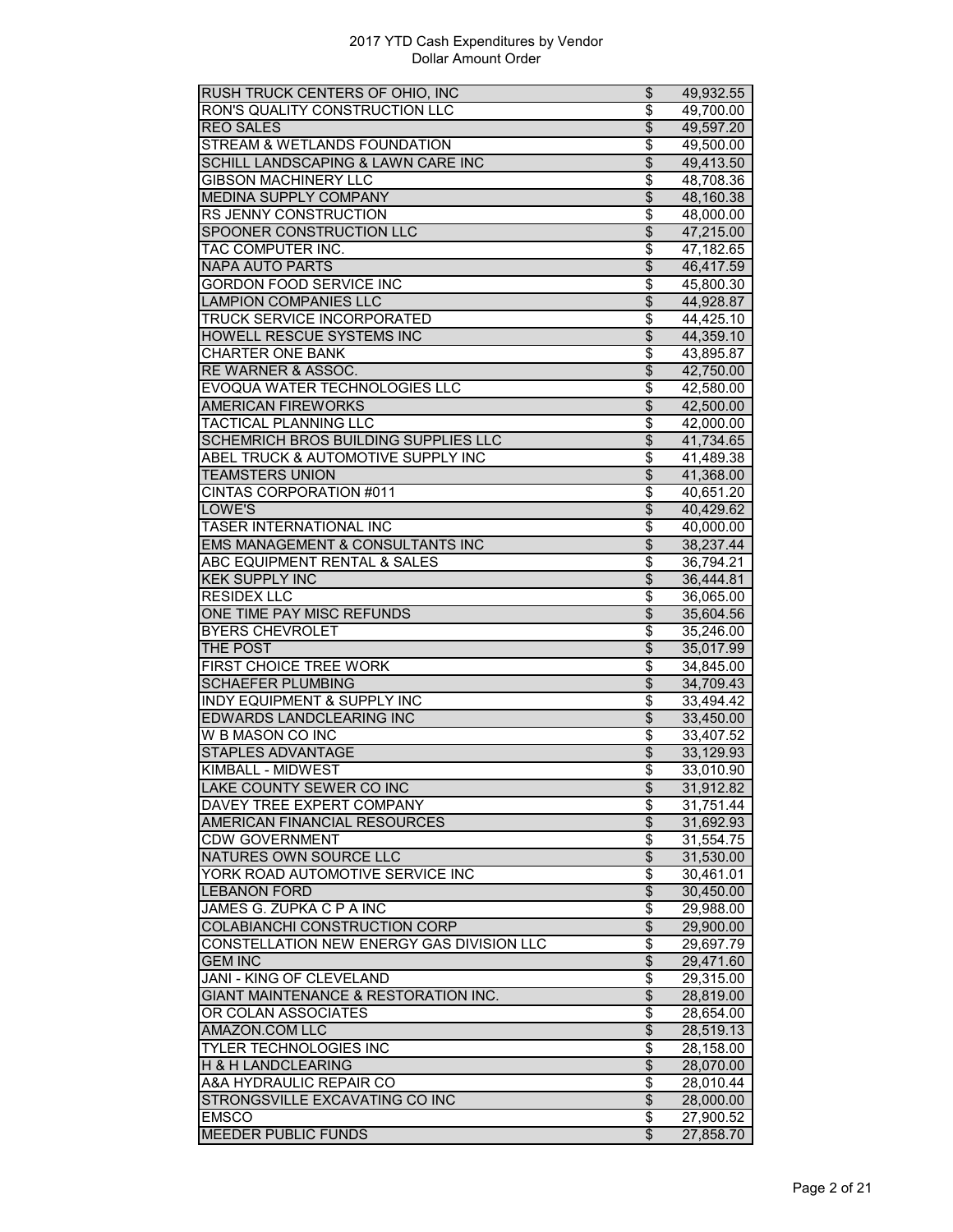| RUSH TRUCK CENTERS OF OHIO, INC            | \$                       | 49,932.55              |
|--------------------------------------------|--------------------------|------------------------|
| RON'S QUALITY CONSTRUCTION LLC             | \$                       | 49,700.00              |
| <b>REO SALES</b>                           | \$                       | 49,597.20              |
| STREAM & WETLANDS FOUNDATION               | \$                       | 49,500.00              |
| SCHILL LANDSCAPING & LAWN CARE INC         | $\overline{\mathcal{S}}$ | 49,413.50              |
| <b>GIBSON MACHINERY LLC</b>                | \$                       | 48,708.36              |
| <b>MEDINA SUPPLY COMPANY</b>               | $\overline{\$}$          | 48,160.38              |
| RS JENNY CONSTRUCTION                      | \$                       | 48,000.00              |
| SPOONER CONSTRUCTION LLC                   | $\overline{\mathcal{S}}$ | 47,215.00              |
| TAC COMPUTER INC.                          | \$                       | 47,182.65              |
| <b>NAPA AUTO PARTS</b>                     | \$                       | 46,417.59              |
| <b>GORDON FOOD SERVICE INC</b>             | \$                       | 45,800.30              |
| <b>LAMPION COMPANIES LLC</b>               | $\overline{\$}$          |                        |
|                                            |                          | 44,928.87              |
| <b>TRUCK SERVICE INCORPORATED</b>          | \$                       | 44,425.10              |
| HOWELL RESCUE SYSTEMS INC                  | $\overline{\$}$          | 44,359.10              |
| <b>CHARTER ONE BANK</b>                    | \$                       | 43,895.87              |
| RE WARNER & ASSOC.                         | \$                       | 42,750.00              |
| EVOQUA WATER TECHNOLOGIES LLC              | \$                       | 42,580.00              |
| <b>AMERICAN FIREWORKS</b>                  | $\overline{\mathcal{S}}$ | 42,500.00              |
| <b>TACTICAL PLANNING LLC</b>               | \$                       | 42,000.00              |
| SCHEMRICH BROS BUILDING SUPPLIES LLC       | $\overline{\mathcal{S}}$ | 41,734.65              |
| ABEL TRUCK & AUTOMOTIVE SUPPLY INC         | \$                       | 41,489.38              |
| <b>TEAMSTERS UNION</b>                     | $\overline{\$}$          | 41,368.00              |
| <b>CINTAS CORPORATION #011</b>             | \$                       | 40,651.20              |
| LOWE'S                                     | \$                       | 40,429.62              |
| TASER INTERNATIONAL INC                    | \$                       | 40,000.00              |
| EMS MANAGEMENT & CONSULTANTS INC           | $\overline{\mathcal{S}}$ | 38,237.44              |
| ABC EQUIPMENT RENTAL & SALES               | $\overline{\$}$          | 36,794.21              |
| <b>KEK SUPPLY INC</b>                      | $\overline{\mathcal{S}}$ | 36,444.81              |
| <b>RESIDEX LLC</b>                         | \$                       | 36,065.00              |
| ONE TIME PAY MISC REFUNDS                  | $\overline{\mathcal{S}}$ | 35,604.56              |
| <b>BYERS CHEVROLET</b>                     | \$                       | 35,246.00              |
| THE POST                                   | \$                       | 35,017.99              |
| <b>FIRST CHOICE TREE WORK</b>              | \$                       | 34,845.00              |
| <b>SCHAEFER PLUMBING</b>                   | $\overline{\$}$          | 34,709.43              |
|                                            |                          |                        |
|                                            | \$                       | 33,494.42              |
| <b>INDY EQUIPMENT &amp; SUPPLY INC</b>     |                          |                        |
| EDWARDS LANDCLEARING INC                   | \$                       | 33,450.00              |
| <b>W B MASON CO INC</b>                    | \$                       | 33,407.52              |
| <b>STAPLES ADVANTAGE</b>                   | \$                       | 33,129.93              |
| KIMBALL - MIDWEST                          | \$                       | 33,010.90              |
| LAKE COUNTY SEWER CO INC                   | \$                       | 31,912.82              |
| DAVEY TREE EXPERT COMPANY                  | \$                       | 31,751.44              |
| AMERICAN FINANCIAL RESOURCES               | $\overline{\mathbf{e}}$  | 31,692.93              |
| <b>CDW GOVERNMENT</b>                      | \$                       | 31,554.75              |
| NATURES OWN SOURCE LLC                     | $\overline{\theta}$      | 31,530.00              |
| YORK ROAD AUTOMOTIVE SERVICE INC           | \$                       | 30,461.01              |
| <b>LEBANON FORD</b>                        | $\overline{\mathcal{L}}$ | 30,450.00              |
|                                            | \$                       | 29,988.00              |
| JAMES G. ZUPKA C P A INC                   |                          |                        |
| COLABIANCHI CONSTRUCTION CORP              | \$                       | 29,900.00              |
| CONSTELLATION NEW ENERGY GAS DIVISION LLC  | $\overline{\mathbf{S}}$  | 29,697.79              |
| <b>GEM INC</b>                             | $\overline{\$}$          | 29,471.60              |
| JANI - KING OF CLEVELAND                   | \$                       | 29,315.00              |
| GIANT MAINTENANCE & RESTORATION INC.       | $\overline{\mathcal{S}}$ | 28,819.00              |
| OR COLAN ASSOCIATES                        | \$                       | 28,654.00              |
| AMAZON.COM LLC                             | $\overline{\$}$          | 28,519.13              |
| TYLER TECHNOLOGIES INC                     | \$                       | 28,158.00              |
| H & H LANDCLEARING                         | $\overline{\$}$          | 28,070.00              |
| A&A HYDRAULIC REPAIR CO                    | \$                       | 28,010.44              |
| STRONGSVILLE EXCAVATING CO INC             | $\overline{\mathbf{e}}$  | 28,000.00              |
| <b>EMSCO</b><br><b>MEEDER PUBLIC FUNDS</b> | \$<br>\$                 | 27,900.52<br>27,858.70 |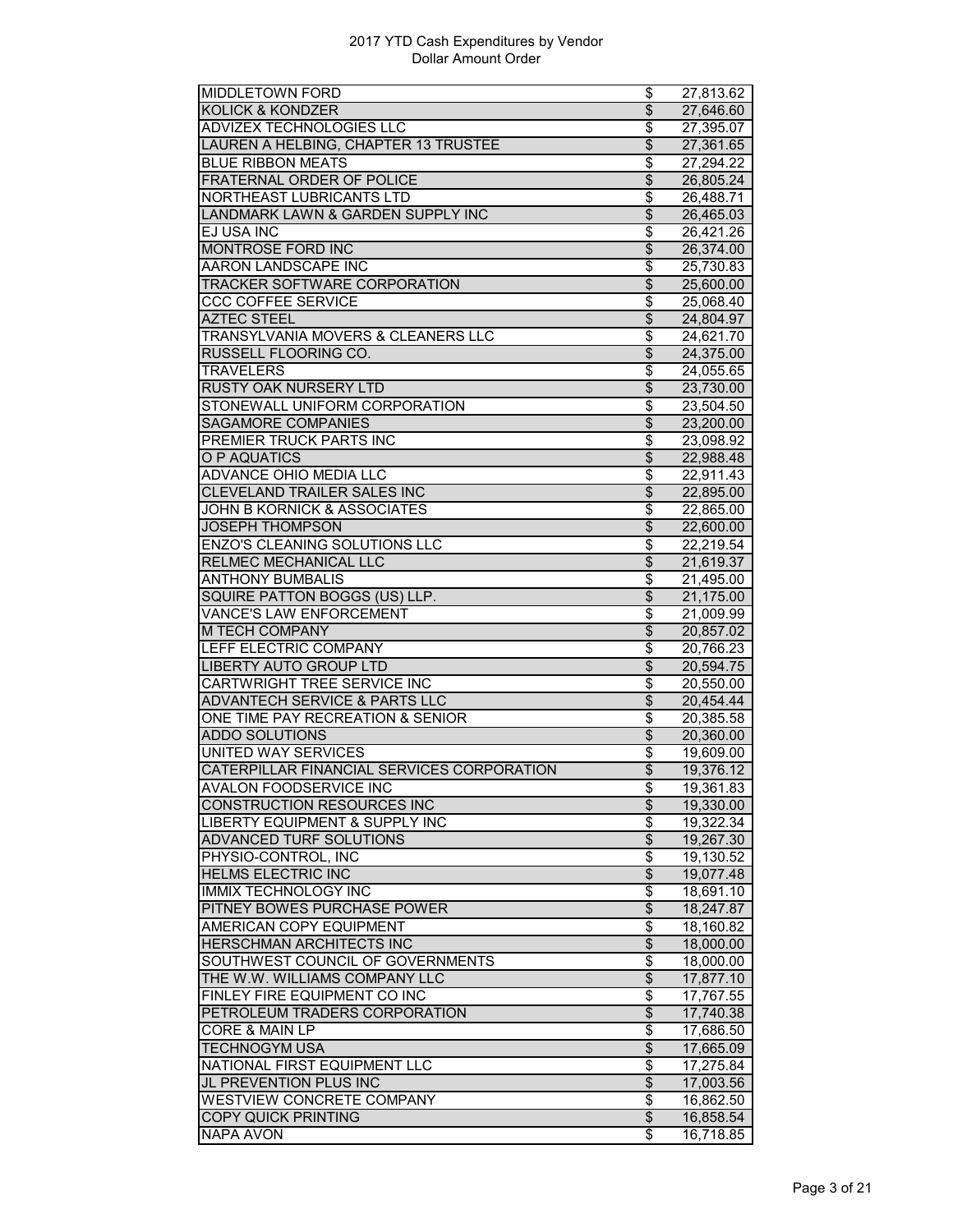| MIDDLETOWN FORD                            | \$                                 | $\overline{27}, 813.62$ |
|--------------------------------------------|------------------------------------|-------------------------|
| <b>KOLICK &amp; KONDZER</b>                | $\overline{\$}$                    | 27,646.60               |
| <b>ADVIZEX TECHNOLOGIES LLC</b>            | $\overline{\boldsymbol{\epsilon}}$ | 27,395.07               |
| LAUREN A HELBING, CHAPTER 13 TRUSTEE       | \$                                 | 27,361.65               |
| <b>BLUE RIBBON MEATS</b>                   | $\overline{\boldsymbol{\epsilon}}$ | 27,294.22               |
| FRATERNAL ORDER OF POLICE                  | \$                                 | 26,805.24               |
| NORTHEAST LUBRICANTS LTD                   | \$                                 | 26,488.71               |
| LANDMARK LAWN & GARDEN SUPPLY INC          | $\overline{\$}$                    | 26,465.03               |
| EJ USA INC                                 | \$                                 | 26,421.26               |
| <b>MONTROSE FORD INC</b>                   | $\overline{\$}$                    | 26,374.00               |
| AARON LANDSCAPE INC                        | \$                                 | 25,730.83               |
| <b>TRACKER SOFTWARE CORPORATION</b>        | \$                                 | 25,600.00               |
| <b>CCC COFFEE SERVICE</b>                  | \$                                 | 25,068.40               |
| <b>AZTEC STEEL</b>                         | \$                                 | 24,804.97               |
| TRANSYLVANIA MOVERS & CLEANERS LLC         | $\overline{\$}$                    | 24,621.70               |
| <b>RUSSELL FLOORING CO.</b>                | $\overline{\$}$                    | 24,375.00               |
| <b>TRAVELERS</b>                           | \$                                 | 24,055.65               |
| <b>RUSTY OAK NURSERY LTD</b>               | $\overline{\$}$                    | 23,730.00               |
| STONEWALL UNIFORM CORPORATION              | \$                                 | 23,504.50               |
| SAGAMORE COMPANIES                         | $\overline{\theta}$                | 23,200.00               |
| PREMIER TRUCK PARTS INC                    | \$                                 |                         |
| <b>O P AQUATICS</b>                        | $\overline{\$}$                    | 23,098.92<br>22,988.48  |
| <b>ADVANCE OHIO MEDIA LLC</b>              | \$                                 |                         |
|                                            |                                    | $\overline{22}$ ,911.43 |
| <b>CLEVELAND TRAILER SALES INC</b>         | $\overline{\$}$                    | 22,895.00               |
| JOHN B KORNICK & ASSOCIATES                | \$                                 | 22,865.00               |
| <b>JOSEPH THOMPSON</b>                     | $\overline{\theta}$                | 22,600.00               |
| <b>ENZO'S CLEANING SOLUTIONS LLC</b>       | \$                                 | 22,219.54               |
| RELMEC MECHANICAL LLC                      | $\overline{\$}$                    | 21,619.37               |
| <b>ANTHONY BUMBALIS</b>                    | \$                                 | 21,495.00               |
| SQUIRE PATTON BOGGS (US) LLP.              | $\overline{\$}$                    | 21,175.00               |
| <b>VANCE'S LAW ENFORCEMENT</b>             | $\overline{\$}$                    | $\overline{21}$ ,009.99 |
| <b>M TECH COMPANY</b>                      | $\overline{\$}$                    | 20,857.02               |
| LEFF ELECTRIC COMPANY                      | \$                                 | 20,766.23               |
| <b>LIBERTY AUTO GROUP LTD</b>              | $\overline{\theta}$                | 20,594.75               |
| <b>CARTWRIGHT TREE SERVICE INC</b>         | \$                                 | 20,550.00               |
| <b>ADVANTECH SERVICE &amp; PARTS LLC</b>   | $\overline{\$}$                    | 20,454.44               |
| ONE TIME PAY RECREATION & SENIOR           | \$                                 | 20,385.58               |
| <b>ADDO SOLUTIONS</b>                      | $\overline{\$}$                    | 20,360.00               |
| <b>UNITED WAY SERVICES</b>                 | \$                                 | 19,609.00               |
| CATERPILLAR FINANCIAL SERVICES CORPORATION | $\overline{\$}$                    | 19,376.12               |
| AVALON FOODSERVICE INC                     | \$                                 | 19,361.83               |
| <b>CONSTRUCTION RESOURCES INC</b>          | $\overline{\theta}$                | 19,330.00               |
| <b>LIBERTY EQUIPMENT &amp; SUPPLY INC</b>  | \$                                 | $\overline{19}$ ,322.34 |
| <b>ADVANCED TURF SOLUTIONS</b>             | $\overline{\$}$                    | 19,267.30               |
| PHYSIO-CONTROL, INC                        | $\overline{\$}$                    | 19,130.52               |
| <b>HELMS ELECTRIC INC</b>                  | $\overline{\mathcal{L}}$           | 19,077.48               |
| <b>IMMIX TECHNOLOGY INC</b>                | $\overline{\boldsymbol{\epsilon}}$ | 18,691.10               |
| PITNEY BOWES PURCHASE POWER                | $\overline{\mathcal{S}}$           | 18,247.87               |
| <b>AMERICAN COPY EQUIPMENT</b>             | \$                                 | 18,160.82               |
| HERSCHMAN ARCHITECTS INC                   | $\frac{1}{2}$                      | 18,000.00               |
| SOUTHWEST COUNCIL OF GOVERNMENTS           | $\overline{\$}$                    | 18,000.00               |
| THE W.W. WILLIAMS COMPANY LLC              | $\overline{\$}$                    | 17,877.10               |
| FINLEY FIRE EQUIPMENT CO INC               | $\overline{\boldsymbol{\theta}}$   | 17,767.55               |
| PETROLEUM TRADERS CORPORATION              | \$                                 | 17,740.38               |
| <b>CORE &amp; MAIN LP</b>                  | $\overline{\boldsymbol{\epsilon}}$ | 17,686.50               |
| <b>TECHNOGYM USA</b>                       | $\overline{\theta}$                |                         |
| NATIONAL FIRST EQUIPMENT LLC               | $\overline{\boldsymbol{\epsilon}}$ | 17,665.09               |
|                                            |                                    | 17,275.84               |
| JL PREVENTION PLUS INC                     | $\overline{\mathcal{S}}$           | 17,003.56               |
| <b>WESTVIEW CONCRETE COMPANY</b>           | $\overline{\$}$                    | 16,862.50               |
| <b>COPY QUICK PRINTING</b>                 | $\overline{\mathbf{e}}$            | 16,858.54               |
| <b>NAPA AVON</b>                           | \$                                 | 16,718.85               |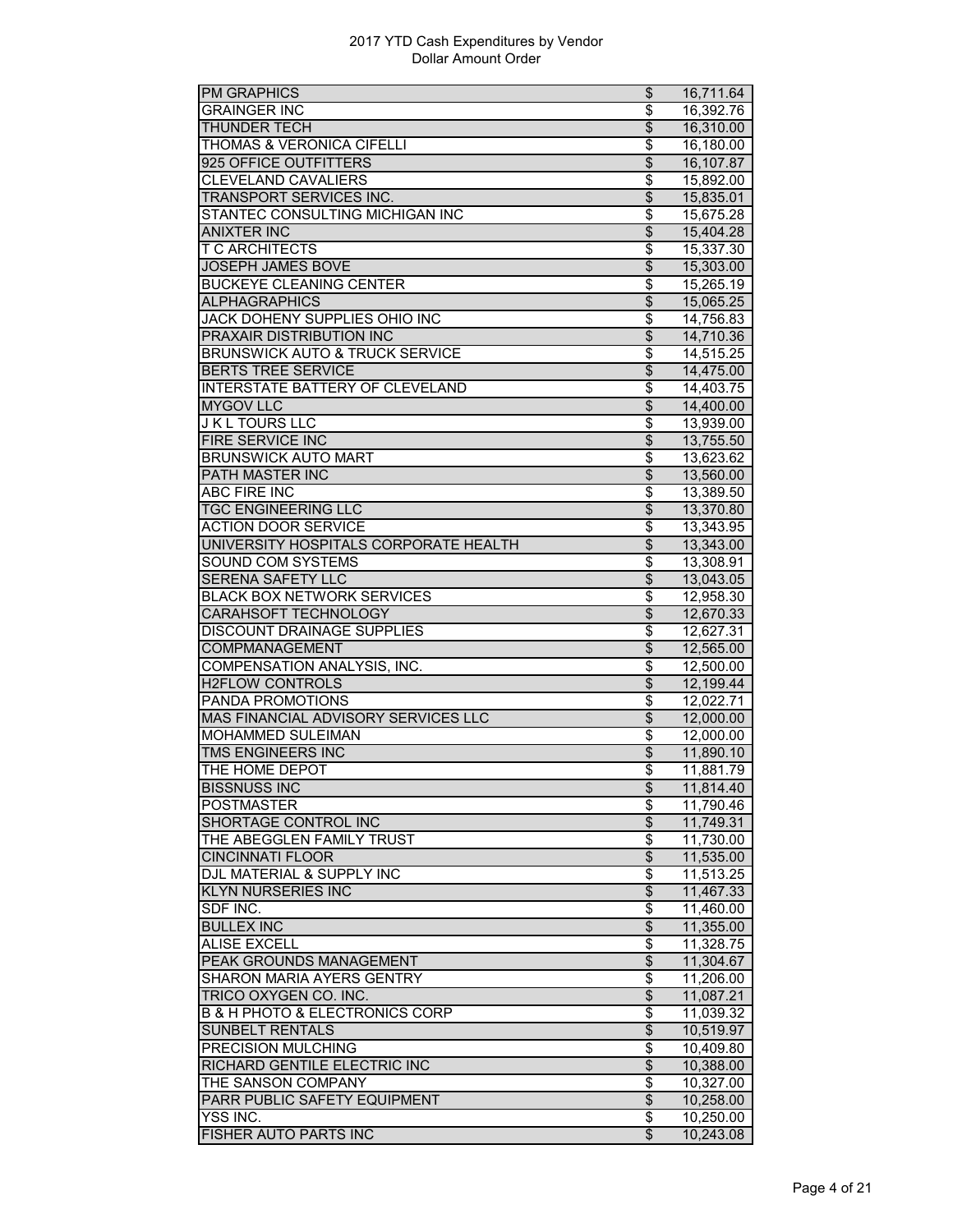| <b>PM GRAPHICS</b>                            | \$                                   | 16,711.64 |
|-----------------------------------------------|--------------------------------------|-----------|
| <b>GRAINGER INC</b>                           | \$                                   | 16,392.76 |
| <b>THUNDER TECH</b>                           | $\overline{\theta}$                  | 16,310.00 |
| THOMAS & VERONICA CIFELLI                     | \$                                   | 16,180.00 |
| 925 OFFICE OUTFITTERS                         | \$                                   | 16,107.87 |
| CLEVELAND CAVALIERS                           | \$                                   | 15,892.00 |
| TRANSPORT SERVICES INC.                       | \$                                   | 15,835.01 |
| STANTEC CONSULTING MICHIGAN INC               | \$                                   | 15,675.28 |
| <b>ANIXTER INC</b>                            | $\overline{\$}$                      | 15,404.28 |
| <b>T C ARCHITECTS</b>                         | \$                                   | 15,337.30 |
| <b>JOSEPH JAMES BOVE</b>                      | $\overline{\mathcal{E}}$             | 15,303.00 |
| <b>BUCKEYE CLEANING CENTER</b>                | \$                                   | 15,265.19 |
| <b>ALPHAGRAPHICS</b>                          | $\overline{\$}$                      | 15,065.25 |
| JACK DOHENY SUPPLIES OHIO INC                 | \$                                   | 14,756.83 |
| PRAXAIR DISTRIBUTION INC                      | $\overline{\$}$                      | 14,710.36 |
| <b>BRUNSWICK AUTO &amp; TRUCK SERVICE</b>     | \$                                   | 14,515.25 |
| <b>BERTS TREE SERVICE</b>                     | $\overline{\$}$                      | 14,475.00 |
| <b>INTERSTATE BATTERY OF CLEVELAND</b>        | $\overline{\boldsymbol{\epsilon}}$   |           |
|                                               |                                      | 14,403.75 |
| <b>MYGOV LLC</b>                              | \$                                   | 14,400.00 |
| <b>JKL TOURS LLC</b>                          | \$                                   | 13,939.00 |
| <b>FIRE SERVICE INC</b>                       | $\overline{\$}$                      | 13,755.50 |
| <b>BRUNSWICK AUTO MART</b>                    | $\overline{\$}$                      | 13,623.62 |
| PATH MASTER INC                               | $\overline{\$}$                      | 13,560.00 |
| <b>ABC FIRE INC</b>                           | \$                                   | 13,389.50 |
| <b>TGC ENGINEERING LLC</b>                    | \$                                   | 13,370.80 |
| <b>ACTION DOOR SERVICE</b>                    | \$                                   | 13,343.95 |
| UNIVERSITY HOSPITALS CORPORATE HEALTH         | $\overline{\$}$                      | 13,343.00 |
| <b>SOUND COM SYSTEMS</b>                      | $\overline{\$}$                      | 13,308.91 |
| SERENA SAFETY LLC                             | $\overline{\$}$                      | 13,043.05 |
| <b>BLACK BOX NETWORK SERVICES</b>             | \$                                   | 12,958.30 |
| <b>CARAHSOFT TECHNOLOGY</b>                   | $\overline{\mathcal{S}}$             | 12,670.33 |
| DISCOUNT DRAINAGE SUPPLIES                    | \$                                   | 12,627.31 |
| COMPMANAGEMENT                                | \$                                   | 12,565.00 |
| COMPENSATION ANALYSIS, INC.                   | \$                                   | 12,500.00 |
| <b>H2FLOW CONTROLS</b>                        | $\overline{\$}$                      | 12,199.44 |
| <b>PANDA PROMOTIONS</b>                       | $\overline{\$}$                      | 12,022.71 |
| MAS FINANCIAL ADVISORY SERVICES LLC           | $\overline{\theta}$                  | 12,000.00 |
| MOHAMMED SULEIMAN                             | \$                                   | 12,000.00 |
| <b>TMS ENGINEERS INC</b>                      | $\overline{\mathcal{S}}$             | 11,890.10 |
| THE HOME DEPOT                                | \$                                   | 11,881.79 |
|                                               |                                      |           |
| BISSNUSS INC                                  | \$<br>\$                             | 11,814.40 |
| POSTMASTER                                    |                                      | 11,790.46 |
| SHORTAGE CONTROL INC                          | $\overline{\$}$                      | 11,749.31 |
| THE ABEGGLEN FAMILY TRUST                     | \$                                   | 11,730.00 |
| <b>CINCINNATI FLOOR</b>                       | $\overline{\$}$                      | 11,535.00 |
| DJL MATERIAL & SUPPLY INC                     | \$                                   | 11,513.25 |
| <b>KLYN NURSERIES INC</b>                     | $\overline{\theta}$                  | 11,467.33 |
| SDF INC.                                      | \$                                   | 11,460.00 |
| <b>BULLEX INC</b>                             | $\overline{\$}$                      | 11,355.00 |
| <b>ALISE EXCELL</b>                           | $\overline{\boldsymbol{\mathsf{s}}}$ | 11,328.75 |
| PEAK GROUNDS MANAGEMENT                       | $\overline{\$}$                      | 11,304.67 |
| <b>SHARON MARIA AYERS GENTRY</b>              | \$                                   | 11,206.00 |
| TRICO OXYGEN CO. INC.                         | $\overline{\$}$                      | 11,087.21 |
| <b>B &amp; H PHOTO &amp; ELECTRONICS CORP</b> | \$                                   | 11,039.32 |
| <b>SUNBELT RENTALS</b>                        | $\overline{\mathcal{L}}$             | 10,519.97 |
| <b>PRECISION MULCHING</b>                     | \$                                   | 10,409.80 |
| RICHARD GENTILE ELECTRIC INC                  | $\overline{\$}$                      | 10,388.00 |
| THE SANSON COMPANY                            | \$                                   | 10,327.00 |
| PARR PUBLIC SAFETY EQUIPMENT                  | $\overline{\$}$                      | 10,258.00 |
| <b>YSS INC.</b>                               | \$                                   | 10,250.00 |
| FISHER AUTO PARTS INC                         | \$                                   | 10,243.08 |
|                                               |                                      |           |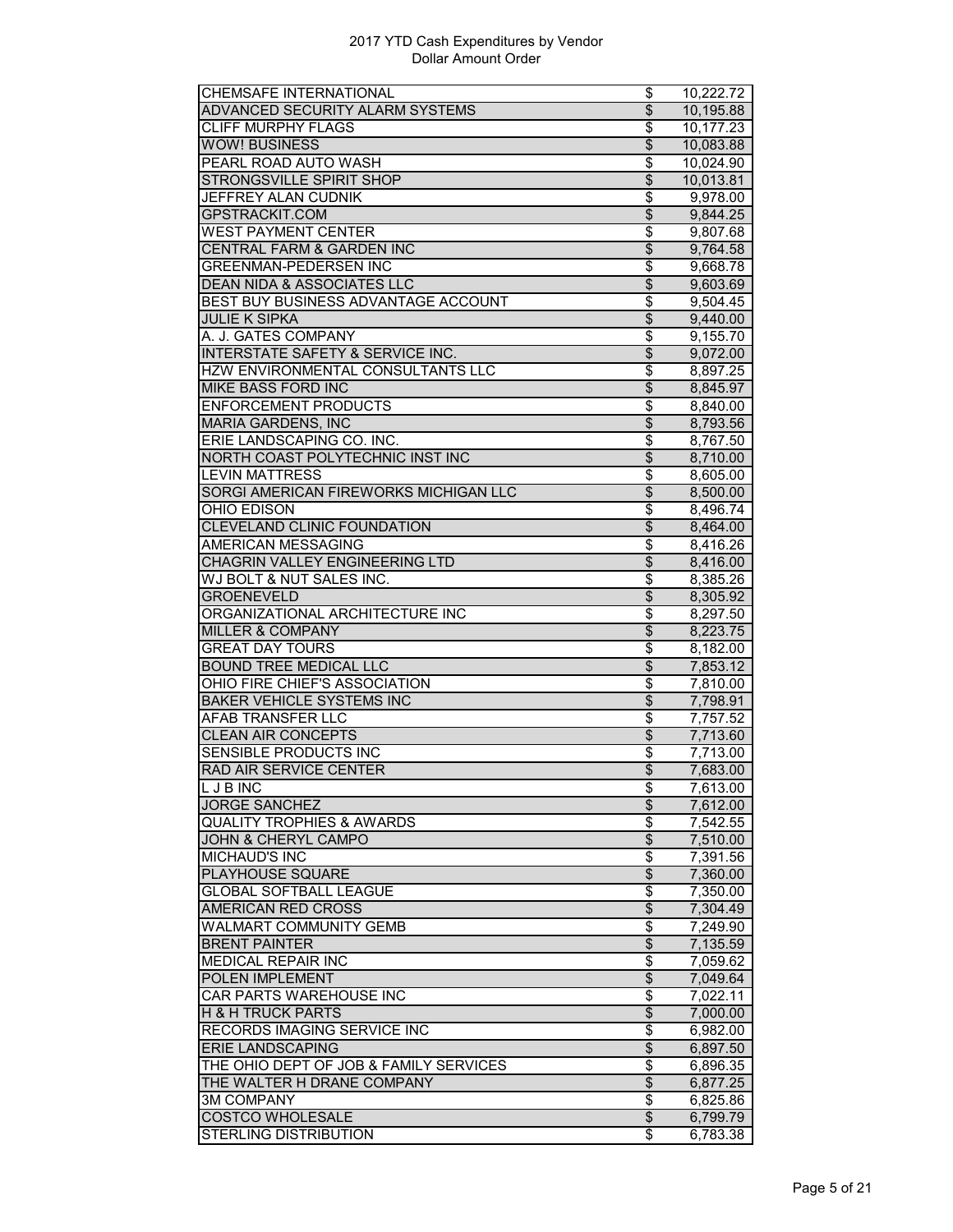| CHEMSAFE INTERNATIONAL                      | \$                                 | 10.222.72 |
|---------------------------------------------|------------------------------------|-----------|
| ADVANCED SECURITY ALARM SYSTEMS             | $\overline{\$}$                    | 10,195.88 |
| <b>CLIFF MURPHY FLAGS</b>                   | $\overline{\boldsymbol{\epsilon}}$ | 10,177.23 |
| <b>WOW! BUSINESS</b>                        | \$                                 | 10,083.88 |
| PEARL ROAD AUTO WASH                        | \$                                 | 10,024.90 |
| STRONGSVILLE SPIRIT SHOP                    | $\overline{\$}$                    | 10,013.81 |
| JEFFREY ALAN CUDNIK                         | \$                                 | 9,978.00  |
| GPSTRACKIT.COM                              | $\overline{\$}$                    | 9,844.25  |
| <b>WEST PAYMENT CENTER</b>                  | \$                                 | 9,807.68  |
| <b>CENTRAL FARM &amp; GARDEN INC</b>        | $\overline{\$}$                    | 9,764.58  |
| <b>GREENMAN-PEDERSEN INC</b>                | $\overline{\boldsymbol{\epsilon}}$ | 9,668.78  |
| <b>DEAN NIDA &amp; ASSOCIATES LLC</b>       | \$                                 | 9,603.69  |
| BEST BUY BUSINESS ADVANTAGE ACCOUNT         | \$                                 | 9,504.45  |
| <b>JULIE K SIPKA</b>                        | $\overline{\$}$                    | 9,440.00  |
| A. J. GATES COMPANY                         | \$                                 |           |
| <b>INTERSTATE SAFETY &amp; SERVICE INC.</b> | $\overline{\$}$                    | 9,155.70  |
|                                             | $\overline{\$}$                    | 9,072.00  |
| HZW ENVIRONMENTAL CONSULTANTS LLC           |                                    | 8,897.25  |
| <b>MIKE BASS FORD INC</b>                   | $\overline{\$}$                    | 8,845.97  |
| <b>ENFORCEMENT PRODUCTS</b>                 | $\overline{\boldsymbol{\epsilon}}$ | 8,840.00  |
| <b>MARIA GARDENS, INC</b>                   | $\overline{\mathcal{S}}$           | 8,793.56  |
| ERIE LANDSCAPING CO. INC.                   | \$                                 | 8,767.50  |
| NORTH COAST POLYTECHNIC INST INC            | $\overline{\$}$                    | 8,710.00  |
| <b>LEVIN MATTRESS</b>                       | $\overline{\$}$                    | 8,605.00  |
| SORGI AMERICAN FIREWORKS MICHIGAN LLC       | $\overline{\$}$                    | 8,500.00  |
| OHIO EDISON                                 | \$                                 | 8,496.74  |
| <b>CLEVELAND CLINIC FOUNDATION</b>          | $\overline{\mathcal{E}}$           | 8,464.00  |
| <b>AMERICAN MESSAGING</b>                   | \$                                 | 8,416.26  |
| CHAGRIN VALLEY ENGINEERING LTD              | $\overline{\$}$                    | 8,416.00  |
| WJ BOLT & NUT SALES INC.                    | \$                                 | 8,385.26  |
| <b>GROENEVELD</b>                           | $\overline{\$}$                    | 8,305.92  |
| ORGANIZATIONAL ARCHITECTURE INC             | \$                                 | 8,297.50  |
| <b>MILLER &amp; COMPANY</b>                 | $\overline{\$}$                    | 8,223.75  |
| <b>GREAT DAY TOURS</b>                      | \$                                 | 8,182.00  |
| <b>BOUND TREE MEDICAL LLC</b>               | $\overline{\mathcal{S}}$           | 7,853.12  |
| OHIO FIRE CHIEF'S ASSOCIATION               | \$                                 | 7,810.00  |
| <b>BAKER VEHICLE SYSTEMS INC</b>            | $\overline{\$}$                    | 7,798.91  |
| AFAB TRANSFER LLC                           | \$                                 | 7,757.52  |
| <b>CLEAN AIR CONCEPTS</b>                   | $\overline{\$}$                    | 7,713.60  |
| <b>SENSIBLE PRODUCTS INC</b>                | \$                                 | 7,713.00  |
| RAD AIR SERVICE CENTER                      | \$                                 |           |
|                                             |                                    | 7,683.00  |
| L J B INC                                   | \$                                 | 7,613.00  |
| <b>JORGE SANCHEZ</b>                        | $\overline{\mathcal{E}}$           | 7,612.00  |
| <b>QUALITY TROPHIES &amp; AWARDS</b>        | \$                                 | 7,542.55  |
| <b>JOHN &amp; CHERYL CAMPO</b>              | $\overline{\$}$                    | 7,510.00  |
| <b>MICHAUD'S INC</b>                        | \$                                 | 7,391.56  |
| PLAYHOUSE SQUARE                            | \$                                 | 7,360.00  |
| <b>GLOBAL SOFTBALL LEAGUE</b>               | \$                                 | 7.350.00  |
| AMERICAN RED CROSS                          | $\overline{\mathbf{e}}$            | 7,304.49  |
| <b>WALMART COMMUNITY GEMB</b>               | \$                                 | 7,249.90  |
| <b>BRENT PAINTER</b>                        | \$                                 | 7,135.59  |
| <b>MEDICAL REPAIR INC</b>                   | $\overline{\boldsymbol{\epsilon}}$ | 7,059.62  |
| POLEN IMPLEMENT                             | $\overline{\$}$                    | 7,049.64  |
| CAR PARTS WAREHOUSE INC                     | $\overline{\boldsymbol{\epsilon}}$ | 7,022.11  |
| <b>H &amp; H TRUCK PARTS</b>                | \$                                 | 7,000.00  |
| RECORDS IMAGING SERVICE INC                 | \$                                 | 6,982.00  |
| <b>ERIE LANDSCAPING</b>                     | \$                                 | 6,897.50  |
| THE OHIO DEPT OF JOB & FAMILY SERVICES      | \$                                 | 6,896.35  |
| THE WALTER H DRANE COMPANY                  | $\overline{\mathcal{S}}$           | 6,877.25  |
| <b>3M COMPANY</b>                           | \$                                 | 6,825.86  |
| <b>COSTCO WHOLESALE</b>                     | $\overline{\mathcal{S}}$           | 6,799.79  |
|                                             |                                    |           |
| STERLING DISTRIBUTION                       | \$                                 | 6,783.38  |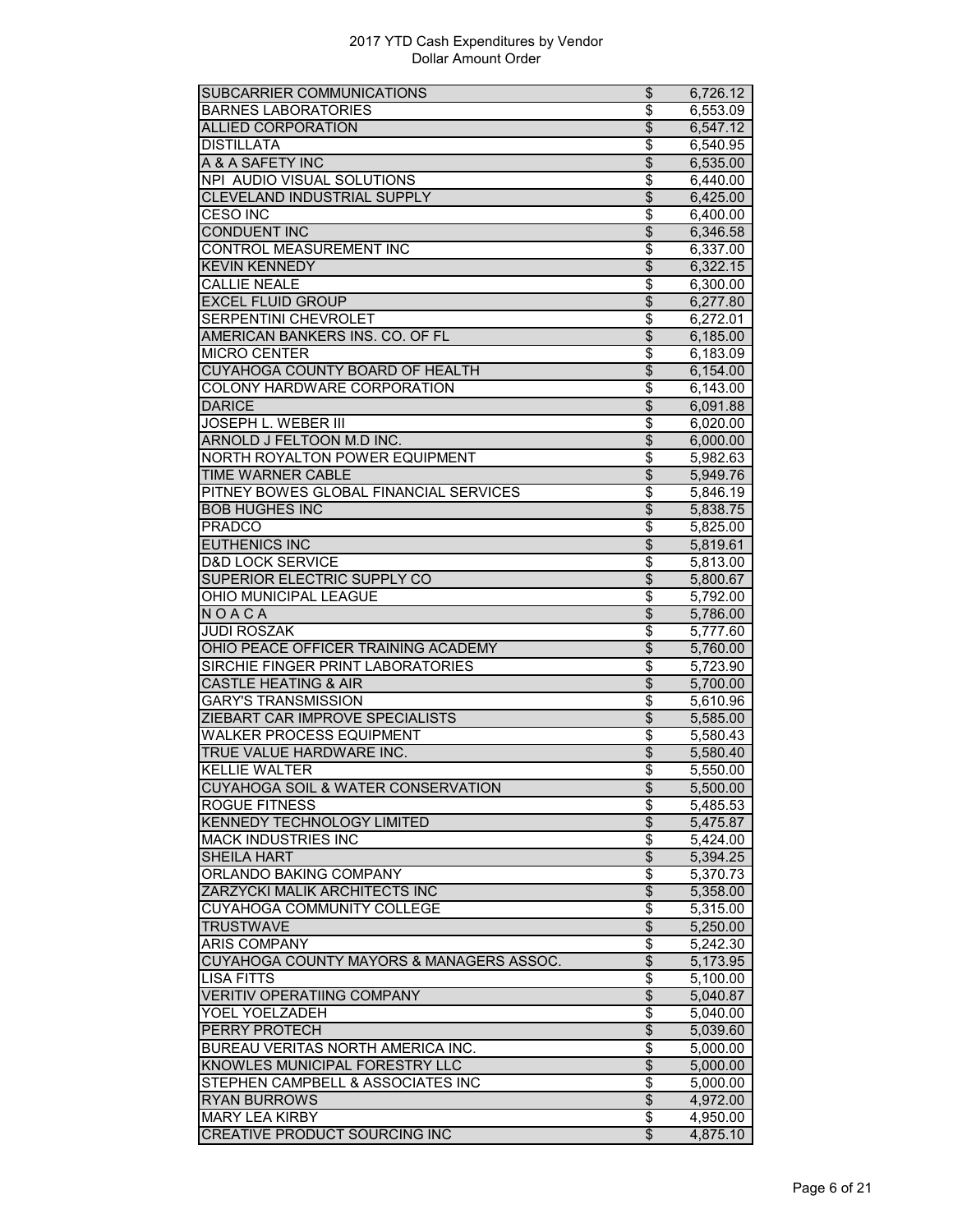| SUBCARRIER COMMUNICATIONS                | \$                                   | 6,726.12             |
|------------------------------------------|--------------------------------------|----------------------|
| <b>BARNES LABORATORIES</b>               | \$                                   | 6,553.09             |
| <b>ALLIED CORPORATION</b>                | $\overline{\$}$                      | 6,547.12             |
| <b>DISTILLATA</b>                        | \$                                   | 6,540.95             |
| A & A SAFETY INC                         | \$                                   | 6,535.00             |
| NPI AUDIO VISUAL SOLUTIONS               | \$                                   | 6,440.00             |
| <b>CLEVELAND INDUSTRIAL SUPPLY</b>       | $\overline{\$}$                      | 6,425.00             |
| <b>CESO INC</b>                          | $\overline{\boldsymbol{\mathsf{s}}}$ | 6,400.00             |
| <b>CONDUENT INC</b>                      | $\overline{\$}$                      | 6,346.58             |
| <b>CONTROL MEASUREMENT INC</b>           | \$                                   | 6,337.00             |
| <b>KEVIN KENNEDY</b>                     | $\overline{\mathcal{E}}$             | 6,322.15             |
| <b>CALLIE NEALE</b>                      | \$                                   | 6,300.00             |
| <b>EXCEL FLUID GROUP</b>                 | $\overline{\$}$                      | 6,277.80             |
| SERPENTINI CHEVROLET                     | $\overline{\$}$                      | 6,272.01             |
| AMERICAN BANKERS INS. CO. OF FL          | $\overline{\$}$                      | 6,185.00             |
| <b>MICRO CENTER</b>                      | \$                                   | 6,183.09             |
| CUYAHOGA COUNTY BOARD OF HEALTH          | $\overline{\$}$                      | 6,154.00             |
| COLONY HARDWARE CORPORATION              | $\overline{\boldsymbol{\epsilon}}$   | 6,143.00             |
| <b>DARICE</b>                            | $\overline{\mathcal{S}}$             | 6,091.88             |
| JOSEPH L. WEBER III                      | \$                                   | 6,020.00             |
| ARNOLD J FELTOON M.D INC.                | $\overline{\mathcal{S}}$             | 6,000.00             |
| NORTH ROYALTON POWER EQUIPMENT           | $\overline{\$}$                      | 5,982.63             |
| <b>TIME WARNER CABLE</b>                 | $\overline{\$}$                      | 5,949.76             |
| PITNEY BOWES GLOBAL FINANCIAL SERVICES   | \$                                   | 5,846.19             |
| <b>BOB HUGHES INC</b>                    | \$                                   | 5,838.75             |
| <b>PRADCO</b>                            | \$                                   | 5,825.00             |
| <b>EUTHENICS INC</b>                     | $\overline{\$}$                      | 5,819.61             |
| <b>D&amp;D LOCK SERVICE</b>              | \$                                   | 5,813.00             |
| SUPERIOR ELECTRIC SUPPLY CO              | $\overline{\$}$                      | 5,800.67             |
| OHIO MUNICIPAL LEAGUE                    | \$                                   | 5,792.00             |
| NOACA                                    | $\overline{\$}$                      | 5,786.00             |
| <b>JUDI ROSZAK</b>                       | $\overline{\boldsymbol{\epsilon}}$   | 5,777.60             |
| OHIO PEACE OFFICER TRAINING ACADEMY      | \$                                   | 5,760.00             |
| SIRCHIE FINGER PRINT LABORATORIES        | \$                                   | 5,723.90             |
| <b>CASTLE HEATING &amp; AIR</b>          | $\overline{\$}$                      | 5,700.00             |
| <b>GARY'S TRANSMISSION</b>               | \$                                   | 5,610.96             |
| ZIEBART CAR IMPROVE SPECIALISTS          | $\overline{\mathcal{L}}$             | 5,585.00             |
| <b>WALKER PROCESS EQUIPMENT</b>          | $\overline{\boldsymbol{\theta}}$     | 5,580.43             |
| TRUE VALUE HARDWARE INC.                 | $\overline{\mathcal{E}}$             | 5,580.40             |
| <b>KELLIE WALTER</b>                     | $\overline{\boldsymbol{\epsilon}}$   | 5,550.00             |
| CUYAHOGA SOIL & WATER CONSERVATION       | \$                                   | 5,500.00             |
| ROGUE FITNESS                            | \$                                   | 5,485.53             |
| KENNEDY TECHNOLOGY LIMITED               | $\overline{\$}$                      | 5,475.87             |
| <b>MACK INDUSTRIES INC</b>               | \$                                   | 5,424.00             |
| <b>SHEILA HART</b>                       | $\overline{\mathbf{e}}$              | 5,394.25             |
| ORLANDO BAKING COMPANY                   | \$                                   | 5,370.73             |
| ZARZYCKI MALIK ARCHITECTS INC            | \$                                   | 5,358.00             |
| CUYAHOGA COMMUNITY COLLEGE               | \$                                   | 5,315.00             |
| <b>TRUSTWAVE</b>                         | $\overline{\$}$                      | 5,250.00             |
| <b>ARIS COMPANY</b>                      | \$                                   | 5,242.30             |
| CUYAHOGA COUNTY MAYORS & MANAGERS ASSOC. | $\overline{\$}$                      | 5,173.95             |
| <b>LISA FITTS</b>                        | $\overline{\boldsymbol{\theta}}$     | 5,100.00             |
| <b>VERITIV OPERATIING COMPANY</b>        | $\overline{\$}$                      | 5,040.87             |
| YOEL YOELZADEH                           | \$                                   | 5,040.00             |
| PERRY PROTECH                            | \$                                   | 5,039.60             |
| BUREAU VERITAS NORTH AMERICA INC.        | \$                                   |                      |
| KNOWLES MUNICIPAL FORESTRY LLC           | $\overline{\$}$                      | 5,000.00             |
| STEPHEN CAMPBELL & ASSOCIATES INC        | \$                                   | 5,000.00             |
| <b>RYAN BURROWS</b>                      | $\overline{\mathbf{e}}$              | 5,000.00<br>4,972.00 |
| <b>MARY LEA KIRBY</b>                    | \$                                   | 4,950.00             |
|                                          | $\mathfrak{L}$                       |                      |
| CREATIVE PRODUCT SOURCING INC            |                                      | 4,875.10             |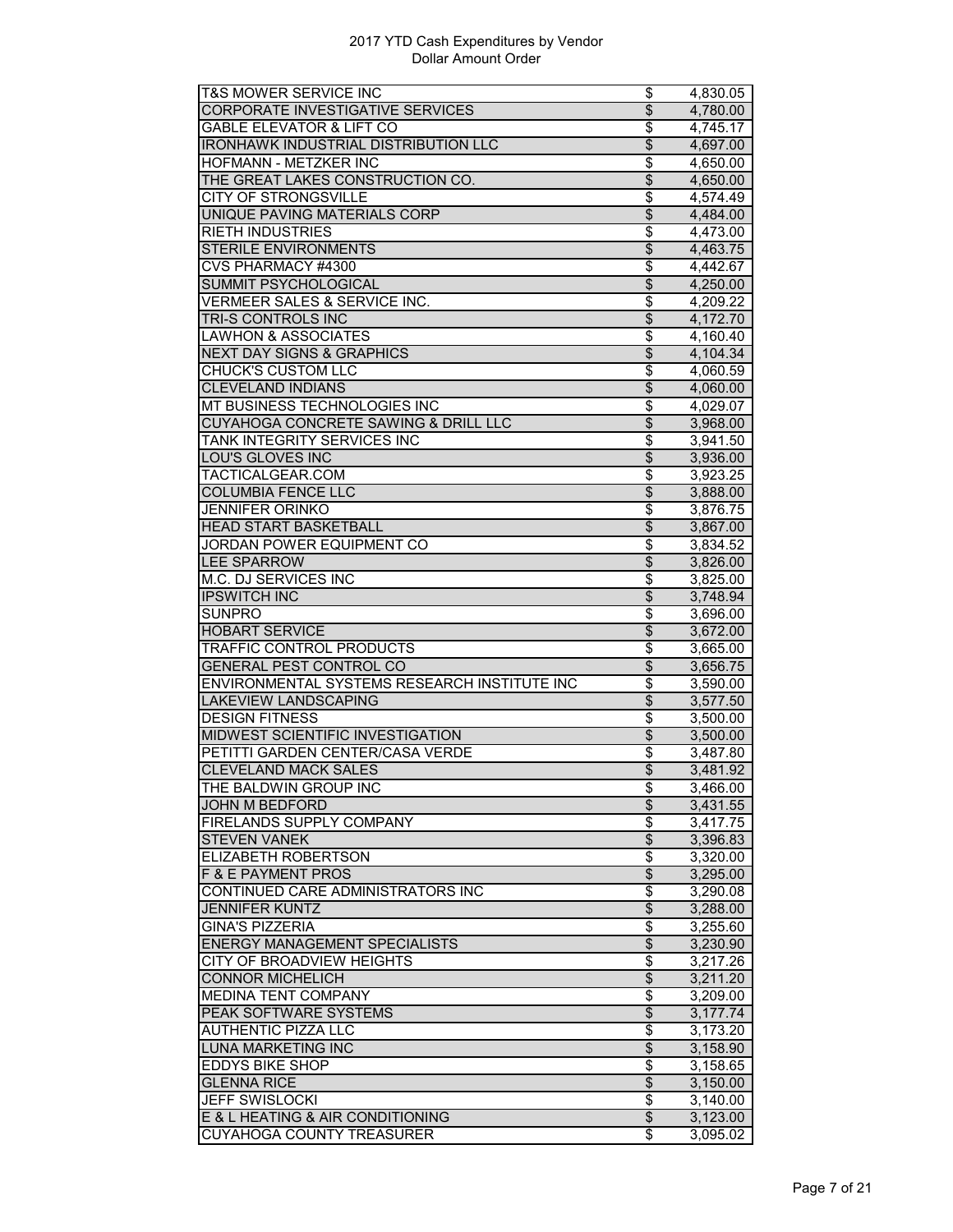| T&S MOWER SERVICE INC                        | \$                                   | 4,830.05 |
|----------------------------------------------|--------------------------------------|----------|
| <b>CORPORATE INVESTIGATIVE SERVICES</b>      | $\overline{\$}$                      | 4,780.00 |
| <b>GABLE ELEVATOR &amp; LIFT CO</b>          | $\overline{\boldsymbol{\epsilon}}$   | 4,745.17 |
| <b>IRONHAWK INDUSTRIAL DISTRIBUTION LLC</b>  | \$                                   | 4,697.00 |
| HOFMANN - METZKER INC                        | \$                                   | 4,650.00 |
| THE GREAT LAKES CONSTRUCTION CO.             | $\overline{\$}$                      | 4,650.00 |
| <b>CITY OF STRONGSVILLE</b>                  | $\overline{\$}$                      | 4,574.49 |
| UNIQUE PAVING MATERIALS CORP                 | $\overline{\$}$                      | 4,484.00 |
| <b>RIETH INDUSTRIES</b>                      | \$                                   | 4,473.00 |
| <b>STERILE ENVIRONMENTS</b>                  | $\overline{\$}$                      | 4,463.75 |
| <b>CVS PHARMACY #4300</b>                    | \$                                   | 4,442.67 |
| <b>SUMMIT PSYCHOLOGICAL</b>                  | \$                                   | 4,250.00 |
| VERMEER SALES & SERVICE INC.                 | \$                                   |          |
|                                              |                                      | 4,209.22 |
| TRI-S CONTROLS INC                           | $\overline{\$}$                      | 4,172.70 |
| <b>LAWHON &amp; ASSOCIATES</b>               | \$                                   | 4,160.40 |
| <b>NEXT DAY SIGNS &amp; GRAPHICS</b>         | $\overline{\$}$                      | 4,104.34 |
| <b>CHUCK'S CUSTOM LLC</b>                    | $\overline{\$}$                      | 4,060.59 |
| <b>CLEVELAND INDIANS</b>                     | $\overline{\$}$                      | 4,060.00 |
| MT BUSINESS TECHNOLOGIES INC                 | $\overline{\boldsymbol{\epsilon}}$   | 4,029.07 |
| CUYAHOGA CONCRETE SAWING & DRILL LLC         | $\overline{\$}$                      | 3,968.00 |
| TANK INTEGRITY SERVICES INC                  | \$                                   | 3,941.50 |
| LOU'S GLOVES INC                             | $\overline{\$}$                      | 3,936.00 |
| TACTICALGEAR.COM                             | $\overline{\$}$                      | 3,923.25 |
| <b>COLUMBIA FENCE LLC</b>                    | $\overline{\$}$                      | 3,888.00 |
| <b>JENNIFER ORINKO</b>                       | \$                                   | 3,876.75 |
| <b>HEAD START BASKETBALL</b>                 | $\overline{\mathcal{E}}$             | 3,867.00 |
| <b>JORDAN POWER EQUIPMENT CO</b>             | \$                                   | 3,834.52 |
| <b>LEE SPARROW</b>                           | $\overline{\$}$                      | 3,826.00 |
| <b>M.C. DJ SERVICES INC</b>                  | $\overline{\boldsymbol{\mathsf{S}}}$ |          |
|                                              | $\overline{\$}$                      | 3,825.00 |
| <b>IPSWITCH INC</b>                          |                                      | 3,748.94 |
| <b>SUNPRO</b>                                | \$                                   | 3,696.00 |
| <b>HOBART SERVICE</b>                        | $\overline{\$}$                      | 3,672.00 |
| <b>TRAFFIC CONTROL PRODUCTS</b>              | \$                                   | 3,665.00 |
| <b>GENERAL PEST CONTROL CO</b>               | $\overline{\theta}$                  | 3,656.75 |
| ENVIRONMENTAL SYSTEMS RESEARCH INSTITUTE INC | $\overline{\boldsymbol{\epsilon}}$   | 3,590.00 |
| <b>LAKEVIEW LANDSCAPING</b>                  | $\overline{\$}$                      | 3,577.50 |
| <b>DESIGN FITNESS</b>                        | $\overline{\$}$                      | 3,500.00 |
| MIDWEST SCIENTIFIC INVESTIGATION             | $\overline{\$}$                      | 3,500.00 |
| PETITTI GARDEN CENTER/CASA VERDE             | $\overline{\boldsymbol{\theta}}$     | 3,487.80 |
| <b>CLEVELAND MACK SALES</b>                  | $\overline{\$}$                      | 3,481.92 |
| THE BALDWIN GROUP INC                        | \$                                   | 3,466.00 |
| JOHN M BEDFORD                               | $\overline{\mathcal{E}}$             | 3,431.55 |
| FIRELANDS SUPPLY COMPANY                     | \$                                   | 3,417.75 |
| <b>STEVEN VANEK</b>                          | $\overline{\$}$                      | 3,396.83 |
| <b>ELIZABETH ROBERTSON</b>                   | \$                                   | 3,320.00 |
| F & E PAYMENT PROS                           | \$                                   | 3,295.00 |
| CONTINUED CARE ADMINISTRATORS INC            | \$                                   | 3,290.08 |
| <b>JENNIFER KUNTZ</b>                        | \$                                   | 3,288.00 |
| <b>GINA'S PIZZERIA</b>                       | \$                                   |          |
|                                              |                                      | 3,255.60 |
| <b>ENERGY MANAGEMENT SPECIALISTS</b>         | $\overline{\theta}$                  | 3,230.90 |
| <b>CITY OF BROADVIEW HEIGHTS</b>             | $\overline{\boldsymbol{\epsilon}}$   | 3,217.26 |
| <b>CONNOR MICHELICH</b>                      | $\overline{\$}$                      | 3,211.20 |
| <b>MEDINA TENT COMPANY</b>                   | $\overline{\boldsymbol{\theta}}$     | 3,209.00 |
| PEAK SOFTWARE SYSTEMS                        | \$                                   | 3,177.74 |
| <b>AUTHENTIC PIZZA LLC</b>                   | \$                                   | 3,173.20 |
| <b>LUNA MARKETING INC</b>                    | \$                                   | 3,158.90 |
| <b>EDDYS BIKE SHOP</b>                       | $\overline{\boldsymbol{\theta}}$     | 3,158.65 |
| <b>GLENNA RICE</b>                           | $\overline{\mathcal{S}}$             | 3,150.00 |
|                                              |                                      |          |
| <b>JEFF SWISLOCKI</b>                        | \$                                   | 3,140.00 |
| E & L HEATING & AIR CONDITIONING             | $\overline{\$}$                      | 3,123.00 |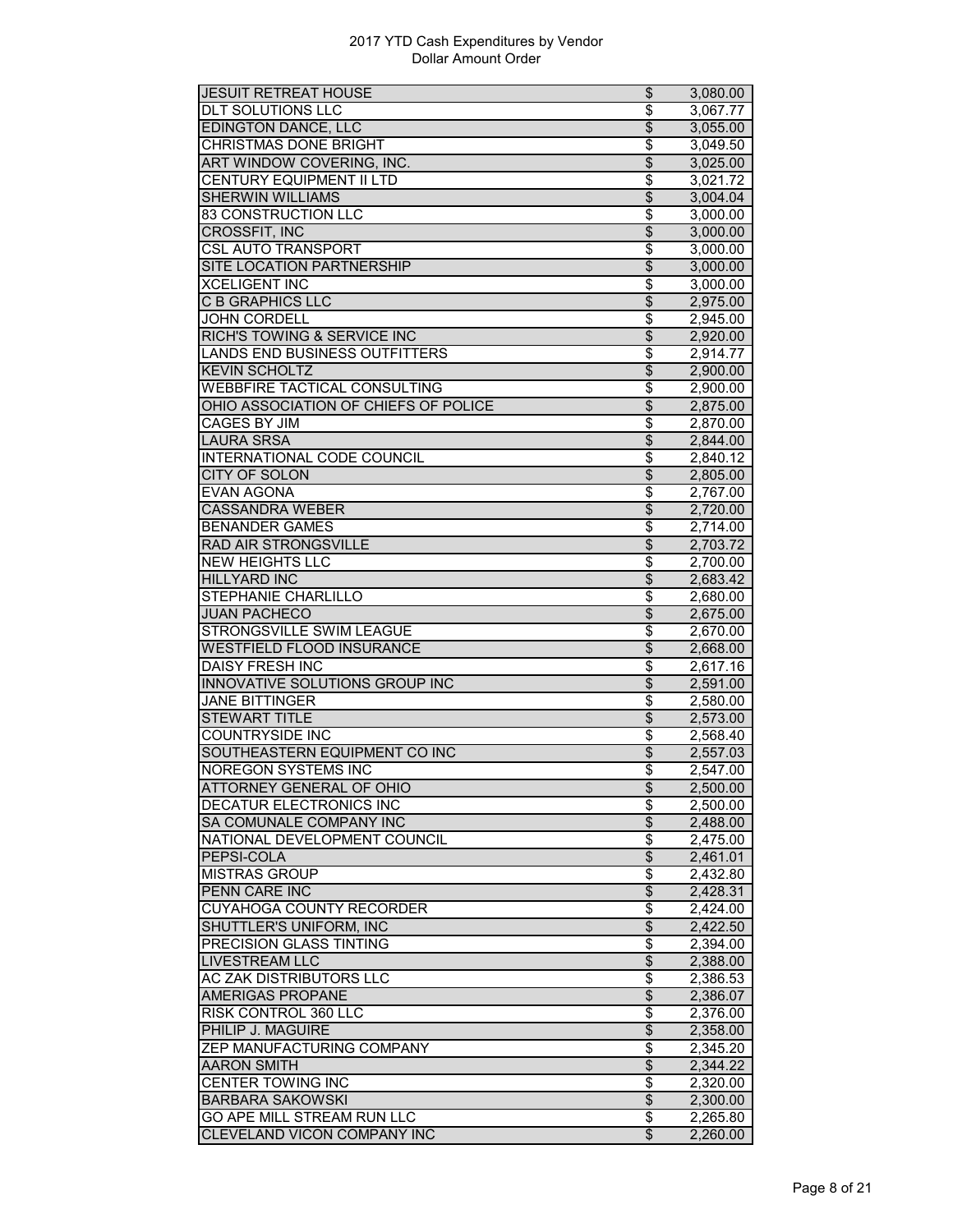| <b>JESUIT RETREAT HOUSE</b>                               | \$                                   | 3,080.00             |
|-----------------------------------------------------------|--------------------------------------|----------------------|
| <b>DLT SOLUTIONS LLC</b>                                  | \$                                   | 3,067.77             |
| <b>EDINGTON DANCE, LLC</b>                                | $\overline{\mathcal{L}}$             | 3,055.00             |
| <b>CHRISTMAS DONE BRIGHT</b>                              | \$                                   | 3,049.50             |
| ART WINDOW COVERING, INC.                                 | \$                                   | 3,025.00             |
| <b>CENTURY EQUIPMENT II LTD</b>                           | \$                                   | 3,021.72             |
| <b>SHERWIN WILLIAMS</b>                                   | \$                                   | 3,004.04             |
| 83 CONSTRUCTION LLC                                       | \$                                   | 3,000.00             |
| <b>CROSSFIT, INC</b>                                      | $\overline{\$}$                      | 3,000.00             |
| <b>CSL AUTO TRANSPORT</b>                                 | \$                                   | 3,000.00             |
| <b>SITE LOCATION PARTNERSHIP</b>                          | $\overline{\mathcal{E}}$             | 3,000.00             |
| <b>XCELIGENT INC</b>                                      | \$                                   | 3,000.00             |
| <b>C B GRAPHICS LLC</b>                                   | \$                                   | 2,975.00             |
| <b>JOHN CORDELL</b>                                       | \$                                   | 2,945.00             |
| RICH'S TOWING & SERVICE INC                               | \$                                   | 2,920.00             |
| LANDS END BUSINESS OUTFITTERS                             | \$                                   | 2,914.77             |
| <b>KEVIN SCHOLTZ</b>                                      | $\overline{\$}$                      | 2,900.00             |
| <b>WEBBFIRE TACTICAL CONSULTING</b>                       | \$                                   | 2,900.00             |
| OHIO ASSOCIATION OF CHIEFS OF POLICE                      | $\overline{\$}$                      | 2,875.00             |
| <b>CAGES BY JIM</b>                                       | \$                                   | 2.870.00             |
|                                                           |                                      |                      |
| <b>LAURA SRSA</b>                                         | $\overline{\$}$                      | 2,844.00             |
| INTERNATIONAL CODE COUNCIL                                | $\overline{\$}$                      | 2,840.12             |
| CITY OF SOLON                                             | $\overline{\$}$                      | 2,805.00             |
| <b>EVAN AGONA</b>                                         | \$                                   | 2,767.00             |
| <b>CASSANDRA WEBER</b>                                    | \$                                   | 2,720.00             |
| <b>BENANDER GAMES</b>                                     | \$                                   | 2,714.00             |
| RAD AIR STRONGSVILLE                                      | $\overline{\$}$                      | 2,703.72             |
| <b>NEW HEIGHTS LLC</b>                                    | \$                                   | 2,700.00             |
| <b>HILLYARD INC</b>                                       | $\overline{\$}$                      | 2,683.42             |
| STEPHANIE CHARLILLO                                       | \$                                   | 2,680.00             |
| <b>JUAN PACHECO</b>                                       | $\overline{\mathcal{L}}$             | 2,675.00             |
| STRONGSVILLE SWIM LEAGUE                                  | \$                                   | 2,670.00             |
| <b>WESTFIELD FLOOD INSURANCE</b>                          | \$                                   | 2,668.00             |
| <b>DAISY FRESH INC</b>                                    | \$                                   | 2,617.16             |
| <b>INNOVATIVE SOLUTIONS GROUP INC</b>                     | $\overline{\$}$                      | 2,591.00             |
| <b>JANE BITTINGER</b>                                     | $\overline{\$}$                      | 2,580.00             |
| <b>STEWART TITLE</b>                                      | \$                                   | 2,573.00             |
| <b>COUNTRYSIDE INC</b>                                    | \$                                   | 2,568.40             |
| SOUTHEASTERN EQUIPMENT CO INC                             | \$                                   | 2,557.03             |
| <b>NOREGON SYSTEMS INC</b>                                | \$                                   | 2,547.00             |
| ATTORNEY GENERAL OF OHIO                                  | \$                                   | 2,500.00             |
| DECATUR ELECTRONICS INC                                   | \$                                   | 2,500.00             |
| SA COMUNALE COMPANY INC                                   | $\overline{\$}$                      | 2,488.00             |
| NATIONAL DEVELOPMENT COUNCIL                              | \$                                   | 2,475.00             |
| PEPSI-COLA                                                | $\overline{\$}$                      | 2,461.01             |
| <b>MISTRAS GROUP</b>                                      | \$                                   | 2,432.80             |
| <b>PENN CARE INC</b>                                      | \$                                   | 2,428.31             |
| <b>CUYAHOGA COUNTY RECORDER</b>                           | \$                                   | 2,424.00             |
| SHUTTLER'S UNIFORM, INC                                   | $\overline{\$}$                      | 2,422.50             |
| PRECISION GLASS TINTING                                   | $\overline{\boldsymbol{\mathsf{s}}}$ | 2,394.00             |
| <b>LIVESTREAM LLC</b>                                     | \$                                   | 2,388.00             |
| <b>AC ZAK DISTRIBUTORS LLC</b>                            | \$                                   | 2,386.53             |
| <b>AMERIGAS PROPANE</b>                                   |                                      |                      |
|                                                           | $\overline{\mathcal{L}}$             | 2,386.07             |
| RISK CONTROL 360 LLC                                      | \$                                   | 2,376.00             |
| PHILIP J. MAGUIRE                                         | \$                                   | 2,358.00             |
| ZEP MANUFACTURING COMPANY                                 | \$                                   | 2,345.20             |
| <b>AARON SMITH</b>                                        | $\overline{\$}$                      | 2,344.22             |
| <b>CENTER TOWING INC</b>                                  |                                      | 2,320.00             |
|                                                           | \$                                   |                      |
| <b>BARBARA SAKOWSKI</b>                                   | $\overline{\$}$                      | 2,300.00             |
| GO APE MILL STREAM RUN LLC<br>CLEVELAND VICON COMPANY INC | \$<br>\$                             | 2,265.80<br>2,260.00 |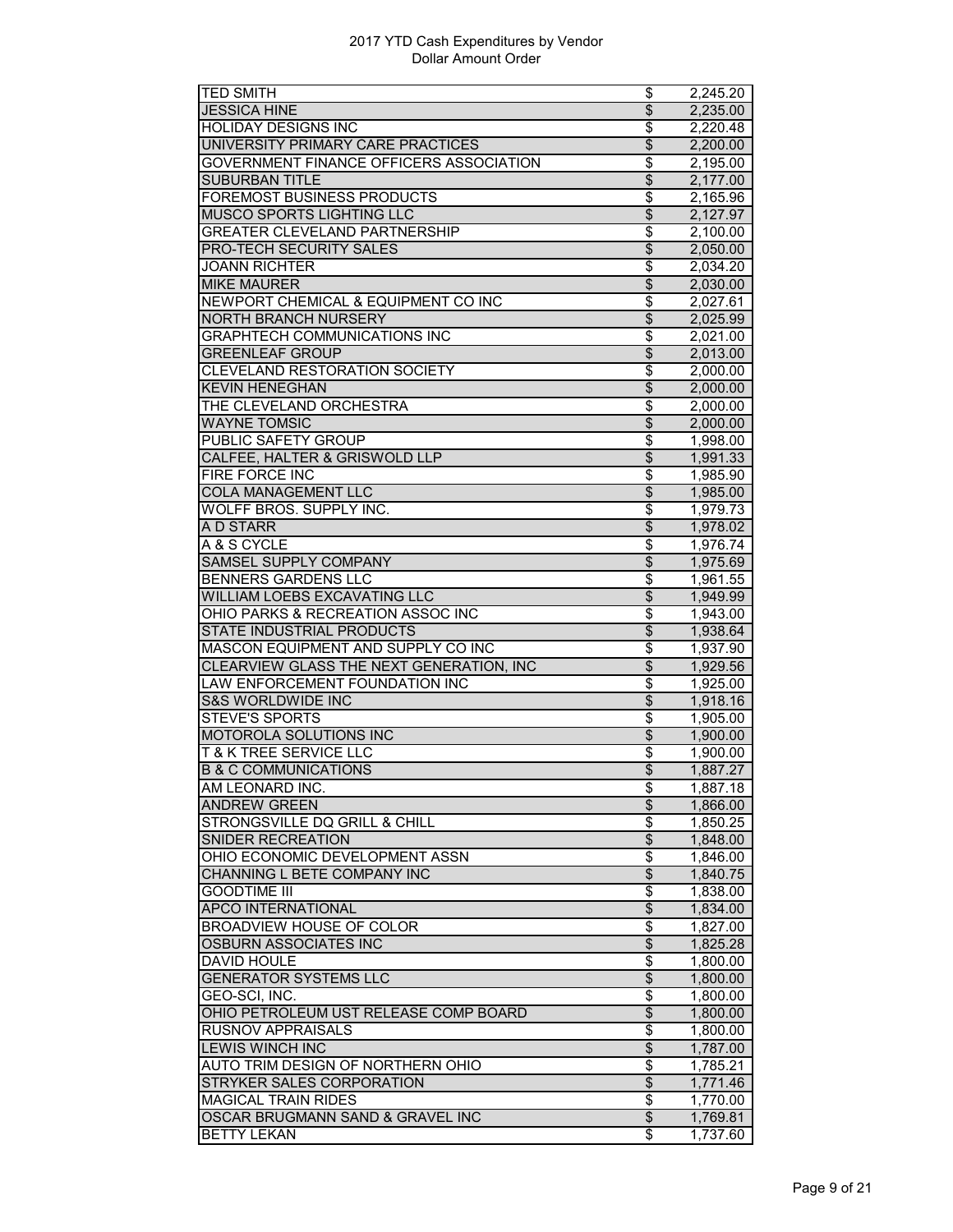| <b>TED SMITH</b>                         | \$                                 | 2,245.20 |
|------------------------------------------|------------------------------------|----------|
| <b>JESSICA HINE</b>                      | $\overline{\$}$                    | 2,235.00 |
| <b>HOLIDAY DESIGNS INC</b>               | \$                                 | 2,220.48 |
| UNIVERSITY PRIMARY CARE PRACTICES        | \$                                 | 2,200.00 |
| GOVERNMENT FINANCE OFFICERS ASSOCIATION  | \$                                 | 2,195.00 |
| <b>SUBURBAN TITLE</b>                    | $\overline{\$}$                    | 2,177.00 |
| <b>FOREMOST BUSINESS PRODUCTS</b>        | \$                                 | 2,165.96 |
| MUSCO SPORTS LIGHTING LLC                | $\overline{\$}$                    | 2,127.97 |
| <b>GREATER CLEVELAND PARTNERSHIP</b>     | \$                                 | 2,100.00 |
| PRO-TECH SECURITY SALES                  | $\overline{\$}$                    | 2,050.00 |
| <b>JOANN RICHTER</b>                     | \$                                 | 2,034.20 |
| <b>MIKE MAURER</b>                       | \$                                 | 2,030.00 |
| NEWPORT CHEMICAL & EQUIPMENT CO INC      | \$                                 | 2,027.61 |
| <b>NORTH BRANCH NURSERY</b>              | $\overline{\$}$                    | 2,025.99 |
| <b>GRAPHTECH COMMUNICATIONS INC</b>      | \$                                 | 2,021.00 |
| <b>GREENLEAF GROUP</b>                   | $\overline{\$}$                    | 2,013.00 |
| CLEVELAND RESTORATION SOCIETY            | \$                                 | 2,000.00 |
| <b>KEVIN HENEGHAN</b>                    | $\overline{\$}$                    | 2,000.00 |
| THE CLEVELAND ORCHESTRA                  | \$                                 | 2,000.00 |
| <b>WAYNE TOMSIC</b>                      | $\overline{\$}$                    | 2,000.00 |
| PUBLIC SAFETY GROUP                      | \$                                 | 1,998.00 |
| CALFEE, HALTER & GRISWOLD LLP            | \$                                 | 1,991.33 |
| FIRE FORCE INC                           | \$                                 | 1,985.90 |
| <b>COLA MANAGEMENT LLC</b>               | $\overline{\$}$                    | 1,985.00 |
| WOLFF BROS. SUPPLY INC.                  | \$                                 | 1.979.73 |
| A D STARR                                | \$                                 | 1,978.02 |
| A & S CYCLE                              | \$                                 | 1,976.74 |
| SAMSEL SUPPLY COMPANY                    | $\overline{\$}$                    | 1,975.69 |
| <b>BENNERS GARDENS LLC</b>               | $\overline{\$}$                    | 1,961.55 |
| WILLIAM LOEBS EXCAVATING LLC             | $\overline{\$}$                    | 1,949.99 |
| OHIO PARKS & RECREATION ASSOC INC        | $\overline{\$}$                    | 1,943.00 |
| <b>STATE INDUSTRIAL PRODUCTS</b>         | $\overline{\$}$                    | 1,938.64 |
| MASCON EQUIPMENT AND SUPPLY CO INC       | \$                                 | 1,937.90 |
| CLEARVIEW GLASS THE NEXT GENERATION, INC | $\overline{\$}$                    | 1,929.56 |
| LAW ENFORCEMENT FOUNDATION INC           | \$                                 | 1,925.00 |
| <b>S&amp;S WORLDWIDE INC</b>             | $\overline{\$}$                    | 1,918.16 |
| <b>STEVE'S SPORTS</b>                    | \$                                 | 1,905.00 |
| <b>MOTOROLA SOLUTIONS INC</b>            | $\overline{\$}$                    | 1,900.00 |
| <b>T &amp; K TREE SERVICE LLC</b>        | \$                                 | 1,900.00 |
| <b>B &amp; C COMMUNICATIONS</b>          | $\overline{\mathcal{L}}$           | 1,887.27 |
| AM LEONARD INC.                          | \$                                 | 1,887.18 |
| <b>ANDREW GREEN</b>                      | \$                                 | 1,866.00 |
| STRONGSVILLE DQ GRILL & CHILL            | \$                                 | 1,850.25 |
| <b>SNIDER RECREATION</b>                 | $\overline{\$}$                    | 1,848.00 |
| OHIO ECONOMIC DEVELOPMENT ASSN           | $\overline{\boldsymbol{\epsilon}}$ | 1,846.00 |
| CHANNING L BETE COMPANY INC              | \$                                 | 1,840.75 |
| <b>GOODTIME III</b>                      | \$                                 | 1,838.00 |
| <b>APCO INTERNATIONAL</b>                | \$                                 | 1,834.00 |
| <b>BROADVIEW HOUSE OF COLOR</b>          | \$                                 | 1,827.00 |
| <b>OSBURN ASSOCIATES INC</b>             | $\overline{\theta}$                | 1,825.28 |
| <b>DAVID HOULE</b>                       | $\overline{\$}$                    | 1,800.00 |
| <b>GENERATOR SYSTEMS LLC</b>             | $\overline{\$}$                    | 1,800.00 |
| GEO-SCI, INC.                            | $\overline{\boldsymbol{\theta}}$   | 1,800.00 |
| OHIO PETROLEUM UST RELEASE COMP BOARD    | \$                                 | 1,800.00 |
| RUSNOV APPRAISALS                        | \$                                 | 1,800.00 |
| <b>LEWIS WINCH INC</b>                   | $\overline{\$}$                    | 1,787.00 |
| AUTO TRIM DESIGN OF NORTHERN OHIO        | \$                                 | 1,785.21 |
| STRYKER SALES CORPORATION                | $\overline{\$}$                    | 1,771.46 |
| <b>MAGICAL TRAIN RIDES</b>               | \$                                 | 1,770.00 |
| OSCAR BRUGMANN SAND & GRAVEL INC         | $\overline{\$}$                    | 1,769.81 |
| <b>BETTY LEKAN</b>                       | \$                                 | 1,737.60 |
|                                          |                                    |          |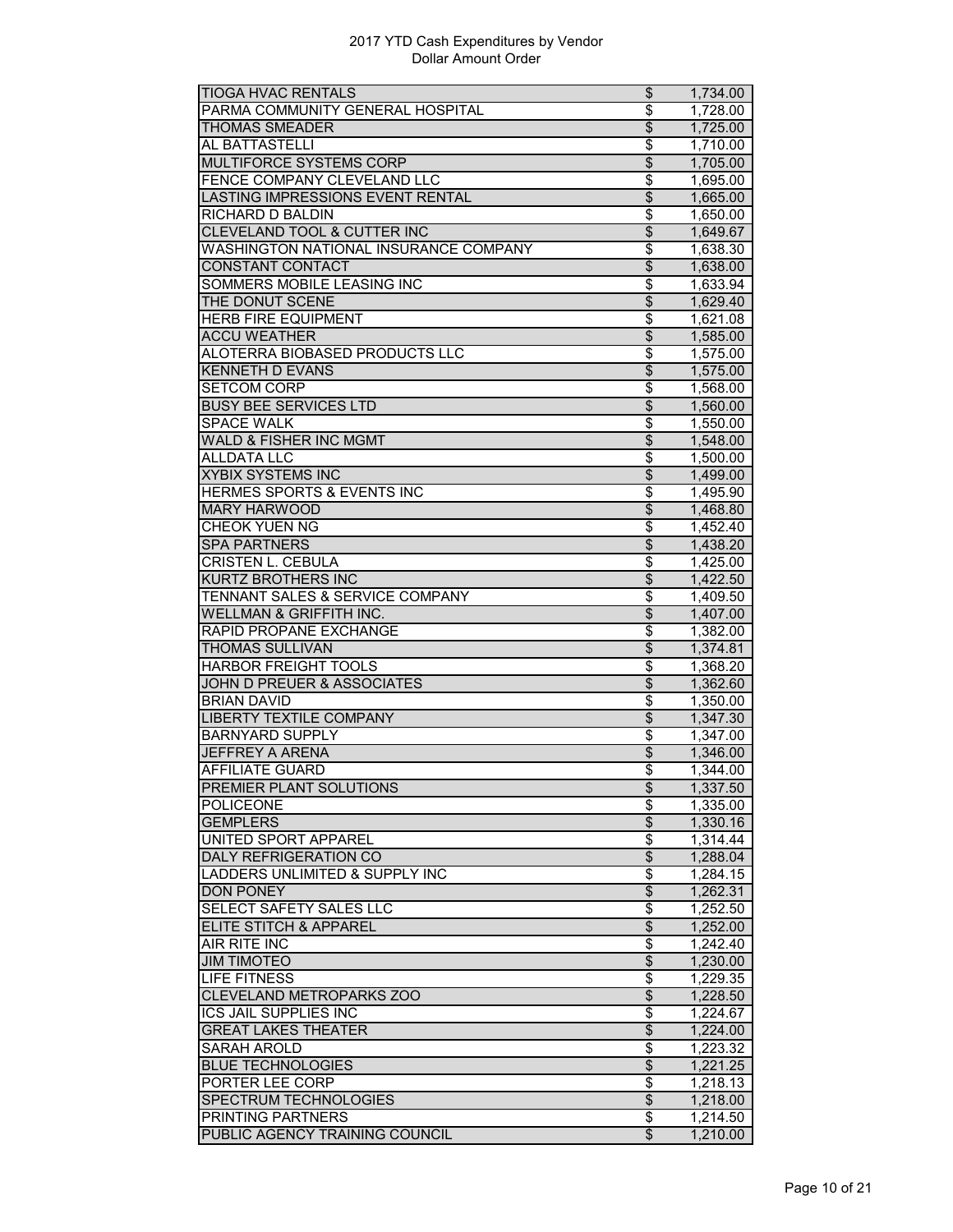| <b>TIOGA HVAC RENTALS</b>                  | \$                                 | 1,734.00 |
|--------------------------------------------|------------------------------------|----------|
| PARMA COMMUNITY GENERAL HOSPITAL           | \$                                 | 1,728.00 |
| <b>THOMAS SMEADER</b>                      | $\overline{\$}$                    | 1,725.00 |
| AL BATTASTELLI                             | \$                                 | 1,710.00 |
| MULTIFORCE SYSTEMS CORP                    | $\overline{\mathcal{S}}$           | 1,705.00 |
| FENCE COMPANY CLEVELAND LLC                | \$                                 | 1,695.00 |
| LASTING IMPRESSIONS EVENT RENTAL           | $\overline{\$}$                    | 1,665.00 |
| RICHARD D BALDIN                           | \$                                 | 1,650.00 |
| CLEVELAND TOOL & CUTTER INC                | $\overline{\$}$                    | 1,649.67 |
| WASHINGTON NATIONAL INSURANCE COMPANY      | $\overline{\$}$                    | 1,638.30 |
| <b>CONSTANT CONTACT</b>                    | $\overline{\$}$                    | 1,638.00 |
| SOMMERS MOBILE LEASING INC                 | \$                                 | 1,633.94 |
| THE DONUT SCENE                            | \$                                 | 1,629.40 |
| <b>HERB FIRE EQUIPMENT</b>                 | \$                                 | 1,621.08 |
| <b>ACCU WEATHER</b>                        | $\overline{\$}$                    | 1,585.00 |
| ALOTERRA BIOBASED PRODUCTS LLC             | \$                                 | 1,575.00 |
| <b>KENNETH D EVANS</b>                     | $\overline{\$}$                    | 1,575.00 |
| <b>SETCOM CORP</b>                         | $\overline{\boldsymbol{\epsilon}}$ | 1,568.00 |
| <b>BUSY BEE SERVICES LTD</b>               | $\overline{\mathcal{L}}$           |          |
|                                            |                                    | 1,560.00 |
| <b>SPACE WALK</b>                          | \$                                 | 1,550.00 |
| <b>WALD &amp; FISHER INC MGMT</b>          | $\overline{\mathcal{S}}$           | 1,548.00 |
| <b>ALLDATA LLC</b>                         | \$                                 | 1,500.00 |
| <b>XYBIX SYSTEMS INC</b>                   | $\overline{\$}$                    | 1,499.00 |
| <b>HERMES SPORTS &amp; EVENTS INC</b>      | \$                                 | 1,495.90 |
| <b>MARY HARWOOD</b>                        | \$                                 | 1,468.80 |
| <b>CHEOK YUEN NG</b>                       | \$                                 | 1,452.40 |
| <b>SPA PARTNERS</b>                        | \$                                 | 1,438.20 |
| <b>CRISTEN L. CEBULA</b>                   | \$                                 | 1,425.00 |
| KURTZ BROTHERS INC                         | $\overline{\$}$                    | 1,422.50 |
| <b>TENNANT SALES &amp; SERVICE COMPANY</b> | $\overline{\$}$                    | 1,409.50 |
| <b>WELLMAN &amp; GRIFFITH INC.</b>         | $\overline{\$}$                    | 1,407.00 |
| RAPID PROPANE EXCHANGE                     | \$                                 | 1,382.00 |
| <b>THOMAS SULLIVAN</b>                     | \$                                 | 1,374.81 |
| <b>HARBOR FREIGHT TOOLS</b>                | \$                                 | 1,368.20 |
| <b>JOHN D PREUER &amp; ASSOCIATES</b>      | $\overline{\$}$                    | 1,362.60 |
| <b>BRIAN DAVID</b>                         | \$                                 | 1,350.00 |
| <b>LIBERTY TEXTILE COMPANY</b>             | $\overline{\$}$                    | 1,347.30 |
| <b>BARNYARD SUPPLY</b>                     | \$                                 | 1,347.00 |
| <b>JEFFREY A ARENA</b>                     | $\overline{\$}$                    | 1,346.00 |
| <b>AFFILIATE GUARD</b>                     | \$                                 | 1,344.00 |
| PREMIER PLANT SOLUTIONS                    | \$                                 | 1,337.50 |
| <b>POLICEONE</b>                           | \$                                 | 1,335.00 |
| <b>GEMPLERS</b>                            | $\overline{\theta}$                | 1,330.16 |
| <b>UNITED SPORT APPAREL</b>                | \$                                 | 1,314.44 |
| <b>DALY REFRIGERATION CO</b>               | $\overline{\theta}$                | 1,288.04 |
| LADDERS UNLIMITED & SUPPLY INC             | \$                                 | 1,284.15 |
| <b>DON PONEY</b>                           | \$                                 | 1,262.31 |
| SELECT SAFETY SALES LLC                    | \$                                 | 1,252.50 |
| <b>ELITE STITCH &amp; APPAREL</b>          | \$                                 | 1,252.00 |
| AIR RITE INC                               | \$                                 | 1,242.40 |
| <b>JIM TIMOTEO</b>                         | $\overline{\$}$                    | 1,230.00 |
| <b>LIFE FITNESS</b>                        | \$                                 | 1,229.35 |
| <b>CLEVELAND METROPARKS ZOO</b>            | $\overline{\$}$                    | 1,228.50 |
| <b>ICS JAIL SUPPLIES INC</b>               | \$                                 | 1,224.67 |
| <b>GREAT LAKES THEATER</b>                 | $\overline{\mathbf{e}}$            |          |
|                                            |                                    | 1,224.00 |
| <b>SARAH AROLD</b>                         | \$                                 | 1,223.32 |
| <b>BLUE TECHNOLOGIES</b>                   | $\overline{\$}$                    | 1,221.25 |
| PORTER LEE CORP                            | \$                                 | 1,218.13 |
| SPECTRUM TECHNOLOGIES                      | $\overline{\mathcal{S}}$           | 1,218.00 |
| PRINTING PARTNERS                          | $\overline{\mathcal{S}}$           | 1,214.50 |
| PUBLIC AGENCY TRAINING COUNCIL             | $\boldsymbol{\mathsf{S}}$          | 1,210.00 |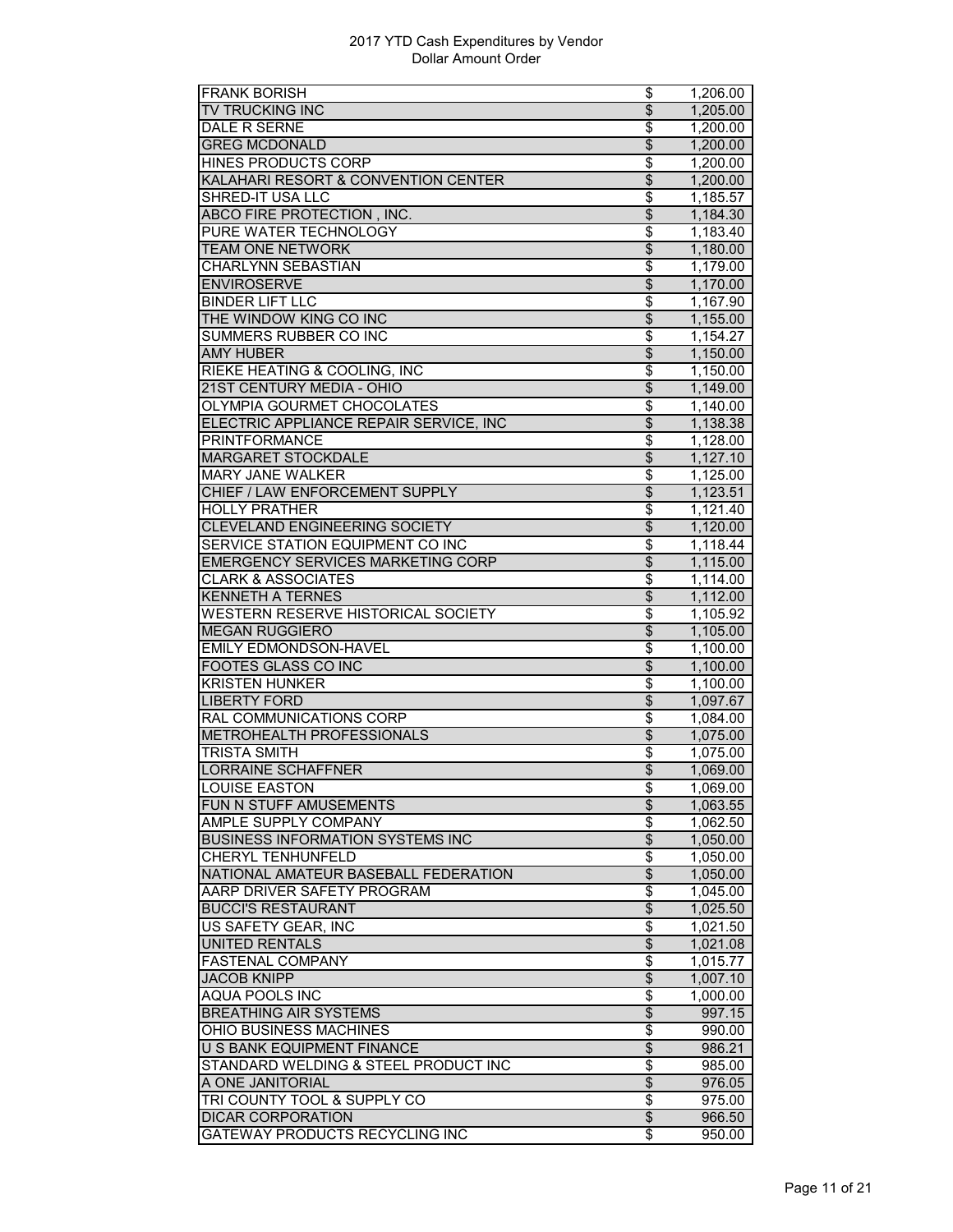| <b>FRANK BORISH</b>                      | \$                                 | 1,206.00 |
|------------------------------------------|------------------------------------|----------|
| <b>TV TRUCKING INC</b>                   | $\overline{\$}$                    | 1,205.00 |
| DALE R SERNE                             | $\overline{\boldsymbol{\epsilon}}$ | 1,200.00 |
| <b>GREG MCDONALD</b>                     | \$                                 | 1,200.00 |
| <b>HINES PRODUCTS CORP</b>               | \$                                 | 1,200.00 |
| KALAHARI RESORT & CONVENTION CENTER      | $\overline{\$}$                    | 1,200.00 |
| <b>SHRED-IT USA LLC</b>                  | \$                                 | 1,185.57 |
| ABCO FIRE PROTECTION, INC.               | \$                                 | 1,184.30 |
| PURE WATER TECHNOLOGY                    | \$                                 | 1,183.40 |
| <b>TEAM ONE NETWORK</b>                  | $\overline{\$}$                    | 1,180.00 |
| CHARLYNN SEBASTIAN                       | \$                                 | 1,179.00 |
| <b>ENVIROSERVE</b>                       |                                    |          |
|                                          | \$<br>\$                           | 1,170.00 |
| <b>BINDER LIFT LLC</b>                   | $\overline{\$}$                    | 1,167.90 |
| THE WINDOW KING CO INC                   |                                    | 1,155.00 |
| <b>SUMMERS RUBBER CO INC</b>             | \$                                 | 1,154.27 |
| <b>AMY HUBER</b>                         | \$                                 | 1,150.00 |
| RIEKE HEATING & COOLING, INC             | \$                                 | 1,150.00 |
| 21ST CENTURY MEDIA - OHIO                | $\overline{\mathcal{L}}$           | 1,149.00 |
| <b>OLYMPIA GOURMET CHOCOLATES</b>        | \$                                 | 1,140.00 |
| ELECTRIC APPLIANCE REPAIR SERVICE, INC   | $\overline{\$}$                    | 1,138.38 |
| <b>PRINTFORMANCE</b>                     | \$                                 | 1,128.00 |
| <b>MARGARET STOCKDALE</b>                | $\overline{\$}$                    | 1,127.10 |
| <b>MARY JANE WALKER</b>                  | \$                                 | 1,125.00 |
| CHIEF / LAW ENFORCEMENT SUPPLY           | $\overline{\mathcal{S}}$           | 1,123.51 |
| <b>HOLLY PRATHER</b>                     | \$                                 | 1,121.40 |
| <b>CLEVELAND ENGINEERING SOCIETY</b>     | \$                                 | 1,120.00 |
| SERVICE STATION EQUIPMENT CO INC         | \$                                 | 1,118.44 |
| <b>EMERGENCY SERVICES MARKETING CORP</b> | $\overline{\$}$                    | 1,115.00 |
| <b>CLARK &amp; ASSOCIATES</b>            | $\overline{\$}$                    | 1,114.00 |
| <b>KENNETH A TERNES</b>                  | $\overline{\$}$                    | 1,112.00 |
| WESTERN RESERVE HISTORICAL SOCIETY       | \$                                 | 1,105.92 |
| <b>MEGAN RUGGIERO</b>                    | \$                                 | 1,105.00 |
| EMILY EDMONDSON-HAVEL                    | \$                                 | 1,100.00 |
| <b>FOOTES GLASS CO INC</b>               | $\overline{\$}$                    | 1,100.00 |
| <b>KRISTEN HUNKER</b>                    | $\overline{\$}$                    | 1,100.00 |
| <b>LIBERTY FORD</b>                      | $\overline{\$}$                    | 1,097.67 |
| RAL COMMUNICATIONS CORP                  | \$                                 | 1,084.00 |
| <b>METROHEALTH PROFESSIONALS</b>         | $\overline{\theta}$                | 1,075.00 |
| <b>TRISTA SMITH</b>                      | $\overline{\boldsymbol{\epsilon}}$ | 1,075.00 |
|                                          | $\overline{\mathcal{L}}$           |          |
| <b>LORRAINE SCHAFFNER</b>                |                                    | 1,069.00 |
| LOUISE EASTON                            | \$                                 | 1,069.00 |
| FUN N STUFF AMUSEMENTS                   | $\overline{\mathcal{S}}$           | 1,063.55 |
| <b>AMPLE SUPPLY COMPANY</b>              | \$                                 | 1,062.50 |
| <b>BUSINESS INFORMATION SYSTEMS INC</b>  | $\overline{\$}$                    | 1,050.00 |
| CHERYL TENHUNFELD                        | \$                                 | 1,050.00 |
| NATIONAL AMATEUR BASEBALL FEDERATION     | \$                                 | 1,050.00 |
| AARP DRIVER SAFETY PROGRAM               | \$                                 | 1,045.00 |
| <b>BUCCI'S RESTAURANT</b>                | $\overline{\mathcal{L}}$           | 1,025.50 |
| US SAFETY GEAR, INC                      | \$                                 | 1,021.50 |
| <b>UNITED RENTALS</b>                    | $\overline{\mathcal{L}}$           | 1,021.08 |
| <b>FASTENAL COMPANY</b>                  | \$                                 | 1,015.77 |
| <b>JACOB KNIPP</b>                       | $\overline{\$}$                    | 1,007.10 |
| <b>AQUA POOLS INC</b>                    | \$                                 | 1,000.00 |
| <b>BREATHING AIR SYSTEMS</b>             | \$                                 | 997.15   |
| OHIO BUSINESS MACHINES                   | \$                                 | 990.00   |
| U S BANK EQUIPMENT FINANCE               | $\overline{\$}$                    | 986.21   |
| STANDARD WELDING & STEEL PRODUCT INC     | \$                                 | 985.00   |
|                                          | $\overline{\mathcal{L}}$           | 976.05   |
| A ONE JANITORIAL                         |                                    |          |
| TRI COUNTY TOOL & SUPPLY CO              | $\overline{\boldsymbol{\epsilon}}$ | 975.00   |
| <b>DICAR CORPORATION</b>                 | $\overline{\mathbf{e}}$            | 966.50   |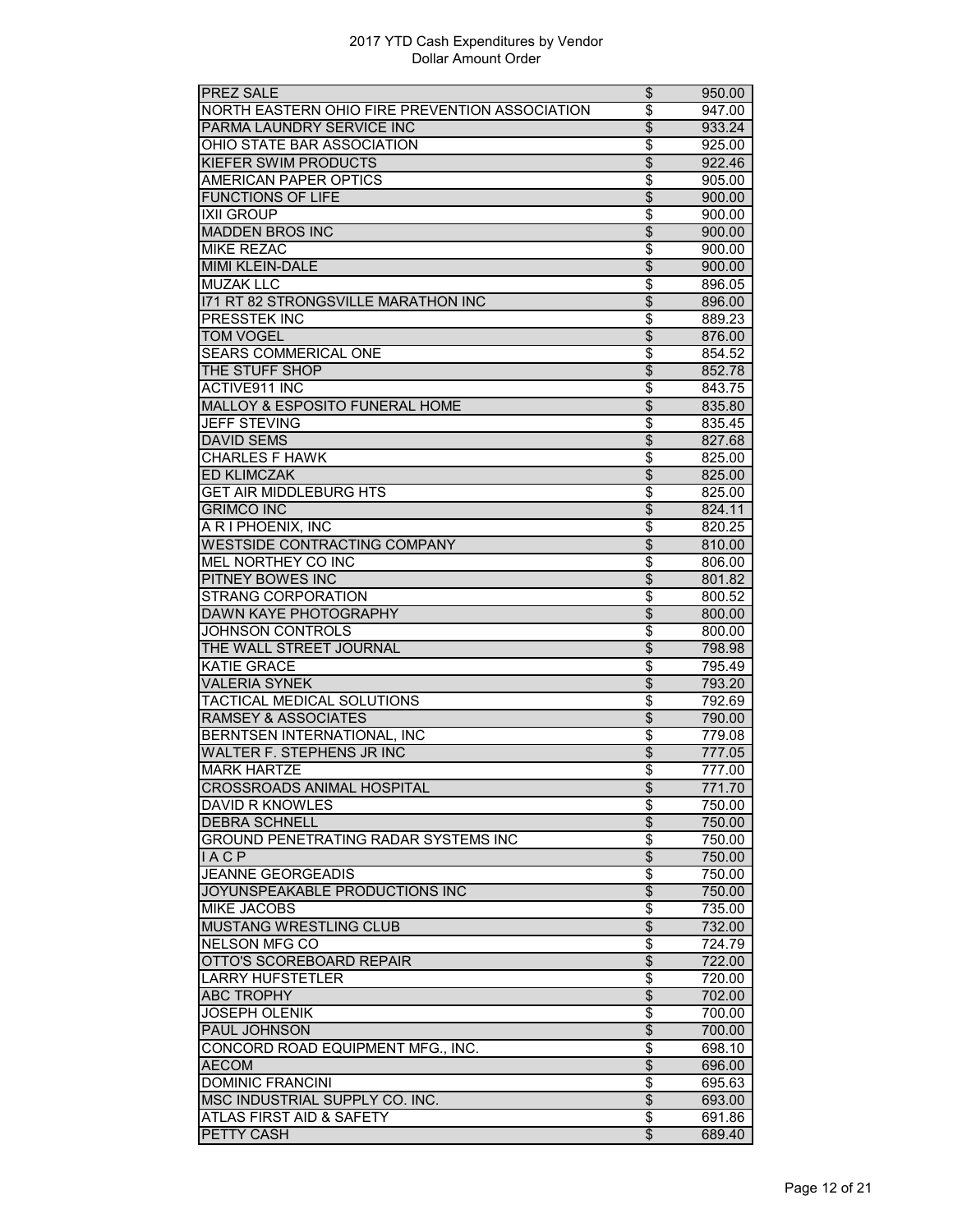| <b>PREZ SALE</b>                               | \$                       | 950.00 |
|------------------------------------------------|--------------------------|--------|
| NORTH EASTERN OHIO FIRE PREVENTION ASSOCIATION | $\overline{\$}$          | 947.00 |
| PARMA LAUNDRY SERVICE INC                      | $\overline{\$}$          | 933.24 |
| OHIO STATE BAR ASSOCIATION                     | \$                       | 925.00 |
| <b>KIEFER SWIM PRODUCTS</b>                    | $\overline{\mathcal{S}}$ | 922.46 |
| <b>AMERICAN PAPER OPTICS</b>                   | \$                       | 905.00 |
| <b>FUNCTIONS OF LIFE</b>                       | $\overline{\$}$          | 900.00 |
| <b>IXII GROUP</b>                              | \$                       | 900.00 |
| <b>MADDEN BROS INC</b>                         | $\overline{\$}$          | 900.00 |
| <b>MIKE REZAC</b>                              |                          |        |
|                                                | \$                       | 900.00 |
| <b>MIMI KLEIN-DALE</b>                         | $\overline{\$}$          | 900.00 |
| <b>MUZAK LLC</b>                               | \$                       | 896.05 |
| 171 RT 82 STRONGSVILLE MARATHON INC            | \$                       | 896.00 |
| PRESSTEK INC                                   | \$                       | 889.23 |
| <b>TOM VOGEL</b>                               | $\overline{\$}$          | 876.00 |
| SEARS COMMERICAL ONE                           | $\overline{\$}$          | 854.52 |
| THE STUFF SHOP                                 | $\overline{\$}$          | 852.78 |
| <b>ACTIVE911 INC</b>                           | \$                       | 843.75 |
| <b>MALLOY &amp; ESPOSITO FUNERAL HOME</b>      | $\overline{\$}$          | 835.80 |
| <b>JEFF STEVING</b>                            | \$                       | 835.45 |
| <b>DAVID SEMS</b>                              | $\overline{\mathcal{L}}$ | 827.68 |
| <b>CHARLES F HAWK</b>                          | \$                       | 825.00 |
| <b>ED KLIMCZAK</b>                             | $\overline{\$}$          | 825.00 |
| <b>GET AIR MIDDLEBURG HTS</b>                  | \$                       | 825.00 |
| <b>GRIMCO INC</b>                              | $\overline{\mathcal{L}}$ | 824.11 |
| A R I PHOENIX, INC                             | \$                       | 820.25 |
| <b>WESTSIDE CONTRACTING COMPANY</b>            | $\overline{\mathcal{S}}$ | 810.00 |
| MEL NORTHEY CO INC                             | \$                       | 806.00 |
| PITNEY BOWES INC                               | $\overline{\mathcal{L}}$ |        |
| <b>STRANG CORPORATION</b>                      | \$                       | 801.82 |
|                                                |                          | 800.52 |
| <b>DAWN KAYE PHOTOGRAPHY</b>                   | $\overline{\$}$          | 800.00 |
| <b>JOHNSON CONTROLS</b>                        | \$                       | 800.00 |
| THE WALL STREET JOURNAL                        | \$                       | 798.98 |
| <b>KATIE GRACE</b>                             | \$                       | 795.49 |
| <b>VALERIA SYNEK</b>                           | $\overline{\mathcal{L}}$ | 793.20 |
| TACTICAL MEDICAL SOLUTIONS                     | \$                       | 792.69 |
| <b>RAMSEY &amp; ASSOCIATES</b>                 | $\overline{\$}$          | 790.00 |
| <b>BERNTSEN INTERNATIONAL, INC</b>             | \$                       | 779.08 |
| <b>WALTER F. STEPHENS JR INC</b>               | $\overline{\$}$          | 777.05 |
| <b>MARK HARTZE</b>                             | \$                       | 777.00 |
| <b>CROSSROADS ANIMAL HOSPITAL</b>              | \$                       | 771.70 |
| <b>DAVID R KNOWLES</b>                         | \$                       | 750.00 |
| <b>DEBRA SCHNELL</b>                           | $\overline{\$}$          | 750.00 |
| GROUND PENETRATING RADAR SYSTEMS INC           | $\overline{\$}$          | 750.00 |
| IACP                                           | $\overline{\$}$          | 750.00 |
| <b>JEANNE GEORGEADIS</b>                       | \$                       | 750.00 |
| JOYUNSPEAKABLE PRODUCTIONS INC                 | $\overline{\theta}$      | 750.00 |
| <b>MIKE JACOBS</b>                             | \$                       | 735.00 |
| <b>MUSTANG WRESTLING CLUB</b>                  | \$                       | 732.00 |
| NELSON MFG CO                                  | \$                       | 724.79 |
| OTTO'S SCOREBOARD REPAIR                       | $\overline{\$}$          | 722.00 |
| <b>LARRY HUFSTETLER</b>                        | $\overline{\$}$          | 720.00 |
| <b>ABC TROPHY</b>                              | $\overline{\$}$          | 702.00 |
|                                                |                          |        |
| <b>JOSEPH OLENIK</b>                           | \$                       | 700.00 |
| PAUL JOHNSON                                   | \$                       | 700.00 |
| CONCORD ROAD EQUIPMENT MFG., INC.              | \$                       | 698.10 |
| <b>AECOM</b>                                   | $\overline{\$}$          | 696.00 |
| <b>DOMINIC FRANCINI</b>                        | \$                       | 695.63 |
| MSC INDUSTRIAL SUPPLY CO. INC.                 | $\overline{\$}$          | 693.00 |
| ATLAS FIRST AID & SAFETY                       | \$                       | 691.86 |
| <b>PETTY CASH</b>                              | $\overline{\$}$          | 689.40 |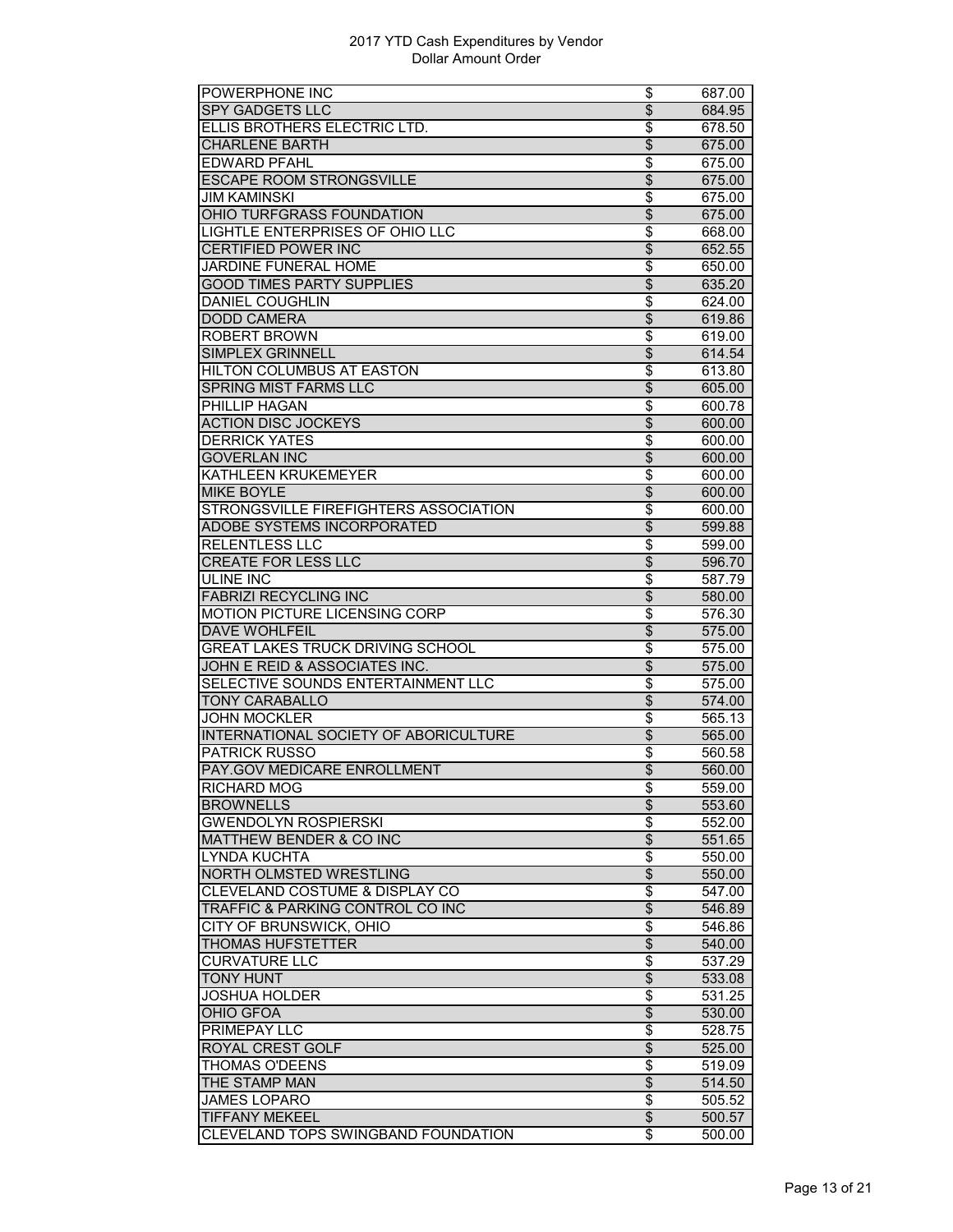| POWERPHONE INC                          | \$                       | 687.00 |
|-----------------------------------------|--------------------------|--------|
| <b>SPY GADGETS LLC</b>                  | $\overline{\$}$          | 684.95 |
| ELLIS BROTHERS ELECTRIC LTD.            | \$                       | 678.50 |
| <b>CHARLENE BARTH</b>                   | \$                       | 675.00 |
| <b>EDWARD PFAHL</b>                     | \$                       | 675.00 |
| <b>ESCAPE ROOM STRONGSVILLE</b>         | $\overline{\$}$          | 675.00 |
| <b>JIM KAMINSKI</b>                     | \$                       | 675.00 |
| OHIO TURFGRASS FOUNDATION               | $\overline{\$}$          | 675.00 |
| <b>LIGHTLE ENTERPRISES OF OHIO LLC</b>  | \$                       | 668.00 |
| <b>CERTIFIED POWER INC</b>              | \$                       | 652.55 |
| JARDINE FUNERAL HOME                    | \$                       | 650.00 |
| <b>GOOD TIMES PARTY SUPPLIES</b>        | \$                       | 635.20 |
|                                         |                          |        |
| <b>DANIEL COUGHLIN</b>                  | \$                       | 624.00 |
| <b>DODD CAMERA</b>                      | $\overline{\$}$          | 619.86 |
| <b>ROBERT BROWN</b>                     | \$                       | 619.00 |
| <b>SIMPLEX GRINNELL</b>                 | $\overline{\$}$          | 614.54 |
| HILTON COLUMBUS AT EASTON               | \$                       | 613.80 |
| <b>SPRING MIST FARMS LLC</b>            | $\overline{\$}$          | 605.00 |
| <b>PHILLIP HAGAN</b>                    | \$                       | 600.78 |
| <b>ACTION DISC JOCKEYS</b>              | \$                       | 600.00 |
| <b>DERRICK YATES</b>                    | \$                       | 600.00 |
| <b>GOVERLAN INC</b>                     | $\overline{\$}$          | 600.00 |
| <b>KATHLEEN KRUKEMEYER</b>              | $\overline{\$}$          | 600.00 |
| <b>MIKE BOYLE</b>                       | $\overline{\$}$          | 600.00 |
| STRONGSVILLE FIREFIGHTERS ASSOCIATION   | \$                       | 600.00 |
| ADOBE SYSTEMS INCORPORATED              | \$                       | 599.88 |
| <b>RELENTLESS LLC</b>                   | \$                       | 599.00 |
| <b>CREATE FOR LESS LLC</b>              | $\overline{\$}$          | 596.70 |
| <b>ULINE INC</b>                        | \$                       | 587.79 |
| <b>FABRIZI RECYCLING INC</b>            | $\overline{\$}$          | 580.00 |
| <b>MOTION PICTURE LICENSING CORP</b>    | \$                       | 576.30 |
| <b>DAVE WOHLFEIL</b>                    | $\overline{\$}$          | 575.00 |
| <b>GREAT LAKES TRUCK DRIVING SCHOOL</b> | \$                       | 575.00 |
| JOHN E REID & ASSOCIATES INC.           | \$                       | 575.00 |
| SELECTIVE SOUNDS ENTERTAINMENT LLC      | \$                       | 575.00 |
| <b>TONY CARABALLO</b>                   | $\overline{\$}$          | 574.00 |
| <b>JOHN MOCKLER</b>                     | \$                       | 565.13 |
| INTERNATIONAL SOCIETY OF ABORICULTURE   | $\overline{\$}$          | 565.00 |
| <b>PATRICK RUSSO</b>                    |                          |        |
|                                         | \$                       | 560.58 |
| PAY.GOV MEDICARE ENROLLMENT             | $\overline{\$}$          | 560.00 |
| RICHARD MOG                             | \$                       | 559.00 |
| <b>BROWNELLS</b>                        | $\overline{\$}$          | 553.60 |
| <b>GWENDOLYN ROSPIERSKI</b>             | \$                       | 552.00 |
| <b>MATTHEW BENDER &amp; CO INC</b>      | $\overline{\$}$          | 551.65 |
| <b>LYNDA KUCHTA</b>                     | \$                       | 550.00 |
| NORTH OLMSTED WRESTLING                 | $\overline{\mathcal{S}}$ | 550.00 |
| CLEVELAND COSTUME & DISPLAY CO          | \$                       | 547.00 |
| TRAFFIC & PARKING CONTROL CO INC        | $\overline{\theta}$      | 546.89 |
| <b>CITY OF BRUNSWICK, OHIO</b>          | \$                       | 546.86 |
| <b>THOMAS HUFSTETTER</b>                | $\frac{1}{2}$            | 540.00 |
| <b>CURVATURE LLC</b>                    | $\overline{\$}$          | 537.29 |
| <b>TONY HUNT</b>                        | $\overline{\$}$          | 533.08 |
| <b>JOSHUA HOLDER</b>                    | \$                       | 531.25 |
| <b>OHIO GFOA</b>                        | \$                       | 530.00 |
| <b>PRIMEPAY LLC</b>                     | \$                       | 528.75 |
| ROYAL CREST GOLF                        | \$                       | 525.00 |
| <b>THOMAS O'DEENS</b>                   | \$                       | 519.09 |
| THE STAMP MAN                           | $\overline{\mathcal{S}}$ | 514.50 |
| <b>JAMES LOPARO</b>                     | \$                       | 505.52 |
| <b>TIFFANY MEKEEL</b>                   | $\overline{\$}$          | 500.57 |
| CLEVELAND TOPS SWINGBAND FOUNDATION     | \$                       | 500.00 |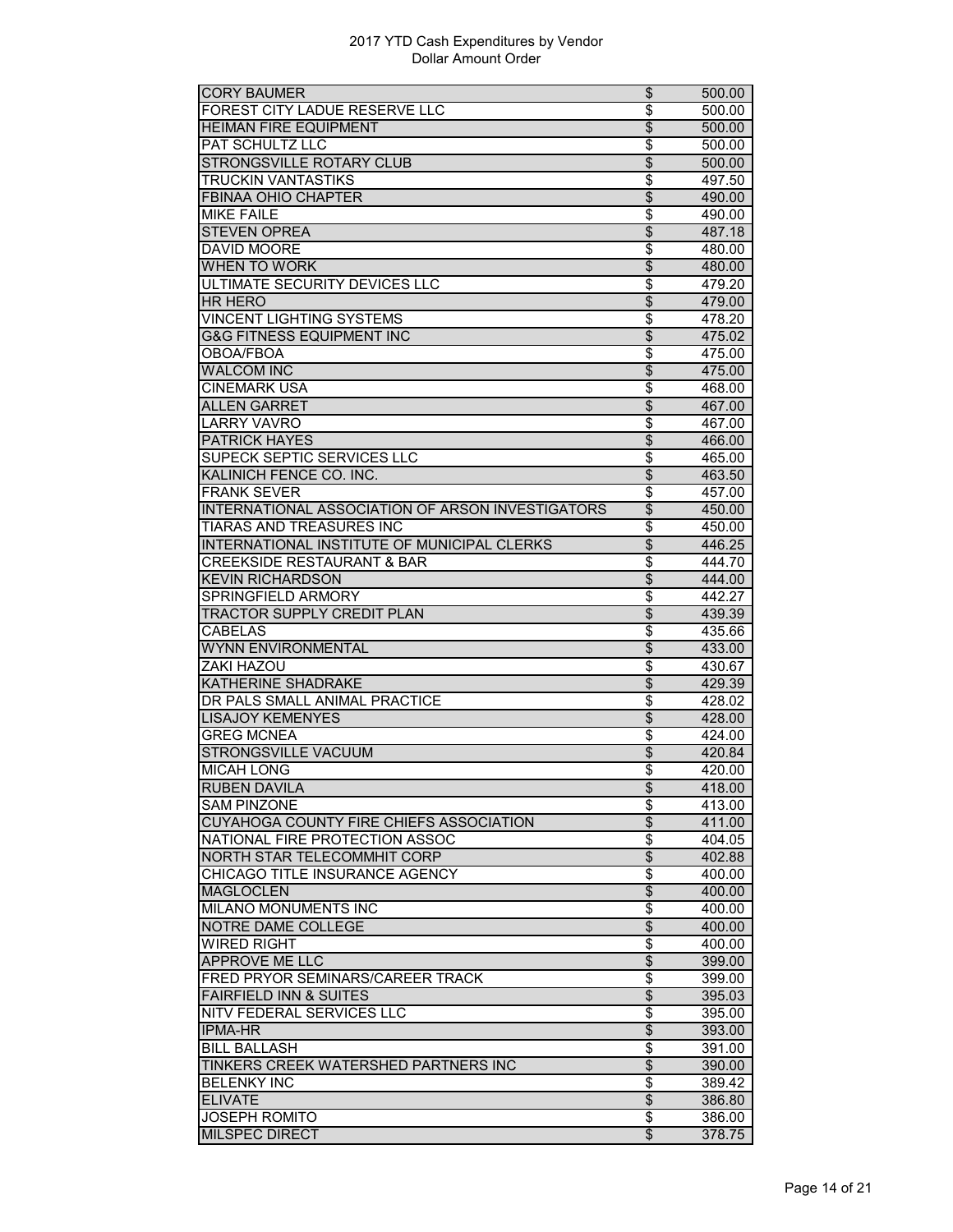| FOREST CITY LADUE RESERVE LLC<br>\$<br>500.00<br>$\overline{\$}$<br><b>HEIMAN FIRE EQUIPMENT</b><br>500.00<br>PAT SCHULTZ LLC<br>\$<br>500.00<br><b>STRONGSVILLE ROTARY CLUB</b><br>$\overline{\mathcal{S}}$<br>500.00<br><b>TRUCKIN VANTASTIKS</b><br>\$<br>497.50<br>$\overline{\$}$<br><b>FBINAA OHIO CHAPTER</b><br>490.00<br>\$<br><b>MIKE FAILE</b><br>490.00<br><b>STEVEN OPREA</b><br>$\overline{\$}$<br>487.18<br><b>DAVID MOORE</b><br>\$<br>480.00<br><b>WHEN TO WORK</b><br>$\overline{\$}$<br>480.00<br>ULTIMATE SECURITY DEVICES LLC<br>\$<br>479.20<br>$\overline{\mathcal{L}}$<br><b>HR HERO</b><br>479.00<br><b>VINCENT LIGHTING SYSTEMS</b><br>\$<br>478.20<br>$\overline{\$}$<br><b>G&amp;G FITNESS EQUIPMENT INC</b><br>475.02<br>\$<br><b>OBOA/FBOA</b><br>475.00<br>$\overline{\$}$<br><b>WALCOM INC</b><br>475.00<br><b>CINEMARK USA</b><br>\$<br>468.00<br><b>ALLEN GARRET</b><br>$\overline{\mathcal{S}}$<br>467.00<br><b>LARRY VAVRO</b><br>\$<br>467.00<br>$\overline{\mathcal{L}}$<br><b>PATRICK HAYES</b><br>466.00<br>$\overline{\$}$<br>SUPECK SEPTIC SERVICES LLC<br>465.00<br>$\overline{\$}$<br>KALINICH FENCE CO. INC.<br>463.50<br><b>FRANK SEVER</b><br>\$<br>457.00<br>$\overline{\mathcal{S}}$<br>INTERNATIONAL ASSOCIATION OF ARSON INVESTIGATORS<br>450.00<br><b>TIARAS AND TREASURES INC</b><br>\$<br>450.00<br>INTERNATIONAL INSTITUTE OF MUNICIPAL CLERKS<br>\$<br>446.25<br><b>CREEKSIDE RESTAURANT &amp; BAR</b><br>\$<br>444.70<br>$\overline{\$}$<br><b>KEVIN RICHARDSON</b><br>444.00<br>\$<br>SPRINGFIELD ARMORY<br>442.27<br>$\overline{\$}$<br><b>TRACTOR SUPPLY CREDIT PLAN</b><br>439.39<br><b>CABELAS</b><br>\$<br>435.66<br>WYNN ENVIRONMENTAL<br>\$<br>433.00<br>ZAKI HAZOU<br>\$<br>430.67<br>$\overline{\$}$<br><b>KATHERINE SHADRAKE</b><br>429.39<br>$\overline{\$}$<br>DR PALS SMALL ANIMAL PRACTICE<br>428.02<br>$\overline{\$}$<br><b>LISAJOY KEMENYES</b><br>428.00<br>\$<br><b>GREG MCNEA</b><br>424.00<br>$\overline{\$}$<br><b>STRONGSVILLE VACUUM</b><br>420.84<br><b>MICAH LONG</b><br>\$<br>420.00<br><b>RUBEN DAVILA</b><br>\$<br>418.00<br><b>SAM PINZONE</b><br>\$<br>413.00<br>$\overline{\$}$<br><b>CUYAHOGA COUNTY FIRE CHIEFS ASSOCIATION</b><br>411.00<br>$\overline{\$}$<br>NATIONAL FIRE PROTECTION ASSOC<br>404.05<br>NORTH STAR TELECOMMHIT CORP<br>$\overline{\$}$<br>402.88<br>CHICAGO TITLE INSURANCE AGENCY<br>\$<br>400.00<br>$\overline{\theta}$<br><b>MAGLOCLEN</b><br>400.00<br>MILANO MONUMENTS INC<br>\$<br>400.00<br>$\overline{\theta}$<br>NOTRE DAME COLLEGE<br>400.00<br>\$<br><b>WIRED RIGHT</b><br>400.00<br>$\overline{\$}$<br><b>APPROVE ME LLC</b><br>399.00<br>FRED PRYOR SEMINARS/CAREER TRACK<br>\$<br>399.00<br>$\overline{\$}$<br><b>FAIRFIELD INN &amp; SUITES</b><br>395.03<br>NITV FEDERAL SERVICES LLC<br>\$<br>395.00<br>$\overline{\theta}$<br><b>IPMA-HR</b><br>393.00<br><b>BILL BALLASH</b><br>\$<br>391.00<br>$\overline{\$}$<br>TINKERS CREEK WATERSHED PARTNERS INC<br>390.00<br><b>BELENKY INC</b><br>\$<br>389.42<br>$\overline{\$}$<br><b>ELIVATE</b><br>386.80<br><b>JOSEPH ROMITO</b><br>\$<br>386.00<br><b>MILSPEC DIRECT</b><br>\$<br>378.75 | <b>CORY BAUMER</b> | \$<br>500.00 |
|----------------------------------------------------------------------------------------------------------------------------------------------------------------------------------------------------------------------------------------------------------------------------------------------------------------------------------------------------------------------------------------------------------------------------------------------------------------------------------------------------------------------------------------------------------------------------------------------------------------------------------------------------------------------------------------------------------------------------------------------------------------------------------------------------------------------------------------------------------------------------------------------------------------------------------------------------------------------------------------------------------------------------------------------------------------------------------------------------------------------------------------------------------------------------------------------------------------------------------------------------------------------------------------------------------------------------------------------------------------------------------------------------------------------------------------------------------------------------------------------------------------------------------------------------------------------------------------------------------------------------------------------------------------------------------------------------------------------------------------------------------------------------------------------------------------------------------------------------------------------------------------------------------------------------------------------------------------------------------------------------------------------------------------------------------------------------------------------------------------------------------------------------------------------------------------------------------------------------------------------------------------------------------------------------------------------------------------------------------------------------------------------------------------------------------------------------------------------------------------------------------------------------------------------------------------------------------------------------------------------------------------------------------------------------------------------------------------------------------------------------------------------------------------------------------------------------------------------------------------------------------------------------------------------------------------------------------------------------------------------------------------------------------------------------------------------------------------------------------------------------------------------------------------------------|--------------------|--------------|
|                                                                                                                                                                                                                                                                                                                                                                                                                                                                                                                                                                                                                                                                                                                                                                                                                                                                                                                                                                                                                                                                                                                                                                                                                                                                                                                                                                                                                                                                                                                                                                                                                                                                                                                                                                                                                                                                                                                                                                                                                                                                                                                                                                                                                                                                                                                                                                                                                                                                                                                                                                                                                                                                                                                                                                                                                                                                                                                                                                                                                                                                                                                                                                            |                    |              |
|                                                                                                                                                                                                                                                                                                                                                                                                                                                                                                                                                                                                                                                                                                                                                                                                                                                                                                                                                                                                                                                                                                                                                                                                                                                                                                                                                                                                                                                                                                                                                                                                                                                                                                                                                                                                                                                                                                                                                                                                                                                                                                                                                                                                                                                                                                                                                                                                                                                                                                                                                                                                                                                                                                                                                                                                                                                                                                                                                                                                                                                                                                                                                                            |                    |              |
|                                                                                                                                                                                                                                                                                                                                                                                                                                                                                                                                                                                                                                                                                                                                                                                                                                                                                                                                                                                                                                                                                                                                                                                                                                                                                                                                                                                                                                                                                                                                                                                                                                                                                                                                                                                                                                                                                                                                                                                                                                                                                                                                                                                                                                                                                                                                                                                                                                                                                                                                                                                                                                                                                                                                                                                                                                                                                                                                                                                                                                                                                                                                                                            |                    |              |
|                                                                                                                                                                                                                                                                                                                                                                                                                                                                                                                                                                                                                                                                                                                                                                                                                                                                                                                                                                                                                                                                                                                                                                                                                                                                                                                                                                                                                                                                                                                                                                                                                                                                                                                                                                                                                                                                                                                                                                                                                                                                                                                                                                                                                                                                                                                                                                                                                                                                                                                                                                                                                                                                                                                                                                                                                                                                                                                                                                                                                                                                                                                                                                            |                    |              |
|                                                                                                                                                                                                                                                                                                                                                                                                                                                                                                                                                                                                                                                                                                                                                                                                                                                                                                                                                                                                                                                                                                                                                                                                                                                                                                                                                                                                                                                                                                                                                                                                                                                                                                                                                                                                                                                                                                                                                                                                                                                                                                                                                                                                                                                                                                                                                                                                                                                                                                                                                                                                                                                                                                                                                                                                                                                                                                                                                                                                                                                                                                                                                                            |                    |              |
|                                                                                                                                                                                                                                                                                                                                                                                                                                                                                                                                                                                                                                                                                                                                                                                                                                                                                                                                                                                                                                                                                                                                                                                                                                                                                                                                                                                                                                                                                                                                                                                                                                                                                                                                                                                                                                                                                                                                                                                                                                                                                                                                                                                                                                                                                                                                                                                                                                                                                                                                                                                                                                                                                                                                                                                                                                                                                                                                                                                                                                                                                                                                                                            |                    |              |
|                                                                                                                                                                                                                                                                                                                                                                                                                                                                                                                                                                                                                                                                                                                                                                                                                                                                                                                                                                                                                                                                                                                                                                                                                                                                                                                                                                                                                                                                                                                                                                                                                                                                                                                                                                                                                                                                                                                                                                                                                                                                                                                                                                                                                                                                                                                                                                                                                                                                                                                                                                                                                                                                                                                                                                                                                                                                                                                                                                                                                                                                                                                                                                            |                    |              |
|                                                                                                                                                                                                                                                                                                                                                                                                                                                                                                                                                                                                                                                                                                                                                                                                                                                                                                                                                                                                                                                                                                                                                                                                                                                                                                                                                                                                                                                                                                                                                                                                                                                                                                                                                                                                                                                                                                                                                                                                                                                                                                                                                                                                                                                                                                                                                                                                                                                                                                                                                                                                                                                                                                                                                                                                                                                                                                                                                                                                                                                                                                                                                                            |                    |              |
|                                                                                                                                                                                                                                                                                                                                                                                                                                                                                                                                                                                                                                                                                                                                                                                                                                                                                                                                                                                                                                                                                                                                                                                                                                                                                                                                                                                                                                                                                                                                                                                                                                                                                                                                                                                                                                                                                                                                                                                                                                                                                                                                                                                                                                                                                                                                                                                                                                                                                                                                                                                                                                                                                                                                                                                                                                                                                                                                                                                                                                                                                                                                                                            |                    |              |
|                                                                                                                                                                                                                                                                                                                                                                                                                                                                                                                                                                                                                                                                                                                                                                                                                                                                                                                                                                                                                                                                                                                                                                                                                                                                                                                                                                                                                                                                                                                                                                                                                                                                                                                                                                                                                                                                                                                                                                                                                                                                                                                                                                                                                                                                                                                                                                                                                                                                                                                                                                                                                                                                                                                                                                                                                                                                                                                                                                                                                                                                                                                                                                            |                    |              |
|                                                                                                                                                                                                                                                                                                                                                                                                                                                                                                                                                                                                                                                                                                                                                                                                                                                                                                                                                                                                                                                                                                                                                                                                                                                                                                                                                                                                                                                                                                                                                                                                                                                                                                                                                                                                                                                                                                                                                                                                                                                                                                                                                                                                                                                                                                                                                                                                                                                                                                                                                                                                                                                                                                                                                                                                                                                                                                                                                                                                                                                                                                                                                                            |                    |              |
|                                                                                                                                                                                                                                                                                                                                                                                                                                                                                                                                                                                                                                                                                                                                                                                                                                                                                                                                                                                                                                                                                                                                                                                                                                                                                                                                                                                                                                                                                                                                                                                                                                                                                                                                                                                                                                                                                                                                                                                                                                                                                                                                                                                                                                                                                                                                                                                                                                                                                                                                                                                                                                                                                                                                                                                                                                                                                                                                                                                                                                                                                                                                                                            |                    |              |
|                                                                                                                                                                                                                                                                                                                                                                                                                                                                                                                                                                                                                                                                                                                                                                                                                                                                                                                                                                                                                                                                                                                                                                                                                                                                                                                                                                                                                                                                                                                                                                                                                                                                                                                                                                                                                                                                                                                                                                                                                                                                                                                                                                                                                                                                                                                                                                                                                                                                                                                                                                                                                                                                                                                                                                                                                                                                                                                                                                                                                                                                                                                                                                            |                    |              |
|                                                                                                                                                                                                                                                                                                                                                                                                                                                                                                                                                                                                                                                                                                                                                                                                                                                                                                                                                                                                                                                                                                                                                                                                                                                                                                                                                                                                                                                                                                                                                                                                                                                                                                                                                                                                                                                                                                                                                                                                                                                                                                                                                                                                                                                                                                                                                                                                                                                                                                                                                                                                                                                                                                                                                                                                                                                                                                                                                                                                                                                                                                                                                                            |                    |              |
|                                                                                                                                                                                                                                                                                                                                                                                                                                                                                                                                                                                                                                                                                                                                                                                                                                                                                                                                                                                                                                                                                                                                                                                                                                                                                                                                                                                                                                                                                                                                                                                                                                                                                                                                                                                                                                                                                                                                                                                                                                                                                                                                                                                                                                                                                                                                                                                                                                                                                                                                                                                                                                                                                                                                                                                                                                                                                                                                                                                                                                                                                                                                                                            |                    |              |
|                                                                                                                                                                                                                                                                                                                                                                                                                                                                                                                                                                                                                                                                                                                                                                                                                                                                                                                                                                                                                                                                                                                                                                                                                                                                                                                                                                                                                                                                                                                                                                                                                                                                                                                                                                                                                                                                                                                                                                                                                                                                                                                                                                                                                                                                                                                                                                                                                                                                                                                                                                                                                                                                                                                                                                                                                                                                                                                                                                                                                                                                                                                                                                            |                    |              |
|                                                                                                                                                                                                                                                                                                                                                                                                                                                                                                                                                                                                                                                                                                                                                                                                                                                                                                                                                                                                                                                                                                                                                                                                                                                                                                                                                                                                                                                                                                                                                                                                                                                                                                                                                                                                                                                                                                                                                                                                                                                                                                                                                                                                                                                                                                                                                                                                                                                                                                                                                                                                                                                                                                                                                                                                                                                                                                                                                                                                                                                                                                                                                                            |                    |              |
|                                                                                                                                                                                                                                                                                                                                                                                                                                                                                                                                                                                                                                                                                                                                                                                                                                                                                                                                                                                                                                                                                                                                                                                                                                                                                                                                                                                                                                                                                                                                                                                                                                                                                                                                                                                                                                                                                                                                                                                                                                                                                                                                                                                                                                                                                                                                                                                                                                                                                                                                                                                                                                                                                                                                                                                                                                                                                                                                                                                                                                                                                                                                                                            |                    |              |
|                                                                                                                                                                                                                                                                                                                                                                                                                                                                                                                                                                                                                                                                                                                                                                                                                                                                                                                                                                                                                                                                                                                                                                                                                                                                                                                                                                                                                                                                                                                                                                                                                                                                                                                                                                                                                                                                                                                                                                                                                                                                                                                                                                                                                                                                                                                                                                                                                                                                                                                                                                                                                                                                                                                                                                                                                                                                                                                                                                                                                                                                                                                                                                            |                    |              |
|                                                                                                                                                                                                                                                                                                                                                                                                                                                                                                                                                                                                                                                                                                                                                                                                                                                                                                                                                                                                                                                                                                                                                                                                                                                                                                                                                                                                                                                                                                                                                                                                                                                                                                                                                                                                                                                                                                                                                                                                                                                                                                                                                                                                                                                                                                                                                                                                                                                                                                                                                                                                                                                                                                                                                                                                                                                                                                                                                                                                                                                                                                                                                                            |                    |              |
|                                                                                                                                                                                                                                                                                                                                                                                                                                                                                                                                                                                                                                                                                                                                                                                                                                                                                                                                                                                                                                                                                                                                                                                                                                                                                                                                                                                                                                                                                                                                                                                                                                                                                                                                                                                                                                                                                                                                                                                                                                                                                                                                                                                                                                                                                                                                                                                                                                                                                                                                                                                                                                                                                                                                                                                                                                                                                                                                                                                                                                                                                                                                                                            |                    |              |
|                                                                                                                                                                                                                                                                                                                                                                                                                                                                                                                                                                                                                                                                                                                                                                                                                                                                                                                                                                                                                                                                                                                                                                                                                                                                                                                                                                                                                                                                                                                                                                                                                                                                                                                                                                                                                                                                                                                                                                                                                                                                                                                                                                                                                                                                                                                                                                                                                                                                                                                                                                                                                                                                                                                                                                                                                                                                                                                                                                                                                                                                                                                                                                            |                    |              |
|                                                                                                                                                                                                                                                                                                                                                                                                                                                                                                                                                                                                                                                                                                                                                                                                                                                                                                                                                                                                                                                                                                                                                                                                                                                                                                                                                                                                                                                                                                                                                                                                                                                                                                                                                                                                                                                                                                                                                                                                                                                                                                                                                                                                                                                                                                                                                                                                                                                                                                                                                                                                                                                                                                                                                                                                                                                                                                                                                                                                                                                                                                                                                                            |                    |              |
|                                                                                                                                                                                                                                                                                                                                                                                                                                                                                                                                                                                                                                                                                                                                                                                                                                                                                                                                                                                                                                                                                                                                                                                                                                                                                                                                                                                                                                                                                                                                                                                                                                                                                                                                                                                                                                                                                                                                                                                                                                                                                                                                                                                                                                                                                                                                                                                                                                                                                                                                                                                                                                                                                                                                                                                                                                                                                                                                                                                                                                                                                                                                                                            |                    |              |
|                                                                                                                                                                                                                                                                                                                                                                                                                                                                                                                                                                                                                                                                                                                                                                                                                                                                                                                                                                                                                                                                                                                                                                                                                                                                                                                                                                                                                                                                                                                                                                                                                                                                                                                                                                                                                                                                                                                                                                                                                                                                                                                                                                                                                                                                                                                                                                                                                                                                                                                                                                                                                                                                                                                                                                                                                                                                                                                                                                                                                                                                                                                                                                            |                    |              |
|                                                                                                                                                                                                                                                                                                                                                                                                                                                                                                                                                                                                                                                                                                                                                                                                                                                                                                                                                                                                                                                                                                                                                                                                                                                                                                                                                                                                                                                                                                                                                                                                                                                                                                                                                                                                                                                                                                                                                                                                                                                                                                                                                                                                                                                                                                                                                                                                                                                                                                                                                                                                                                                                                                                                                                                                                                                                                                                                                                                                                                                                                                                                                                            |                    |              |
|                                                                                                                                                                                                                                                                                                                                                                                                                                                                                                                                                                                                                                                                                                                                                                                                                                                                                                                                                                                                                                                                                                                                                                                                                                                                                                                                                                                                                                                                                                                                                                                                                                                                                                                                                                                                                                                                                                                                                                                                                                                                                                                                                                                                                                                                                                                                                                                                                                                                                                                                                                                                                                                                                                                                                                                                                                                                                                                                                                                                                                                                                                                                                                            |                    |              |
|                                                                                                                                                                                                                                                                                                                                                                                                                                                                                                                                                                                                                                                                                                                                                                                                                                                                                                                                                                                                                                                                                                                                                                                                                                                                                                                                                                                                                                                                                                                                                                                                                                                                                                                                                                                                                                                                                                                                                                                                                                                                                                                                                                                                                                                                                                                                                                                                                                                                                                                                                                                                                                                                                                                                                                                                                                                                                                                                                                                                                                                                                                                                                                            |                    |              |
|                                                                                                                                                                                                                                                                                                                                                                                                                                                                                                                                                                                                                                                                                                                                                                                                                                                                                                                                                                                                                                                                                                                                                                                                                                                                                                                                                                                                                                                                                                                                                                                                                                                                                                                                                                                                                                                                                                                                                                                                                                                                                                                                                                                                                                                                                                                                                                                                                                                                                                                                                                                                                                                                                                                                                                                                                                                                                                                                                                                                                                                                                                                                                                            |                    |              |
|                                                                                                                                                                                                                                                                                                                                                                                                                                                                                                                                                                                                                                                                                                                                                                                                                                                                                                                                                                                                                                                                                                                                                                                                                                                                                                                                                                                                                                                                                                                                                                                                                                                                                                                                                                                                                                                                                                                                                                                                                                                                                                                                                                                                                                                                                                                                                                                                                                                                                                                                                                                                                                                                                                                                                                                                                                                                                                                                                                                                                                                                                                                                                                            |                    |              |
|                                                                                                                                                                                                                                                                                                                                                                                                                                                                                                                                                                                                                                                                                                                                                                                                                                                                                                                                                                                                                                                                                                                                                                                                                                                                                                                                                                                                                                                                                                                                                                                                                                                                                                                                                                                                                                                                                                                                                                                                                                                                                                                                                                                                                                                                                                                                                                                                                                                                                                                                                                                                                                                                                                                                                                                                                                                                                                                                                                                                                                                                                                                                                                            |                    |              |
|                                                                                                                                                                                                                                                                                                                                                                                                                                                                                                                                                                                                                                                                                                                                                                                                                                                                                                                                                                                                                                                                                                                                                                                                                                                                                                                                                                                                                                                                                                                                                                                                                                                                                                                                                                                                                                                                                                                                                                                                                                                                                                                                                                                                                                                                                                                                                                                                                                                                                                                                                                                                                                                                                                                                                                                                                                                                                                                                                                                                                                                                                                                                                                            |                    |              |
|                                                                                                                                                                                                                                                                                                                                                                                                                                                                                                                                                                                                                                                                                                                                                                                                                                                                                                                                                                                                                                                                                                                                                                                                                                                                                                                                                                                                                                                                                                                                                                                                                                                                                                                                                                                                                                                                                                                                                                                                                                                                                                                                                                                                                                                                                                                                                                                                                                                                                                                                                                                                                                                                                                                                                                                                                                                                                                                                                                                                                                                                                                                                                                            |                    |              |
|                                                                                                                                                                                                                                                                                                                                                                                                                                                                                                                                                                                                                                                                                                                                                                                                                                                                                                                                                                                                                                                                                                                                                                                                                                                                                                                                                                                                                                                                                                                                                                                                                                                                                                                                                                                                                                                                                                                                                                                                                                                                                                                                                                                                                                                                                                                                                                                                                                                                                                                                                                                                                                                                                                                                                                                                                                                                                                                                                                                                                                                                                                                                                                            |                    |              |
|                                                                                                                                                                                                                                                                                                                                                                                                                                                                                                                                                                                                                                                                                                                                                                                                                                                                                                                                                                                                                                                                                                                                                                                                                                                                                                                                                                                                                                                                                                                                                                                                                                                                                                                                                                                                                                                                                                                                                                                                                                                                                                                                                                                                                                                                                                                                                                                                                                                                                                                                                                                                                                                                                                                                                                                                                                                                                                                                                                                                                                                                                                                                                                            |                    |              |
|                                                                                                                                                                                                                                                                                                                                                                                                                                                                                                                                                                                                                                                                                                                                                                                                                                                                                                                                                                                                                                                                                                                                                                                                                                                                                                                                                                                                                                                                                                                                                                                                                                                                                                                                                                                                                                                                                                                                                                                                                                                                                                                                                                                                                                                                                                                                                                                                                                                                                                                                                                                                                                                                                                                                                                                                                                                                                                                                                                                                                                                                                                                                                                            |                    |              |
|                                                                                                                                                                                                                                                                                                                                                                                                                                                                                                                                                                                                                                                                                                                                                                                                                                                                                                                                                                                                                                                                                                                                                                                                                                                                                                                                                                                                                                                                                                                                                                                                                                                                                                                                                                                                                                                                                                                                                                                                                                                                                                                                                                                                                                                                                                                                                                                                                                                                                                                                                                                                                                                                                                                                                                                                                                                                                                                                                                                                                                                                                                                                                                            |                    |              |
|                                                                                                                                                                                                                                                                                                                                                                                                                                                                                                                                                                                                                                                                                                                                                                                                                                                                                                                                                                                                                                                                                                                                                                                                                                                                                                                                                                                                                                                                                                                                                                                                                                                                                                                                                                                                                                                                                                                                                                                                                                                                                                                                                                                                                                                                                                                                                                                                                                                                                                                                                                                                                                                                                                                                                                                                                                                                                                                                                                                                                                                                                                                                                                            |                    |              |
|                                                                                                                                                                                                                                                                                                                                                                                                                                                                                                                                                                                                                                                                                                                                                                                                                                                                                                                                                                                                                                                                                                                                                                                                                                                                                                                                                                                                                                                                                                                                                                                                                                                                                                                                                                                                                                                                                                                                                                                                                                                                                                                                                                                                                                                                                                                                                                                                                                                                                                                                                                                                                                                                                                                                                                                                                                                                                                                                                                                                                                                                                                                                                                            |                    |              |
|                                                                                                                                                                                                                                                                                                                                                                                                                                                                                                                                                                                                                                                                                                                                                                                                                                                                                                                                                                                                                                                                                                                                                                                                                                                                                                                                                                                                                                                                                                                                                                                                                                                                                                                                                                                                                                                                                                                                                                                                                                                                                                                                                                                                                                                                                                                                                                                                                                                                                                                                                                                                                                                                                                                                                                                                                                                                                                                                                                                                                                                                                                                                                                            |                    |              |
|                                                                                                                                                                                                                                                                                                                                                                                                                                                                                                                                                                                                                                                                                                                                                                                                                                                                                                                                                                                                                                                                                                                                                                                                                                                                                                                                                                                                                                                                                                                                                                                                                                                                                                                                                                                                                                                                                                                                                                                                                                                                                                                                                                                                                                                                                                                                                                                                                                                                                                                                                                                                                                                                                                                                                                                                                                                                                                                                                                                                                                                                                                                                                                            |                    |              |
|                                                                                                                                                                                                                                                                                                                                                                                                                                                                                                                                                                                                                                                                                                                                                                                                                                                                                                                                                                                                                                                                                                                                                                                                                                                                                                                                                                                                                                                                                                                                                                                                                                                                                                                                                                                                                                                                                                                                                                                                                                                                                                                                                                                                                                                                                                                                                                                                                                                                                                                                                                                                                                                                                                                                                                                                                                                                                                                                                                                                                                                                                                                                                                            |                    |              |
|                                                                                                                                                                                                                                                                                                                                                                                                                                                                                                                                                                                                                                                                                                                                                                                                                                                                                                                                                                                                                                                                                                                                                                                                                                                                                                                                                                                                                                                                                                                                                                                                                                                                                                                                                                                                                                                                                                                                                                                                                                                                                                                                                                                                                                                                                                                                                                                                                                                                                                                                                                                                                                                                                                                                                                                                                                                                                                                                                                                                                                                                                                                                                                            |                    |              |
|                                                                                                                                                                                                                                                                                                                                                                                                                                                                                                                                                                                                                                                                                                                                                                                                                                                                                                                                                                                                                                                                                                                                                                                                                                                                                                                                                                                                                                                                                                                                                                                                                                                                                                                                                                                                                                                                                                                                                                                                                                                                                                                                                                                                                                                                                                                                                                                                                                                                                                                                                                                                                                                                                                                                                                                                                                                                                                                                                                                                                                                                                                                                                                            |                    |              |
|                                                                                                                                                                                                                                                                                                                                                                                                                                                                                                                                                                                                                                                                                                                                                                                                                                                                                                                                                                                                                                                                                                                                                                                                                                                                                                                                                                                                                                                                                                                                                                                                                                                                                                                                                                                                                                                                                                                                                                                                                                                                                                                                                                                                                                                                                                                                                                                                                                                                                                                                                                                                                                                                                                                                                                                                                                                                                                                                                                                                                                                                                                                                                                            |                    |              |
|                                                                                                                                                                                                                                                                                                                                                                                                                                                                                                                                                                                                                                                                                                                                                                                                                                                                                                                                                                                                                                                                                                                                                                                                                                                                                                                                                                                                                                                                                                                                                                                                                                                                                                                                                                                                                                                                                                                                                                                                                                                                                                                                                                                                                                                                                                                                                                                                                                                                                                                                                                                                                                                                                                                                                                                                                                                                                                                                                                                                                                                                                                                                                                            |                    |              |
|                                                                                                                                                                                                                                                                                                                                                                                                                                                                                                                                                                                                                                                                                                                                                                                                                                                                                                                                                                                                                                                                                                                                                                                                                                                                                                                                                                                                                                                                                                                                                                                                                                                                                                                                                                                                                                                                                                                                                                                                                                                                                                                                                                                                                                                                                                                                                                                                                                                                                                                                                                                                                                                                                                                                                                                                                                                                                                                                                                                                                                                                                                                                                                            |                    |              |
|                                                                                                                                                                                                                                                                                                                                                                                                                                                                                                                                                                                                                                                                                                                                                                                                                                                                                                                                                                                                                                                                                                                                                                                                                                                                                                                                                                                                                                                                                                                                                                                                                                                                                                                                                                                                                                                                                                                                                                                                                                                                                                                                                                                                                                                                                                                                                                                                                                                                                                                                                                                                                                                                                                                                                                                                                                                                                                                                                                                                                                                                                                                                                                            |                    |              |
|                                                                                                                                                                                                                                                                                                                                                                                                                                                                                                                                                                                                                                                                                                                                                                                                                                                                                                                                                                                                                                                                                                                                                                                                                                                                                                                                                                                                                                                                                                                                                                                                                                                                                                                                                                                                                                                                                                                                                                                                                                                                                                                                                                                                                                                                                                                                                                                                                                                                                                                                                                                                                                                                                                                                                                                                                                                                                                                                                                                                                                                                                                                                                                            |                    |              |
|                                                                                                                                                                                                                                                                                                                                                                                                                                                                                                                                                                                                                                                                                                                                                                                                                                                                                                                                                                                                                                                                                                                                                                                                                                                                                                                                                                                                                                                                                                                                                                                                                                                                                                                                                                                                                                                                                                                                                                                                                                                                                                                                                                                                                                                                                                                                                                                                                                                                                                                                                                                                                                                                                                                                                                                                                                                                                                                                                                                                                                                                                                                                                                            |                    |              |
|                                                                                                                                                                                                                                                                                                                                                                                                                                                                                                                                                                                                                                                                                                                                                                                                                                                                                                                                                                                                                                                                                                                                                                                                                                                                                                                                                                                                                                                                                                                                                                                                                                                                                                                                                                                                                                                                                                                                                                                                                                                                                                                                                                                                                                                                                                                                                                                                                                                                                                                                                                                                                                                                                                                                                                                                                                                                                                                                                                                                                                                                                                                                                                            |                    |              |
|                                                                                                                                                                                                                                                                                                                                                                                                                                                                                                                                                                                                                                                                                                                                                                                                                                                                                                                                                                                                                                                                                                                                                                                                                                                                                                                                                                                                                                                                                                                                                                                                                                                                                                                                                                                                                                                                                                                                                                                                                                                                                                                                                                                                                                                                                                                                                                                                                                                                                                                                                                                                                                                                                                                                                                                                                                                                                                                                                                                                                                                                                                                                                                            |                    |              |
|                                                                                                                                                                                                                                                                                                                                                                                                                                                                                                                                                                                                                                                                                                                                                                                                                                                                                                                                                                                                                                                                                                                                                                                                                                                                                                                                                                                                                                                                                                                                                                                                                                                                                                                                                                                                                                                                                                                                                                                                                                                                                                                                                                                                                                                                                                                                                                                                                                                                                                                                                                                                                                                                                                                                                                                                                                                                                                                                                                                                                                                                                                                                                                            |                    |              |
|                                                                                                                                                                                                                                                                                                                                                                                                                                                                                                                                                                                                                                                                                                                                                                                                                                                                                                                                                                                                                                                                                                                                                                                                                                                                                                                                                                                                                                                                                                                                                                                                                                                                                                                                                                                                                                                                                                                                                                                                                                                                                                                                                                                                                                                                                                                                                                                                                                                                                                                                                                                                                                                                                                                                                                                                                                                                                                                                                                                                                                                                                                                                                                            |                    |              |
|                                                                                                                                                                                                                                                                                                                                                                                                                                                                                                                                                                                                                                                                                                                                                                                                                                                                                                                                                                                                                                                                                                                                                                                                                                                                                                                                                                                                                                                                                                                                                                                                                                                                                                                                                                                                                                                                                                                                                                                                                                                                                                                                                                                                                                                                                                                                                                                                                                                                                                                                                                                                                                                                                                                                                                                                                                                                                                                                                                                                                                                                                                                                                                            |                    |              |
|                                                                                                                                                                                                                                                                                                                                                                                                                                                                                                                                                                                                                                                                                                                                                                                                                                                                                                                                                                                                                                                                                                                                                                                                                                                                                                                                                                                                                                                                                                                                                                                                                                                                                                                                                                                                                                                                                                                                                                                                                                                                                                                                                                                                                                                                                                                                                                                                                                                                                                                                                                                                                                                                                                                                                                                                                                                                                                                                                                                                                                                                                                                                                                            |                    |              |
|                                                                                                                                                                                                                                                                                                                                                                                                                                                                                                                                                                                                                                                                                                                                                                                                                                                                                                                                                                                                                                                                                                                                                                                                                                                                                                                                                                                                                                                                                                                                                                                                                                                                                                                                                                                                                                                                                                                                                                                                                                                                                                                                                                                                                                                                                                                                                                                                                                                                                                                                                                                                                                                                                                                                                                                                                                                                                                                                                                                                                                                                                                                                                                            |                    |              |
|                                                                                                                                                                                                                                                                                                                                                                                                                                                                                                                                                                                                                                                                                                                                                                                                                                                                                                                                                                                                                                                                                                                                                                                                                                                                                                                                                                                                                                                                                                                                                                                                                                                                                                                                                                                                                                                                                                                                                                                                                                                                                                                                                                                                                                                                                                                                                                                                                                                                                                                                                                                                                                                                                                                                                                                                                                                                                                                                                                                                                                                                                                                                                                            |                    |              |
|                                                                                                                                                                                                                                                                                                                                                                                                                                                                                                                                                                                                                                                                                                                                                                                                                                                                                                                                                                                                                                                                                                                                                                                                                                                                                                                                                                                                                                                                                                                                                                                                                                                                                                                                                                                                                                                                                                                                                                                                                                                                                                                                                                                                                                                                                                                                                                                                                                                                                                                                                                                                                                                                                                                                                                                                                                                                                                                                                                                                                                                                                                                                                                            |                    |              |
|                                                                                                                                                                                                                                                                                                                                                                                                                                                                                                                                                                                                                                                                                                                                                                                                                                                                                                                                                                                                                                                                                                                                                                                                                                                                                                                                                                                                                                                                                                                                                                                                                                                                                                                                                                                                                                                                                                                                                                                                                                                                                                                                                                                                                                                                                                                                                                                                                                                                                                                                                                                                                                                                                                                                                                                                                                                                                                                                                                                                                                                                                                                                                                            |                    |              |
|                                                                                                                                                                                                                                                                                                                                                                                                                                                                                                                                                                                                                                                                                                                                                                                                                                                                                                                                                                                                                                                                                                                                                                                                                                                                                                                                                                                                                                                                                                                                                                                                                                                                                                                                                                                                                                                                                                                                                                                                                                                                                                                                                                                                                                                                                                                                                                                                                                                                                                                                                                                                                                                                                                                                                                                                                                                                                                                                                                                                                                                                                                                                                                            |                    |              |
|                                                                                                                                                                                                                                                                                                                                                                                                                                                                                                                                                                                                                                                                                                                                                                                                                                                                                                                                                                                                                                                                                                                                                                                                                                                                                                                                                                                                                                                                                                                                                                                                                                                                                                                                                                                                                                                                                                                                                                                                                                                                                                                                                                                                                                                                                                                                                                                                                                                                                                                                                                                                                                                                                                                                                                                                                                                                                                                                                                                                                                                                                                                                                                            |                    |              |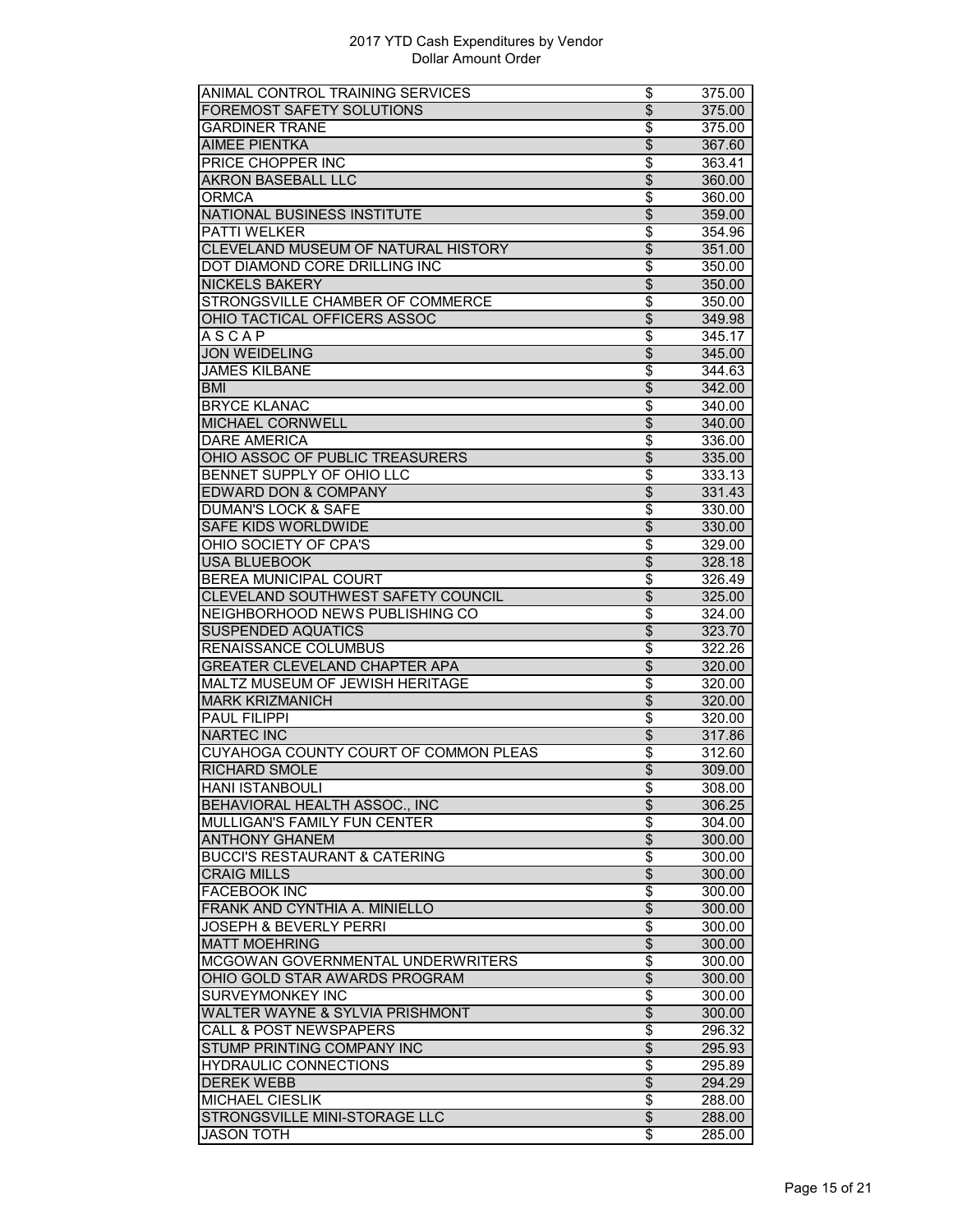| ANIMAL CONTROL TRAINING SERVICES         | \$                                 | 375.00 |
|------------------------------------------|------------------------------------|--------|
| FOREMOST SAFETY SOLUTIONS                | \$                                 | 375.00 |
| <b>GARDINER TRANE</b>                    | \$                                 | 375.00 |
| <b>AIMEE PIENTKA</b>                     | \$                                 | 367.60 |
| PRICE CHOPPER INC                        | \$                                 | 363.41 |
| <b>AKRON BASEBALL LLC</b>                | $\overline{\$}$                    | 360.00 |
| <b>ORMCA</b>                             | \$                                 | 360.00 |
| <b>NATIONAL BUSINESS INSTITUTE</b>       | $\overline{\mathcal{L}}$           | 359.00 |
| PATTI WELKER                             | $\overline{\boldsymbol{\epsilon}}$ | 354.96 |
| CLEVELAND MUSEUM OF NATURAL HISTORY      | \$                                 | 351.00 |
| DOT DIAMOND CORE DRILLING INC            | \$                                 | 350.00 |
| <b>NICKELS BAKERY</b>                    | $\overline{\mathcal{S}}$           |        |
| STRONGSVILLE CHAMBER OF COMMERCE         | $\overline{\$}$                    | 350.00 |
|                                          |                                    | 350.00 |
| OHIO TACTICAL OFFICERS ASSOC             | $\overline{\$}$                    | 349.98 |
| ASCAP                                    | $\overline{\$}$                    | 345.17 |
| <b>JON WEIDELING</b>                     | \$                                 | 345.00 |
| <b>JAMES KILBANE</b>                     | \$                                 | 344.63 |
| <b>BMI</b>                               | \$                                 | 342.00 |
| <b>BRYCE KLANAC</b>                      | \$                                 | 340.00 |
| MICHAEL CORNWELL                         | \$                                 | 340.00 |
| <b>DARE AMERICA</b>                      | \$                                 | 336.00 |
| OHIO ASSOC OF PUBLIC TREASURERS          | $\overline{\$}$                    | 335.00 |
| <b>BENNET SUPPLY OF OHIO LLC</b>         | \$                                 | 333.13 |
| <b>EDWARD DON &amp; COMPANY</b>          | $\overline{\mathcal{S}}$           | 331.43 |
| <b>DUMAN'S LOCK &amp; SAFE</b>           | \$                                 | 330.00 |
| SAFE KIDS WORLDWIDE                      | $\overline{\$}$                    | 330.00 |
| OHIO SOCIETY OF CPA'S                    | $\overline{\$}$                    | 329.00 |
| <b>USA BLUEBOOK</b>                      | \$                                 | 328.18 |
| <b>BEREA MUNICIPAL COURT</b>             | \$                                 | 326.49 |
| CLEVELAND SOUTHWEST SAFETY COUNCIL       | $\overline{\mathcal{S}}$           | 325.00 |
| NEIGHBORHOOD NEWS PUBLISHING CO          | \$                                 | 324.00 |
| <b>SUSPENDED AQUATICS</b>                | \$                                 | 323.70 |
| RENAISSANCE COLUMBUS                     | \$                                 | 322.26 |
| <b>GREATER CLEVELAND CHAPTER APA</b>     | $\overline{\$}$                    | 320.00 |
| MALTZ MUSEUM OF JEWISH HERITAGE          | $\overline{\$}$                    | 320.00 |
| <b>MARK KRIZMANICH</b>                   | $\overline{\$}$                    | 320.00 |
| <b>PAUL FILIPPI</b>                      | \$                                 | 320.00 |
| <b>NARTEC INC</b>                        | \$                                 | 317.86 |
| CUYAHOGA COUNTY COURT OF COMMON PLEAS    | \$                                 | 312.60 |
| <b>RICHARD SMOLE</b>                     | $\overline{\$}$                    |        |
| <b>HANI ISTANBOULI</b>                   |                                    | 309.00 |
|                                          | \$                                 | 308.00 |
| BEHAVIORAL HEALTH ASSOC., INC            | $\overline{\$}$                    | 306.25 |
| MULLIGAN'S FAMILY FUN CENTER             | \$                                 | 304.00 |
| <b>ANTHONY GHANEM</b>                    | $\overline{\$}$                    | 300.00 |
| <b>BUCCI'S RESTAURANT &amp; CATERING</b> | \$                                 | 300.00 |
| <b>CRAIG MILLS</b>                       | \$                                 | 300.00 |
| <b>FACEBOOK INC</b>                      | $\overline{\boldsymbol{\epsilon}}$ | 300.00 |
| FRANK AND CYNTHIA A. MINIELLO            | $\overline{\$}$                    | 300.00 |
| <b>JOSEPH &amp; BEVERLY PERRI</b>        | $\overline{\$}$                    | 300.00 |
| <b>MATT MOEHRING</b>                     | $\overline{\mathbf{e}}$            | 300.00 |
| MCGOWAN GOVERNMENTAL UNDERWRITERS        | \$                                 | 300.00 |
| OHIO GOLD STAR AWARDS PROGRAM            | $\overline{\theta}$                | 300.00 |
| <b>SURVEYMONKEY INC</b>                  | \$                                 | 300.00 |
| WALTER WAYNE & SYLVIA PRISHMONT          | $\overline{\mathcal{S}}$           | 300.00 |
| <b>CALL &amp; POST NEWSPAPERS</b>        | \$                                 | 296.32 |
| STUMP PRINTING COMPANY INC               | $\overline{\$}$                    | 295.93 |
| <b>HYDRAULIC CONNECTIONS</b>             | \$                                 | 295.89 |
| <b>DEREK WEBB</b>                        | $\overline{\mathbf{e}}$            | 294.29 |
| <b>MICHAEL CIESLIK</b>                   | \$                                 | 288.00 |
| STRONGSVILLE MINI-STORAGE LLC            | $\overline{\mathbf{e}}$            | 288.00 |
| JASON TOTH                               | \$                                 | 285.00 |
|                                          |                                    |        |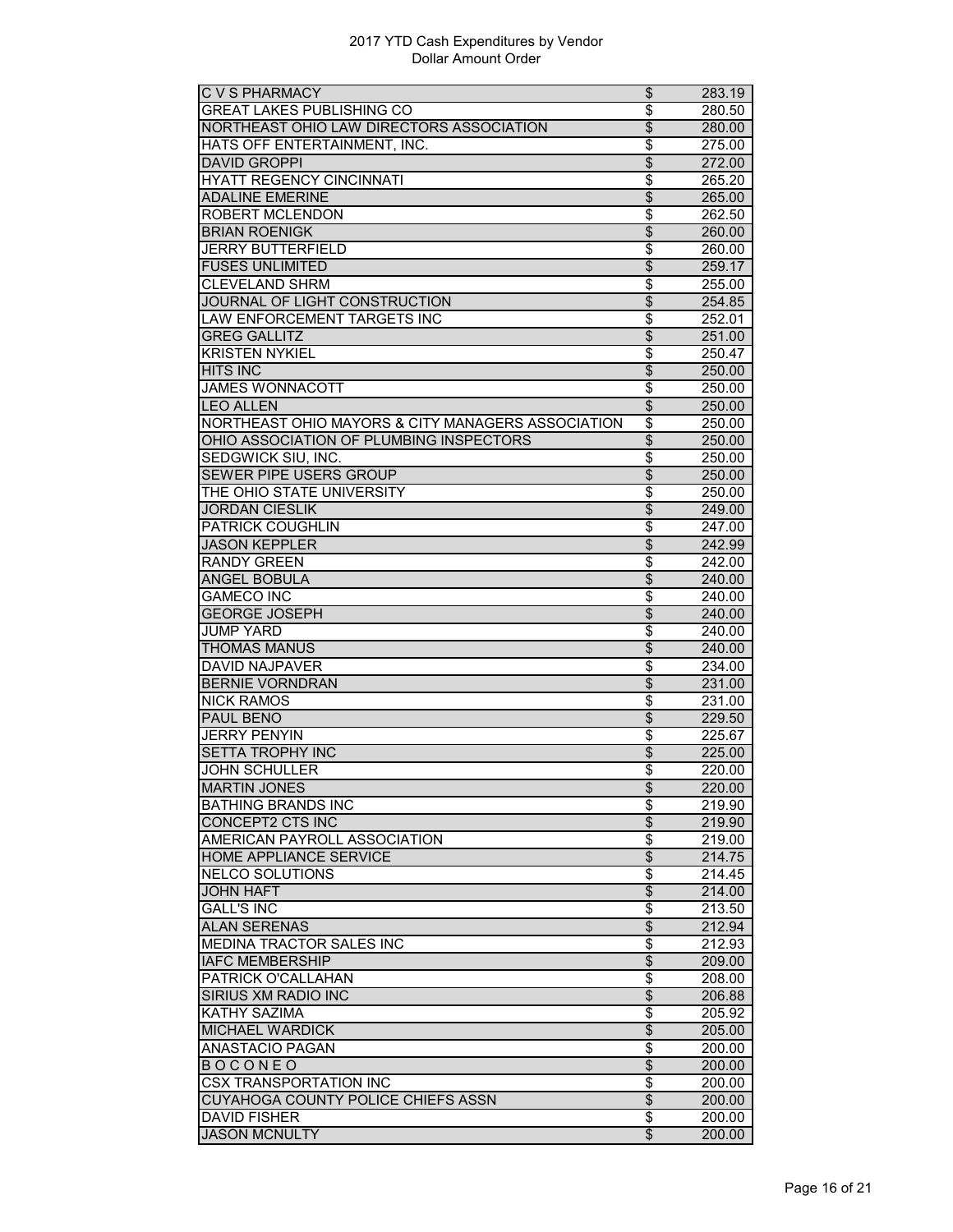| <b>C V S PHARMACY</b>                              | \$                                 | 283.19              |
|----------------------------------------------------|------------------------------------|---------------------|
| <b>GREAT LAKES PUBLISHING CO</b>                   | $\overline{\$}$                    | 280.50              |
| NORTHEAST OHIO LAW DIRECTORS ASSOCIATION           | $\overline{\$}$                    | 280.00              |
| HATS OFF ENTERTAINMENT, INC.                       | \$                                 | 275.00              |
| <b>DAVID GROPPI</b>                                | $\overline{\mathcal{S}}$           | 272.00              |
| <b>HYATT REGENCY CINCINNATI</b>                    | \$                                 | 265.20              |
| <b>ADALINE EMERINE</b>                             | $\overline{\$}$                    | 265.00              |
| ROBERT MCLENDON                                    | \$                                 | 262.50              |
| <b>BRIAN ROENIGK</b>                               | $\overline{\$}$                    | 260.00              |
| <b>JERRY BUTTERFIELD</b>                           | \$                                 | 260.00              |
| <b>FUSES UNLIMITED</b>                             | $\overline{\$}$                    | 259.17              |
| <b>CLEVELAND SHRM</b>                              | \$                                 | 255.00              |
| JOURNAL OF LIGHT CONSTRUCTION                      | \$                                 | 254.85              |
| LAW ENFORCEMENT TARGETS INC                        | \$                                 | 252.01              |
| <b>GREG GALLITZ</b>                                | $\overline{\$}$                    | 251.00              |
| <b>KRISTEN NYKIEL</b>                              | $\overline{\$}$                    | 250.47              |
| <b>HITS INC</b>                                    | $\overline{\$}$                    |                     |
|                                                    |                                    | 250.00              |
| <b>JAMES WONNACOTT</b><br><b>IFO ALLEN</b>         | \$                                 | 250.00              |
|                                                    | $\overline{\$}$                    | 250.00              |
| NORTHEAST OHIO MAYORS & CITY MANAGERS ASSOCIATION  | \$                                 | 250.00              |
| OHIO ASSOCIATION OF PLUMBING INSPECTORS            | $\overline{\mathcal{S}}$           | 250.00              |
| SEDGWICK SIU, INC.                                 | \$                                 | 250.00              |
| <b>SEWER PIPE USERS GROUP</b>                      | $\overline{\$}$                    | 250.00              |
| THE OHIO STATE UNIVERSITY                          | \$                                 | 250.00              |
| <b>JORDAN CIESLIK</b>                              | $\overline{\mathcal{L}}$           | 249.00              |
| PATRICK COUGHLIN                                   | \$                                 | 247.00              |
| <b>JASON KEPPLER</b>                               | $\overline{\mathcal{S}}$           | 242.99              |
| <b>RANDY GREEN</b>                                 | \$                                 | 242.00              |
| <b>ANGEL BOBULA</b>                                | $\overline{\mathcal{L}}$           | 240.00              |
| <b>GAMECO INC</b>                                  | \$                                 | 240.00              |
| <b>GEORGE JOSEPH</b>                               | $\overline{\$}$                    | 240.00              |
| <b>JUMP YARD</b>                                   | \$                                 | 240.00              |
| <b>THOMAS MANUS</b>                                | \$                                 | 240.00              |
| <b>DAVID NAJPAVER</b>                              | \$                                 | 234.00              |
| <b>BERNIE VORNDRAN</b>                             | $\overline{\mathcal{L}}$           | 231.00              |
| <b>NICK RAMOS</b>                                  | \$                                 | 231.00              |
| <b>PAUL BENO</b>                                   | $\overline{\$}$                    | 229.50              |
| <b>JERRY PENYIN</b>                                | \$                                 | 225.67              |
| <b>SETTA TROPHY INC</b>                            | $\overline{\$}$                    | 225.00              |
| <b>JOHN SCHULLER</b>                               | \$                                 | $\overline{220.00}$ |
| <b>MARTIN JONES</b>                                | \$                                 | 220.00              |
| <b>BATHING BRANDS INC</b>                          | \$                                 | 219.90              |
| CONCEPT2 CTS INC                                   | $\overline{\$}$                    | 219.90              |
| AMERICAN PAYROLL ASSOCIATION                       | $\overline{\$}$                    | 219.00              |
| <b>HOME APPLIANCE SERVICE</b>                      | $\overline{\$}$                    | 214.75              |
| <b>NELCO SOLUTIONS</b>                             | \$                                 | 214.45              |
| <b>JOHN HAFT</b>                                   | $\overline{\theta}$                | 214.00              |
| <b>GALL'S INC</b>                                  | $\overline{\boldsymbol{\epsilon}}$ | 213.50              |
| <b>ALAN SERENAS</b>                                | $\overline{\theta}$                | 212.94              |
|                                                    |                                    | 212.93              |
| MEDINA TRACTOR SALES INC<br><b>IAFC MEMBERSHIP</b> | \$<br>$\overline{\$}$              |                     |
|                                                    |                                    | 209.00              |
| PATRICK O'CALLAHAN                                 | $\overline{\$}$                    | 208.00              |
| <b>SIRIUS XM RADIO INC</b>                         | $\overline{\$}$                    | 206.88              |
| <b>KATHY SAZIMA</b>                                | \$                                 | 205.92              |
| <b>MICHAEL WARDICK</b>                             | $\overline{\mathcal{E}}$           | 205.00              |
| <b>ANASTACIO PAGAN</b>                             | \$                                 | 200.00              |
| <b>BOCONEO</b>                                     | $\overline{\$}$                    | 200.00              |
| <b>CSX TRANSPORTATION INC</b>                      | \$                                 | 200.00              |
| CUYAHOGA COUNTY POLICE CHIEFS ASSN                 | $\overline{\$}$                    | 200.00              |
| <b>DAVID FISHER</b>                                | \$                                 | 200.00              |
| <b>JASON MCNULTY</b>                               | $\overline{\$}$                    | 200.00              |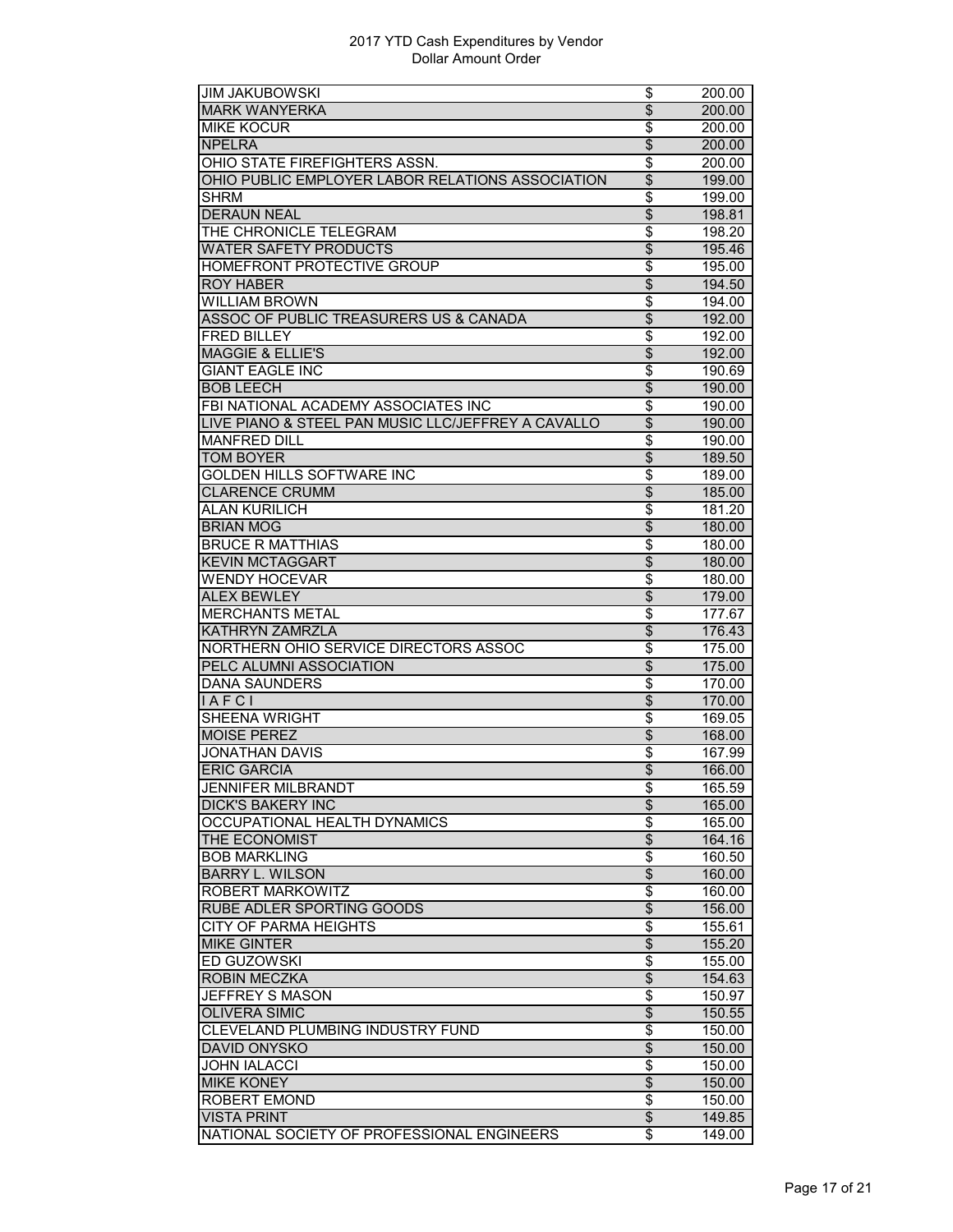| JIM JAKUBOWSKI                                     | \$                                 | 200.00              |
|----------------------------------------------------|------------------------------------|---------------------|
| <b>MARK WANYERKA</b>                               | \$                                 | 200.00              |
| <b>MIKE KOCUR</b>                                  | \$                                 | 200.00              |
| <b>NPELRA</b>                                      | \$                                 | 200.00              |
| OHIO STATE FIREFIGHTERS ASSN.                      | \$                                 | 200.00              |
| OHIO PUBLIC EMPLOYER LABOR RELATIONS ASSOCIATION   | $\overline{\$}$                    | 199.00              |
| <b>SHRM</b>                                        | $\overline{\$}$                    | 199.00              |
| <b>DERAUN NEAL</b>                                 | $\overline{\mathcal{L}}$           | 198.81              |
| THE CHRONICLE TELEGRAM                             | \$                                 | 198.20              |
| <b>WATER SAFETY PRODUCTS</b>                       | $\overline{\mathcal{S}}$           | 195.46              |
| HOMEFRONT PROTECTIVE GROUP                         | \$                                 | 195.00              |
| <b>ROY HABER</b>                                   | \$                                 | 194.50              |
| <b>WILLIAM BROWN</b>                               | \$                                 | 194.00              |
| ASSOC OF PUBLIC TREASURERS US & CANADA             | $\overline{\$}$                    |                     |
|                                                    |                                    | 192.00              |
| <b>FRED BILLEY</b>                                 | \$                                 | 192.00              |
| <b>MAGGIE &amp; ELLIE'S</b>                        | $\overline{\mathcal{S}}$           | 192.00              |
| <b>GIANT EAGLE INC</b>                             | \$                                 | 190.69              |
| <b>BOB LEECH</b>                                   | \$                                 | 190.00              |
| FBI NATIONAL ACADEMY ASSOCIATES INC                | \$                                 | 190.00              |
| LIVE PIANO & STEEL PAN MUSIC LLC/JEFFREY A CAVALLO | $\overline{\$}$                    | 190.00              |
| <b>MANFRED DILL</b>                                | \$                                 | 190.00              |
| <b>TOM BOYER</b>                                   | $\overline{\$}$                    | 189.50              |
| GOLDEN HILLS SOFTWARE INC                          | \$                                 | 189.00              |
| <b>CLARENCE CRUMM</b>                              | $\overline{\mathcal{S}}$           | 185.00              |
| <b>ALAN KURILICH</b>                               | \$                                 | 181.20              |
| <b>BRIAN MOG</b>                                   | \$                                 | 180.00              |
| <b>BRUCE R MATTHIAS</b>                            | \$                                 | 180.00              |
| <b>KEVIN MCTAGGART</b>                             | $\overline{\$}$                    | 180.00              |
| WENDY HOCEVAR                                      | \$                                 | 180.00              |
| <b>ALEX BEWLEY</b>                                 | $\overline{\$}$                    | 179.00              |
| <b>MERCHANTS METAL</b>                             | \$                                 | 177.67              |
| KATHRYN ZAMRZLA                                    | \$                                 | 176.43              |
| NORTHERN OHIO SERVICE DIRECTORS ASSOC              | \$                                 | 175.00              |
| PELC ALUMNI ASSOCIATION                            | $\overline{\$}$                    | 175.00              |
| <b>DANA SAUNDERS</b>                               | $\overline{\$}$                    | 170.00              |
| IAFCI                                              | $\overline{\$}$                    | 170.00              |
| <b>SHEENA WRIGHT</b>                               | \$                                 | 169.05              |
| <b>MOISE PEREZ</b>                                 | $\overline{\mathcal{S}}$           |                     |
|                                                    |                                    | 168.00<br>167.99    |
| <b>JONATHAN DAVIS</b>                              | \$                                 |                     |
| <b>ERIC GARCIA</b>                                 | \$                                 | 166.00              |
| JENNIFER MILBRAND I                                | \$                                 | 165.59              |
| <b>DICK'S BAKERY INC</b>                           | $\overline{\mathcal{E}}$           | 165.00              |
| OCCUPATIONAL HEALTH DYNAMICS                       | \$                                 | 165.00              |
| THE ECONOMIST                                      | $\overline{\theta}$                | 164.16              |
| <b>BOB MARKLING</b>                                | \$                                 | 160.50              |
| <b>BARRY L. WILSON</b>                             | \$                                 | 160.00              |
| ROBERT MARKOWITZ                                   | \$                                 | 160.00              |
| RUBE ADLER SPORTING GOODS                          | $\overline{\$}$                    | 156.00              |
| <b>CITY OF PARMA HEIGHTS</b>                       | \$                                 | 155.61              |
| <b>MIKE GINTER</b>                                 | $\overline{\$}$                    | 155.20              |
| ED GUZOWSKI                                        | \$                                 | 155.00              |
| <b>ROBIN MECZKA</b>                                | $\overline{\$}$                    | 154.63              |
| <b>JEFFREY S MASON</b>                             | \$                                 | 150.97              |
| <b>OLIVERA SIMIC</b>                               | \$                                 | 150.55              |
| CLEVELAND PLUMBING INDUSTRY FUND                   | \$                                 | 150.00              |
| <b>DAVID ONYSKO</b>                                | $\overline{\$}$                    | 150.00              |
| <b>JOHN IALACCI</b>                                | $\overline{\boldsymbol{\epsilon}}$ | 150.00              |
| <b>MIKE KONEY</b>                                  | \$                                 |                     |
| <b>ROBERT EMOND</b>                                | \$                                 | 150.00<br>150.00    |
|                                                    |                                    |                     |
| <b>VISTA PRINT</b>                                 | \$                                 | 149.85              |
| NATIONAL SOCIETY OF PROFESSIONAL ENGINEERS         | \$                                 | $\overline{149.00}$ |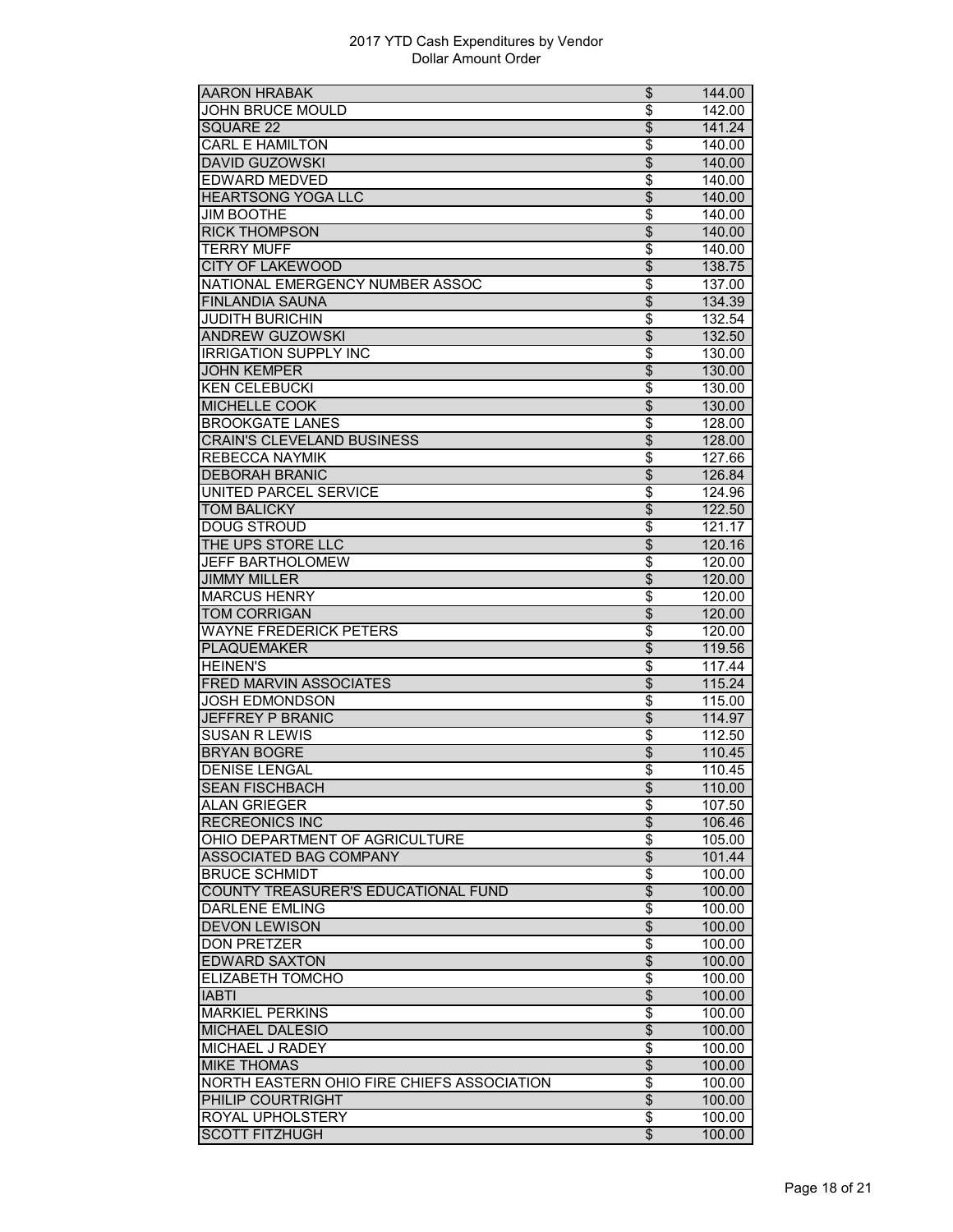| <b>AARON HRABAK</b>                        | \$                       | 144.00           |
|--------------------------------------------|--------------------------|------------------|
| JOHN BRUCE MOULD                           | \$                       | 142.00           |
| SQUARE 22                                  | \$                       | 141.24           |
| <b>CARL E HAMILTON</b>                     | \$                       | 140.00           |
| <b>DAVID GUZOWSKI</b>                      | $\overline{\$}$          | 140.00           |
| <b>EDWARD MEDVED</b>                       | $\overline{\$}$          | 140.00           |
| <b>HEARTSONG YOGA LLC</b>                  | \$                       | 140.00           |
| <b>JIM BOOTHE</b>                          | \$                       | 140.00           |
| <b>RICK THOMPSON</b>                       | \$                       | 140.00           |
| <b>TERRY MUFF</b>                          | \$                       | 140.00           |
| <b>CITY OF LAKEWOOD</b>                    | \$                       | 138.75           |
| NATIONAL EMERGENCY NUMBER ASSOC            | \$                       | 137.00           |
| <b>FINLANDIA SAUNA</b>                     | $\overline{\$}$          | 134.39           |
| <b>JUDITH BURICHIN</b>                     | $\overline{\$}$          | 132.54           |
| <b>ANDREW GUZOWSKI</b>                     | $\overline{\$}$          | 132.50           |
| <b>IRRIGATION SUPPLY INC</b>               | \$                       | 130.00           |
| <b>JOHN KEMPER</b>                         | \$                       | 130.00           |
| <b>KEN CELEBUCKI</b>                       | \$                       | 130.00           |
| <b>MICHELLE COOK</b>                       | $\overline{\$}$          | 130.00           |
| <b>BROOKGATE LANES</b>                     | \$                       | 128.00           |
| <b>CRAIN'S CLEVELAND BUSINESS</b>          | $\overline{\$}$          | 128.00           |
| REBECCA NAYMIK                             | \$                       | 127.66           |
| <b>DEBORAH BRANIC</b>                      | $\overline{\$}$          | 126.84           |
| UNITED PARCEL SERVICE                      | \$                       | 124.96           |
|                                            |                          |                  |
| <b>TOM BALICKY</b><br><b>DOUG STROUD</b>   | \$<br>\$                 | 122.50<br>121.17 |
| THE UPS STORE LLC                          | $\overline{\$}$          |                  |
|                                            |                          | 120.16           |
| <b>JEFF BARTHOLOMEW</b>                    | $\overline{\$}$          | 120.00           |
| <b>JIMMY MILLER</b>                        | $\overline{\mathcal{L}}$ | 120.00           |
| <b>MARCUS HENRY</b>                        | \$                       | 120.00           |
| <b>TOM CORRIGAN</b>                        | \$                       | 120.00           |
| <b>WAYNE FREDERICK PETERS</b>              | \$                       | 120.00           |
| <b>PLAQUEMAKER</b>                         | \$                       | 119.56           |
| <b>HEINEN'S</b>                            | \$                       | 117.44           |
| <b>FRED MARVIN ASSOCIATES</b>              | $\overline{\$}$          | 115.24           |
| <b>JOSH EDMONDSON</b>                      | \$                       | 115.00           |
| JEFFREY P BRANIC                           | \$                       | 114.97           |
| <b>SUSAN R LEWIS</b>                       | \$                       | 112.50           |
| <b>BRYAN BOGRE</b>                         | \$                       | 110.45           |
| <b>DENISE LENGAL</b>                       | \$                       | 110.45           |
| <b>SEAN FISCHBACH</b>                      | \$                       | 110.00           |
| <b>ALAN GRIEGER</b>                        | \$                       | 107.50           |
| <b>RECREONICS INC</b>                      | \$                       | 106.46           |
| OHIO DEPARTMENT OF AGRICULTURE             | \$                       | 105.00           |
| <b>ASSOCIATED BAG COMPANY</b>              | $\overline{\theta}$      | 101.44           |
| <b>BRUCE SCHMIDT</b>                       | \$                       | 100.00           |
| COUNTY TREASURER'S EDUCATIONAL FUND        | $\overline{\mathcal{L}}$ | 100.00           |
| <b>DARLENE EMLING</b>                      | \$                       | 100.00           |
| <b>DEVON LEWISON</b>                       | $\overline{\$}$          | 100.00           |
| <b>DON PRETZER</b>                         | \$                       | 100.00           |
| <b>EDWARD SAXTON</b>                       | $\overline{\$}$          | 100.00           |
| ELIZABETH TOMCHO                           | \$                       | 100.00           |
| <b>IABTI</b>                               | $\overline{\mathcal{E}}$ | 100.00           |
| <b>MARKIEL PERKINS</b>                     | \$                       | 100.00           |
| MICHAEL DALESIO                            | $\overline{\$}$          | 100.00           |
| <b>MICHAEL J RADEY</b>                     | $\overline{\$}$          | 100.00           |
| <b>MIKE THOMAS</b>                         | $\overline{\$}$          | 100.00           |
| NORTH EASTERN OHIO FIRE CHIEFS ASSOCIATION | \$                       | 100.00           |
| PHILIP COURTRIGHT                          | $\overline{\mathcal{E}}$ | 100.00           |
| <b>ROYAL UPHOLSTERY</b>                    | \$                       | 100.00           |
| <b>SCOTT FITZHUGH</b>                      | $\overline{\mathcal{E}}$ | 100.00           |
|                                            |                          |                  |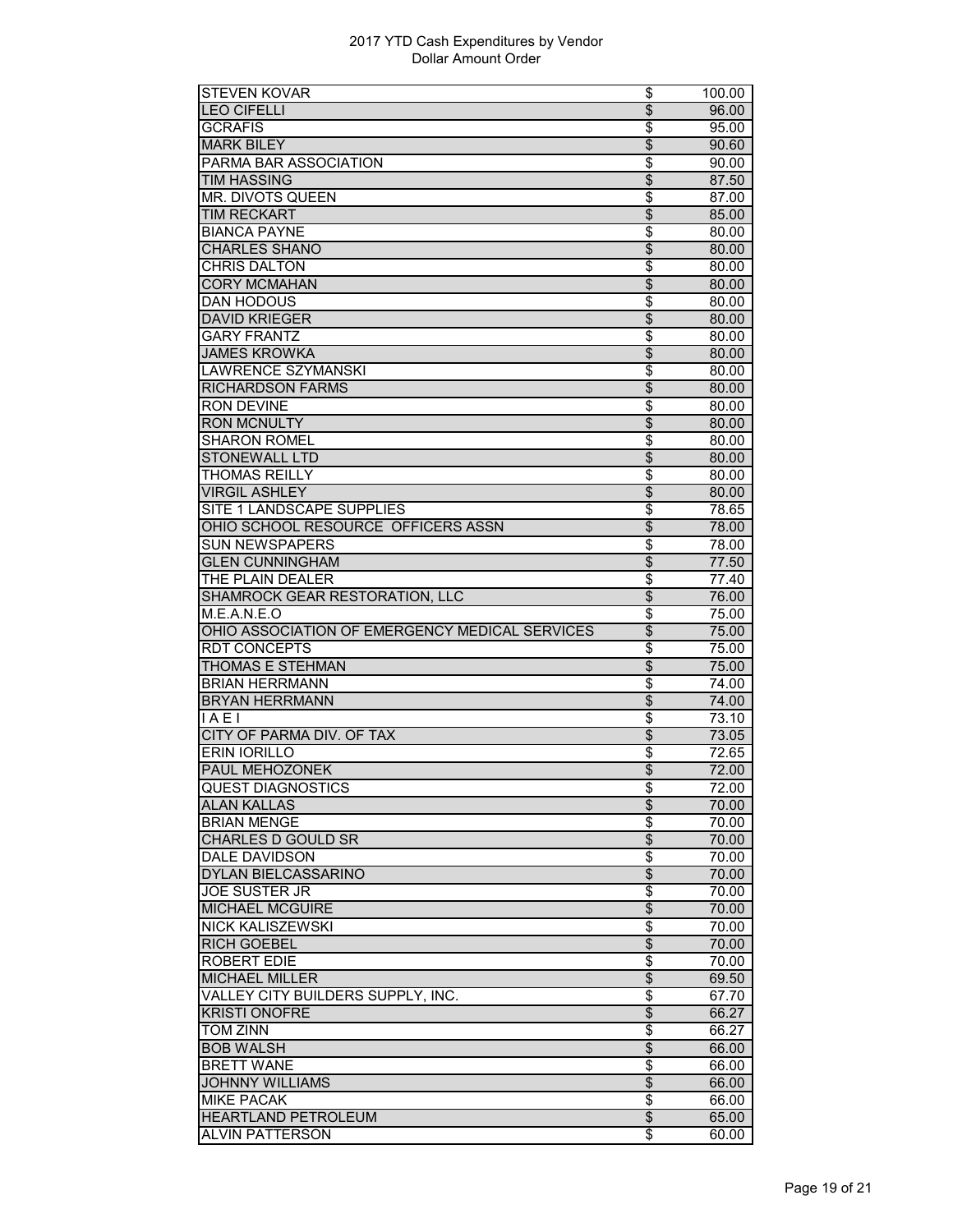| <b>STEVEN KOVAR</b>                                  | \$                                   | 100.00         |
|------------------------------------------------------|--------------------------------------|----------------|
| <b>LEO CIFELLI</b>                                   | $\overline{\$}$                      | 96.00          |
| <b>GCRAFIS</b>                                       | \$                                   | 95.00          |
| <b>MARK BILEY</b>                                    | \$                                   | 90.60          |
| PARMA BAR ASSOCIATION                                | \$                                   | 90.00          |
| <b>TIM HASSING</b>                                   | $\overline{\$}$                      | 87.50          |
| <b>MR. DIVOTS QUEEN</b>                              | $\overline{\$}$                      | 87.00          |
| <b>TIM RECKART</b>                                   | $\overline{\mathcal{S}}$             | 85.00          |
| <b>BIANCA PAYNE</b>                                  | \$                                   | 80.00          |
| <b>CHARLES SHANO</b>                                 | $\overline{\mathcal{S}}$             | 80.00          |
| <b>CHRIS DALTON</b>                                  | \$                                   | 80.00          |
| <b>CORY MCMAHAN</b>                                  | \$                                   |                |
| <b>DAN HODOUS</b>                                    | $\overline{\$}$                      | 80.00          |
|                                                      |                                      | 80.00          |
| <b>DAVID KRIEGER</b>                                 | $\overline{\$}$                      | 80.00          |
| <b>GARY FRANTZ</b>                                   | \$                                   | 80.00          |
| <b>JAMES KROWKA</b>                                  | \$                                   | 80.00          |
| <b>LAWRENCE SZYMANSKI</b>                            | \$                                   | 80.00          |
| <b>RICHARDSON FARMS</b>                              | \$                                   | 80.00          |
| <b>RON DEVINE</b>                                    | \$                                   | 80.00          |
| <b>RON MCNULTY</b>                                   | $\overline{\$}$                      | 80.00          |
| <b>SHARON ROMEL</b>                                  | $\overline{\boldsymbol{\mathsf{s}}}$ | 80.00          |
| <b>STONEWALL LTD</b>                                 | $\overline{\$}$                      | 80.00          |
| <b>THOMAS REILLY</b>                                 | \$                                   | 80.00          |
| <b>VIRGIL ASHLEY</b>                                 | $\overline{\mathcal{E}}$             | 80.00          |
| SITE 1 LANDSCAPE SUPPLIES                            | \$                                   | 78.65          |
| OHIO SCHOOL RESOURCE OFFICERS ASSN                   | $\overline{\$}$                      | 78.00          |
| <b>SUN NEWSPAPERS</b>                                | $\overline{\$}$                      | 78.00          |
| <b>GLEN CUNNINGHAM</b>                               | $\overline{\$}$                      | 77.50          |
| THE PLAIN DEALER                                     | \$                                   | 77.40          |
| SHAMROCK GEAR RESTORATION, LLC                       | $\overline{\$}$                      | 76.00          |
| M.E.A.N.E.O                                          | $\overline{\boldsymbol{\epsilon}}$   | 75.00          |
| OHIO ASSOCIATION OF EMERGENCY MEDICAL SERVICES       | \$                                   | 75.00          |
| <b>RDT CONCEPTS</b>                                  | \$                                   | 75.00          |
| <b>THOMAS E STEHMAN</b>                              | $\overline{\$}$                      | 75.00          |
| <b>BRIAN HERRMANN</b>                                | $\overline{\$}$                      | 74.00          |
| <b>BRYAN HERRMANN</b>                                | $\overline{\$}$                      | 74.00          |
| IAE1                                                 | \$                                   | 73.10          |
| CITY OF PARMA DIV. OF TAX                            | $\overline{\theta}$                  | 73.05          |
| <b>ERIN IORILLO</b>                                  |                                      |                |
|                                                      | \$                                   | 72.65          |
| <b>PAUL MEHOZONEK</b>                                | $\overline{\$}$                      | 72.00          |
| <b>QUEST DIAGNOSTICS</b>                             | Φ                                    | 72.00          |
| <b>ALAN KALLAS</b>                                   | \$                                   | 70.00          |
| <b>BRIAN MENGE</b>                                   | \$                                   | 70.00          |
| <b>CHARLES D GOULD SR</b>                            | $\overline{\$}$                      | 70.00          |
| <b>DALE DAVIDSON</b>                                 | \$                                   | 70.00          |
| DYLAN BIELCASSARINO                                  | \$                                   | 70.00          |
| <b>JOE SUSTER JR</b>                                 | \$                                   | 70.00          |
| <b>MICHAEL MCGUIRE</b>                               | $\overline{\$}$                      | 70.00          |
| <b>NICK KALISZEWSKI</b>                              | $\overline{\$}$                      | 70.00          |
| <b>RICH GOEBEL</b>                                   | $\overline{\mathcal{S}}$             | 70.00          |
| <b>ROBERT EDIE</b>                                   | $\overline{\boldsymbol{\epsilon}}$   | 70.00          |
| <b>MICHAEL MILLER</b>                                | $\overline{\theta}$                  | 69.50          |
| VALLEY CITY BUILDERS SUPPLY, INC.                    |                                      |                |
|                                                      |                                      |                |
|                                                      | \$                                   | 67.70          |
| <b>KRISTI ONOFRE</b>                                 | \$                                   | 66.27          |
| TOM ZINN                                             | \$                                   | 66.27          |
| <b>BOB WALSH</b>                                     | $\overline{\$}$                      | 66.00          |
| <b>BRETT WANE</b>                                    | \$                                   | 66.00          |
| <b>JOHNNY WILLIAMS</b>                               | $\overline{\mathcal{S}}$             | 66.00          |
| <b>MIKE PACAK</b>                                    | \$                                   | 66.00          |
| <b>HEARTLAND PETROLEUM</b><br><b>ALVIN PATTERSON</b> | \$<br>\$                             | 65.00<br>60.00 |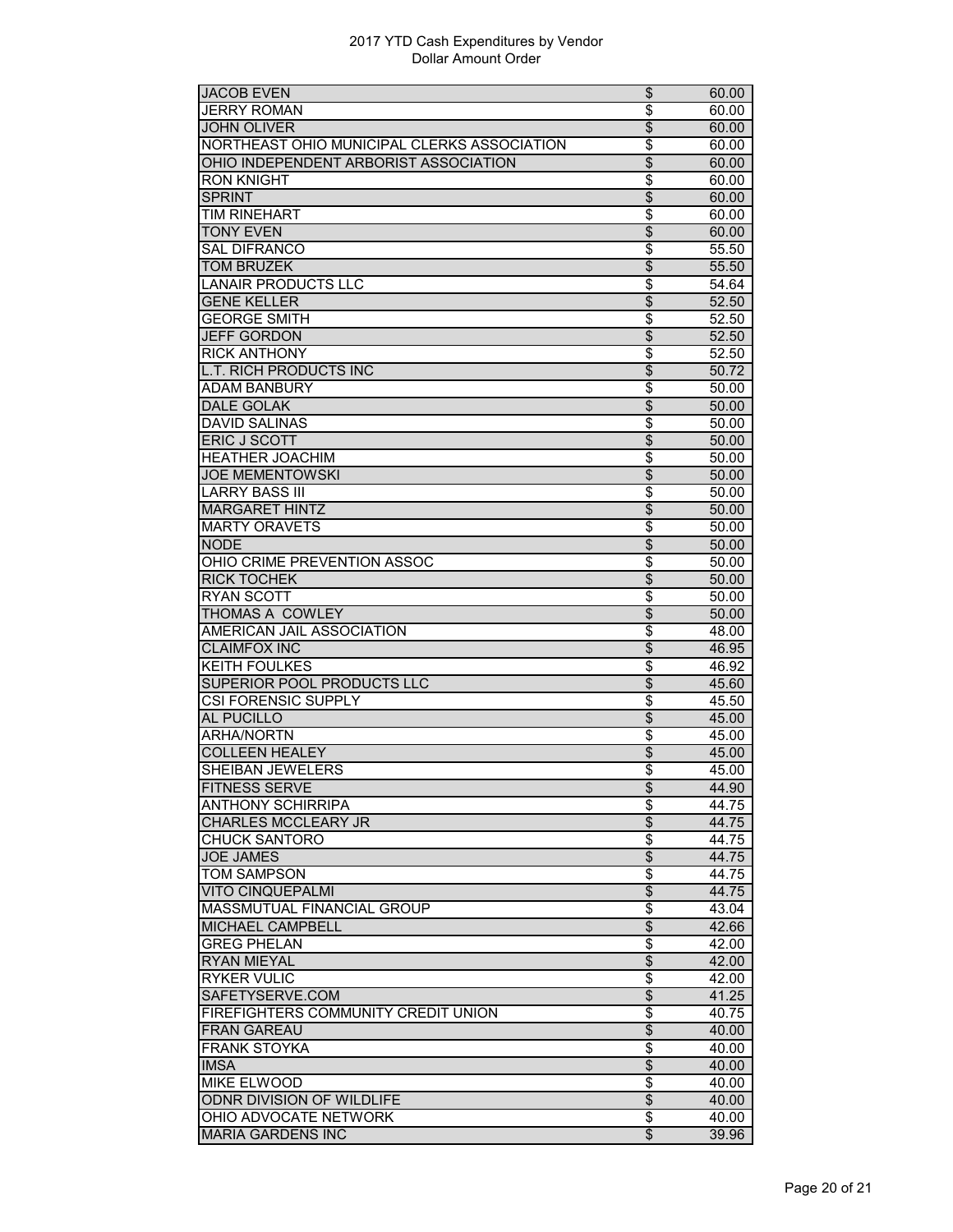| <b>JACOB EVEN</b>                           | \$                                 | 60.00 |
|---------------------------------------------|------------------------------------|-------|
| <b>JERRY ROMAN</b>                          | \$                                 | 60.00 |
| <b>JOHN OLIVER</b>                          | $\overline{\$}$                    | 60.00 |
| NORTHEAST OHIO MUNICIPAL CLERKS ASSOCIATION | \$                                 | 60.00 |
| OHIO INDEPENDENT ARBORIST ASSOCIATION       | \$                                 | 60.00 |
| RON KNIGHT                                  | \$                                 | 60.00 |
| <b>SPRINT</b>                               | $\overline{\$}$                    | 60.00 |
| <b>TIM RINEHART</b>                         | \$                                 | 60.00 |
| <b>TONY EVEN</b>                            | $\overline{\$}$                    | 60.00 |
| <b>SAL DIFRANCO</b>                         | \$                                 | 55.50 |
| <b>TOM BRUZEK</b>                           | $\overline{\$}$                    | 55.50 |
| <b>LANAIR PRODUCTS LLC</b>                  | \$                                 | 54.64 |
| <b>GENE KELLER</b>                          | \$                                 | 52.50 |
| <b>GEORGE SMITH</b>                         | \$                                 | 52.50 |
| <b>JEFF GORDON</b>                          | $\overline{\$}$                    | 52.50 |
| <b>RICK ANTHONY</b>                         | $\overline{\$}$                    | 52.50 |
| <b>L.T. RICH PRODUCTS INC</b>               | $\overline{\$}$                    | 50.72 |
| <b>ADAM BANBURY</b>                         | \$                                 | 50.00 |
| <b>DALE GOLAK</b>                           | $\overline{\mathcal{S}}$           | 50.00 |
| <b>DAVID SALINAS</b>                        | \$                                 | 50.00 |
| ERIC J SCOTT                                | \$                                 | 50.00 |
| <b>HEATHER JOACHIM</b>                      | \$                                 | 50.00 |
| <b>JOE MEMENTOWSKI</b>                      | $\overline{\$}$                    | 50.00 |
| <b>LARRY BASS III</b>                       | \$                                 | 50.00 |
| <b>MARGARET HINTZ</b>                       | $\overline{\mathcal{S}}$           | 50.00 |
| <b>MARTY ORAVETS</b>                        | \$                                 | 50.00 |
| <b>NODE</b>                                 | \$                                 | 50.00 |
| OHIO CRIME PREVENTION ASSOC                 | \$                                 | 50.00 |
| <b>RICK TOCHEK</b>                          | $\overline{\theta}$                | 50.00 |
| <b>RYAN SCOTT</b>                           | $\overline{\$}$                    | 50.00 |
| THOMAS A COWLEY                             | $\overline{\$}$                    | 50.00 |
| AMERICAN JAIL ASSOCIATION                   | \$                                 | 48.00 |
| <b>CLAIMFOX INC</b>                         | \$                                 | 46.95 |
| <b>KEITH FOULKES</b>                        | \$                                 | 46.92 |
| SUPERIOR POOL PRODUCTS LLC                  | $\overline{\mathcal{S}}$           | 45.60 |
| <b>CSI FORENSIC SUPPLY</b>                  | \$                                 | 45.50 |
| <b>AL PUCILLO</b>                           | $\overline{\mathcal{S}}$           | 45.00 |
| <b>ARHA/NORTN</b>                           | \$                                 | 45.00 |
| <b>COLLEEN HEALEY</b>                       | $\overline{\$}$                    | 45.00 |
| SHEIBAN JEWELERS                            | \$                                 | 45.00 |
| <b>FITNESS SERVE</b>                        | \$                                 | 44.90 |
| <b>ANTHONY SCHIRRIPA</b>                    | \$                                 | 44.75 |
| <b>CHARLES MCCLEARY JR</b>                  | $\overline{\$}$                    | 44.75 |
| <b>CHUCK SANTORO</b>                        | $\overline{\$}$                    | 44.75 |
| <b>JOE JAMES</b>                            | $\overline{\$}$                    | 44.75 |
| <b>TOM SAMPSON</b>                          | \$                                 | 44.75 |
| <b>VITO CINQUEPALMI</b>                     | $\overline{\$}$                    | 44.75 |
| <b>MASSMUTUAL FINANCIAL GROUP</b>           | $\overline{\boldsymbol{\epsilon}}$ | 43.04 |
| <b>MICHAEL CAMPBELL</b>                     | $\overline{\theta}$                | 42.66 |
| <b>GREG PHELAN</b>                          | \$                                 | 42.00 |
| <b>RYAN MIEYAL</b>                          | $\overline{\$}$                    | 42.00 |
| <b>RYKER VULIC</b>                          | $\overline{\$}$                    | 42.00 |
| SAFETYSERVE.COM                             | $\overline{\$}$                    | 41.25 |
| FIREFIGHTERS COMMUNITY CREDIT UNION         | \$                                 | 40.75 |
| <b>FRAN GAREAU</b>                          | $\overline{\mathcal{S}}$           | 40.00 |
| <b>FRANK STOYKA</b>                         | \$                                 | 40.00 |
| <b>IMSA</b>                                 | $\overline{\$}$                    | 40.00 |
| <b>MIKE ELWOOD</b>                          | \$                                 | 40.00 |
| ODNR DIVISION OF WILDLIFE                   | $\overline{\$}$                    | 40.00 |
| OHIO ADVOCATE NETWORK                       | \$                                 | 40.00 |
| <b>MARIA GARDENS INC</b>                    | $\overline{\$}$                    | 39.96 |